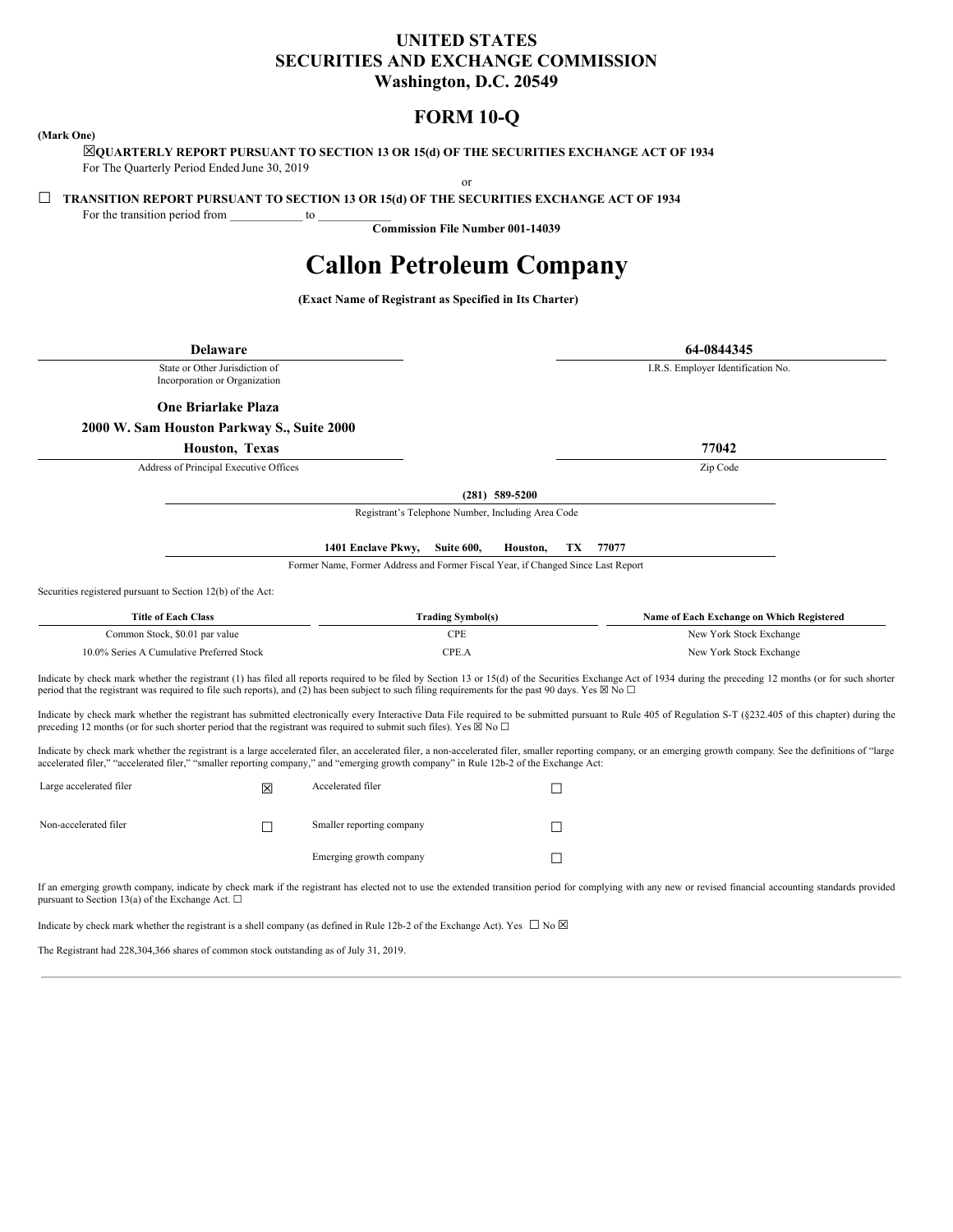## **UNITED STATES SECURITIES AND EXCHANGE COMMISSION Washington, D.C. 20549**

## **FORM 10-Q**

## <span id="page-0-0"></span>**(Mark One)**

☒**QUARTERLY REPORT PURSUANT TO SECTION 13 OR 15(d) OF THE SECURITIES EXCHANGE ACT OF 1934** For The Quarterly Period Ended June 30, 2019

or

☐ **TRANSITION REPORT PURSUANT TO SECTION 13 OR 15(d) OF THE SECURITIES EXCHANGE ACT OF 1934** For the transition period from  $\frac{\ }{\ }$  to  $\frac{\ }{\ }$ 

**Commission File Number 001-14039**

# **Callon Petroleum Company**

**(Exact Name of Registrant as Specified in Its Charter)**

| <b>Delaware</b>                                                                                                                                                     |                |                                                                                                                      |                  | 64-0844345                                                                                                                                                                                                         |  |  |  |  |
|---------------------------------------------------------------------------------------------------------------------------------------------------------------------|----------------|----------------------------------------------------------------------------------------------------------------------|------------------|--------------------------------------------------------------------------------------------------------------------------------------------------------------------------------------------------------------------|--|--|--|--|
| State or Other Jurisdiction of<br>Incorporation or Organization                                                                                                     |                |                                                                                                                      |                  | I.R.S. Employer Identification No.                                                                                                                                                                                 |  |  |  |  |
| <b>One Briarlake Plaza</b>                                                                                                                                          |                |                                                                                                                      |                  |                                                                                                                                                                                                                    |  |  |  |  |
| 2000 W. Sam Houston Parkway S., Suite 2000                                                                                                                          |                |                                                                                                                      |                  |                                                                                                                                                                                                                    |  |  |  |  |
|                                                                                                                                                                     | Houston, Texas |                                                                                                                      |                  | 77042                                                                                                                                                                                                              |  |  |  |  |
| Address of Principal Executive Offices                                                                                                                              |                |                                                                                                                      |                  | Zip Code                                                                                                                                                                                                           |  |  |  |  |
|                                                                                                                                                                     |                |                                                                                                                      | $(281)$ 589-5200 |                                                                                                                                                                                                                    |  |  |  |  |
|                                                                                                                                                                     |                | Registrant's Telephone Number, Including Area Code                                                                   |                  |                                                                                                                                                                                                                    |  |  |  |  |
|                                                                                                                                                                     |                |                                                                                                                      |                  |                                                                                                                                                                                                                    |  |  |  |  |
|                                                                                                                                                                     |                | 1401 Enclave Pkwy,<br>Suite 600,<br>Former Name, Former Address and Former Fiscal Year, if Changed Since Last Report | TX<br>Houston.   | 77077                                                                                                                                                                                                              |  |  |  |  |
|                                                                                                                                                                     |                |                                                                                                                      |                  |                                                                                                                                                                                                                    |  |  |  |  |
| Securities registered pursuant to Section 12(b) of the Act:                                                                                                         |                |                                                                                                                      |                  |                                                                                                                                                                                                                    |  |  |  |  |
| <b>Title of Each Class</b>                                                                                                                                          |                | <b>Trading Symbol(s)</b>                                                                                             |                  | Name of Each Exchange on Which Registered                                                                                                                                                                          |  |  |  |  |
| Common Stock, \$0.01 par value                                                                                                                                      |                | <b>CPE</b>                                                                                                           |                  | New York Stock Exchange                                                                                                                                                                                            |  |  |  |  |
| 10.0% Series A Cumulative Preferred Stock                                                                                                                           |                | CPE.A                                                                                                                |                  | New York Stock Exchange                                                                                                                                                                                            |  |  |  |  |
| period that the registrant was required to file such reports), and (2) has been subject to such filing requirements for the past 90 days. Yes $\boxtimes$ No $\Box$ |                |                                                                                                                      |                  | Indicate by check mark whether the registrant (1) has filed all reports required to be filed by Section 13 or 15(d) of the Securities Exchange Act of 1934 during the preceding 12 months (or for such shorter     |  |  |  |  |
| preceding 12 months (or for such shorter period that the registrant was required to submit such files). Yes $\boxtimes$ No $\square$                                |                |                                                                                                                      |                  | Indicate by check mark whether the registrant has submitted electronically every Interactive Data File required to be submitted pursuant to Rule 405 of Regulation S-T (§232.405 of this chapter) during the       |  |  |  |  |
| accelerated filer," "accelerated filer," "smaller reporting company," and "emerging growth company" in Rule 12b-2 of the Exchange Act:                              |                |                                                                                                                      |                  | Indicate by check mark whether the registrant is a large accelerated filer, an accelerated filer, a non-accelerated filer, smaller reporting company, or an emerging growth company. See the definitions of "large |  |  |  |  |
| Large accelerated filer                                                                                                                                             | ⊠              | Accelerated filer                                                                                                    | □                |                                                                                                                                                                                                                    |  |  |  |  |
| Non-accelerated filer                                                                                                                                               | П              | Smaller reporting company                                                                                            | $\Box$           |                                                                                                                                                                                                                    |  |  |  |  |
|                                                                                                                                                                     |                | Emerging growth company                                                                                              | □                |                                                                                                                                                                                                                    |  |  |  |  |
| pursuant to Section 13(a) of the Exchange Act. $\square$                                                                                                            |                |                                                                                                                      |                  | If an emerging growth company, indicate by check mark if the registrant has elected not to use the extended transition period for complying with any new or revised financial accounting standards provided        |  |  |  |  |

Indicate by check mark whether the registrant is a shell company (as defined in Rule 12b-2 of the Exchange Act). Yes  $\Box$  No  $\boxtimes$ 

The Registrant had 228,304,366 shares of common stock outstanding as of July 31, 2019.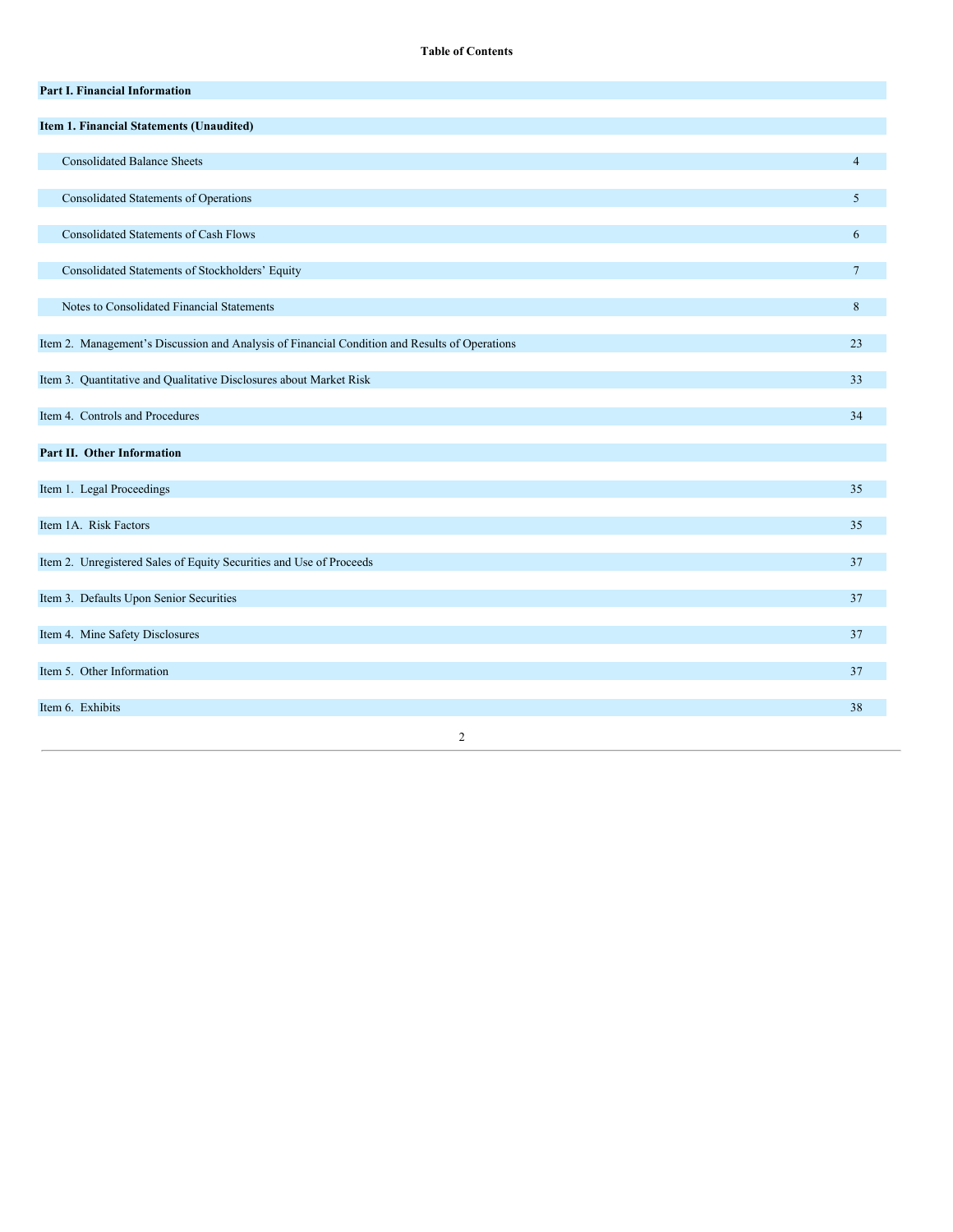**Table of Contents**

| <b>Part I. Financial Information</b>                                                          |                |
|-----------------------------------------------------------------------------------------------|----------------|
| Item 1. Financial Statements (Unaudited)                                                      |                |
| <b>Consolidated Balance Sheets</b>                                                            | $\overline{4}$ |
| Consolidated Statements of Operations                                                         | 5              |
| <b>Consolidated Statements of Cash Flows</b>                                                  | 6              |
| Consolidated Statements of Stockholders' Equity                                               | $\overline{7}$ |
| Notes to Consolidated Financial Statements                                                    | $8\phantom{.}$ |
| Item 2. Management's Discussion and Analysis of Financial Condition and Results of Operations | 23             |
| Item 3. Quantitative and Qualitative Disclosures about Market Risk                            | 33             |
| Item 4. Controls and Procedures                                                               | 34             |
| Part II. Other Information                                                                    |                |
| Item 1. Legal Proceedings                                                                     | 35             |
| Item 1A. Risk Factors                                                                         | 35             |
| Item 2. Unregistered Sales of Equity Securities and Use of Proceeds                           | 37             |
| Item 3. Defaults Upon Senior Securities                                                       | 37             |
| Item 4. Mine Safety Disclosures                                                               | 37             |
| Item 5. Other Information                                                                     | 37             |
| Item 6. Exhibits                                                                              | 38             |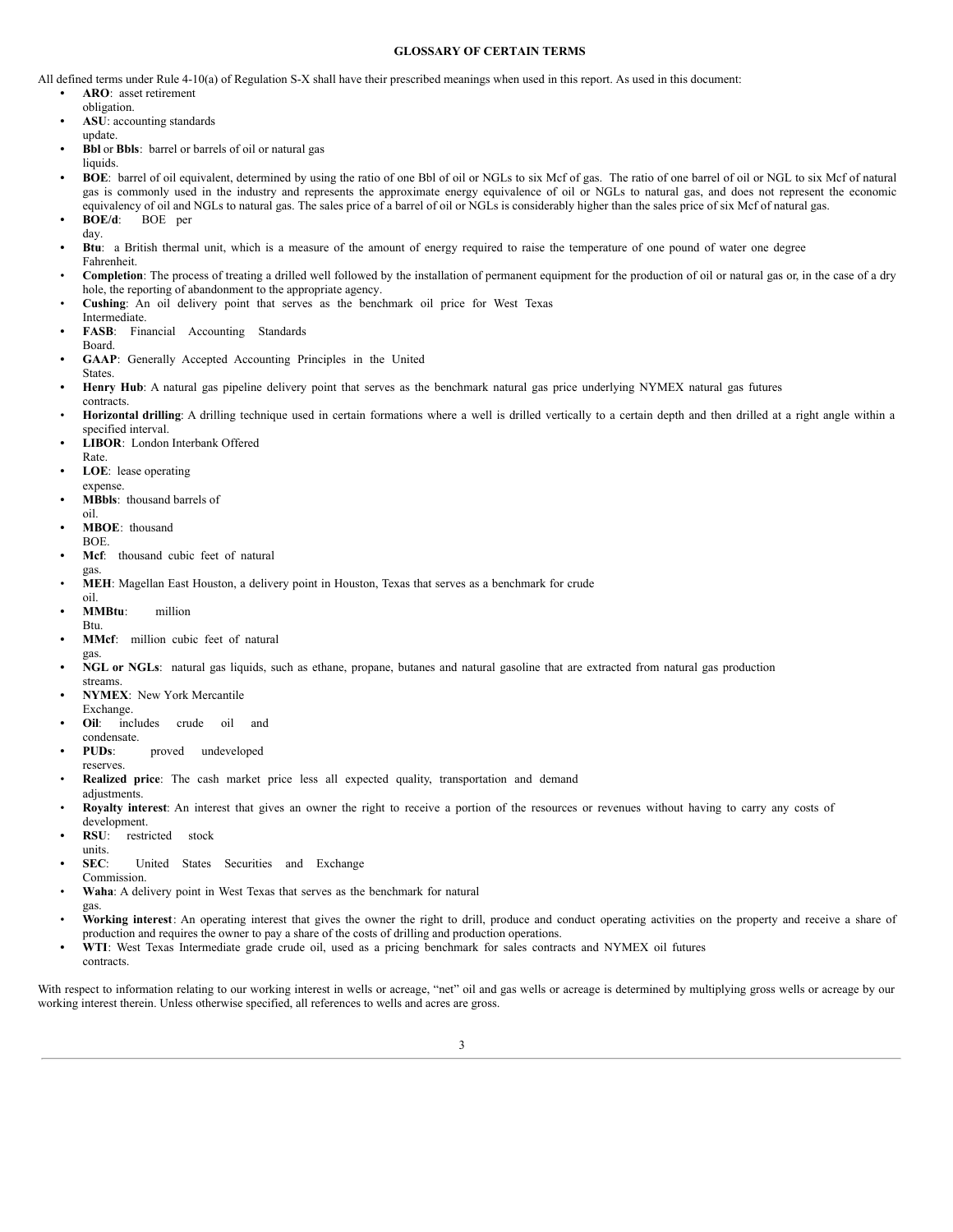#### **GLOSSARY OF CERTAIN TERMS**

All defined terms under Rule 4-10(a) of Regulation S-X shall have their prescribed meanings when used in this report. As used in this document:

**• ARO**: asset retirement

- obligation.
- **• ASU**: accounting standards update.
- 
- **• Bbl** or **Bbls**: barrel or barrels of oil or natural gas liquids.
- **• BOE**: barrel of oil equivalent, determined by using the ratio of one Bbl of oil or NGLs to six Mcf of gas. The ratio of one barrel of oil or NGL to six Mcf of natural gas is commonly used in the industry and represents the approximate energy equivalence of oil or NGLs to natural gas, and does not represent the economic equivalency of oil and NGLs to natural gas. The sales price of a barrel of oil or NGLs is considerably higher than the sales price of six Mcf of natural gas.
- **• BOE/d**: BOE per
- day.
- **• Btu**: a British thermal unit, which is a measure of the amount of energy required to raise the temperature of one pound of water one degree Fahrenheit.
- **Completion**: The process of treating a drilled well followed by the installation of permanent equipment for the production of oil or natural gas or, in the case of a dry hole, the reporting of abandonment to the appropriate agency.
- **Cushing**: An oil delivery point that serves as the benchmark oil price for West Texas
- Intermediate.
- **• FASB**: Financial Accounting Standards Board.
- **• GAAP**: Generally Accepted Accounting Principles in the United States.
- **• Henry Hub**: A natural gas pipeline delivery point that serves as the benchmark natural gas price underlying NYMEX natural gas futures contracts.
- Horizontal drilling: A drilling technique used in certain formations where a well is drilled vertically to a certain depth and then drilled at a right angle within a specified interval.
- **• LIBOR**: London Interbank Offered Rate.
- **• LOE**: lease operating
- expense.
- **• MBbls**: thousand barrels of oil.
- **• MBOE**: thousand
- BOE.
- **• Mcf**: thousand cubic feet of natural gas.
- **MEH**: Magellan East Houston, a delivery point in Houston, Texas that serves as a benchmark for crude
- oil. **• MMBtu**: million
- Btu.

gas.

- **• MMcf**: million cubic feet of natural
- **• NGL or NGLs**: natural gas liquids, such as ethane, propane, butanes and natural gasoline that are extracted from natural gas production
- streams. **• NYMEX**: New York Mercantile
- Exchange. **Oil:** includes crude oil and
- condensate.
- **• PUDs**: proved undeveloped reserves.
- **Realized price**: The cash market price less all expected quality, transportation and demand
- adjustments. • **Royalty interest**: An interest that gives an owner the right to receive a portion of the resources or revenues without having to carry any costs of development.
- **• RSU**: restricted stock
- units. **SEC:** United States Securities and Exchange
- Commission.
- **Waha**: A delivery point in West Texas that serves as the benchmark for natural gas.
- **Working interest**: An operating interest that gives the owner the right to drill, produce and conduct operating activities on the property and receive a share of production and requires the owner to pay a share of the costs of drilling and production operations.
- **• WTI**: West Texas Intermediate grade crude oil, used as a pricing benchmark for sales contracts and NYMEX oil futures contracts.

With respect to information relating to our working interest in wells or acreage, "net" oil and gas wells or acreage is determined by multiplying gross wells or acreage by our working interest therein. Unless otherwise specified, all references to wells and acres are gross.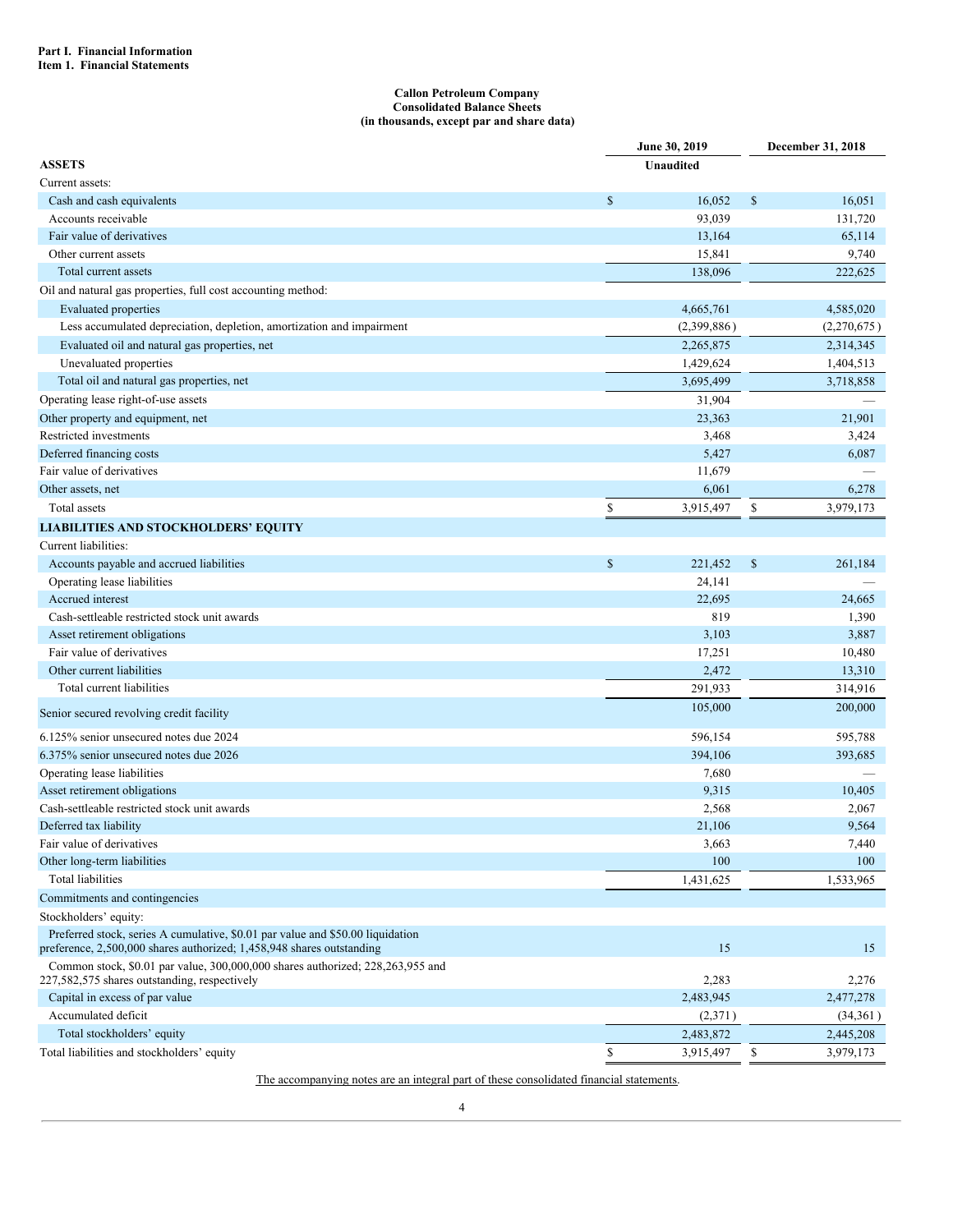## **Callon Petroleum Company Consolidated Balance Sheets (in thousands, except par and share data)**

|                                                                                                                                                         | June 30, 2019   |              | December 31, 2018 |
|---------------------------------------------------------------------------------------------------------------------------------------------------------|-----------------|--------------|-------------------|
| <b>ASSETS</b>                                                                                                                                           | Unaudited       |              |                   |
| Current assets:                                                                                                                                         |                 |              |                   |
| Cash and cash equivalents                                                                                                                               | \$<br>16,052    | $\mathbb{S}$ | 16,051            |
| Accounts receivable                                                                                                                                     | 93,039          |              | 131,720           |
| Fair value of derivatives                                                                                                                               | 13,164          |              | 65,114            |
| Other current assets                                                                                                                                    | 15,841          |              | 9,740             |
| Total current assets                                                                                                                                    | 138,096         |              | 222,625           |
| Oil and natural gas properties, full cost accounting method:                                                                                            |                 |              |                   |
| <b>Evaluated</b> properties                                                                                                                             | 4,665,761       |              | 4,585,020         |
| Less accumulated depreciation, depletion, amortization and impairment                                                                                   | (2,399,886)     |              | (2,270,675)       |
| Evaluated oil and natural gas properties, net                                                                                                           | 2,265,875       |              | 2,314,345         |
| Unevaluated properties                                                                                                                                  | 1,429,624       |              | 1,404,513         |
| Total oil and natural gas properties, net                                                                                                               | 3,695,499       |              | 3,718,858         |
| Operating lease right-of-use assets                                                                                                                     | 31,904          |              |                   |
| Other property and equipment, net                                                                                                                       | 23,363          |              | 21,901            |
| Restricted investments                                                                                                                                  | 3,468           |              | 3,424             |
| Deferred financing costs                                                                                                                                | 5,427           |              | 6,087             |
| Fair value of derivatives                                                                                                                               | 11,679          |              |                   |
| Other assets, net                                                                                                                                       | 6,061           |              | 6,278             |
| Total assets                                                                                                                                            | \$<br>3,915,497 | $\mathbb S$  | 3,979,173         |
| <b>LIABILITIES AND STOCKHOLDERS' EQUITY</b>                                                                                                             |                 |              |                   |
| Current liabilities:                                                                                                                                    |                 |              |                   |
| Accounts payable and accrued liabilities                                                                                                                | \$<br>221,452   | $\mathbb{S}$ | 261,184           |
| Operating lease liabilities                                                                                                                             | 24,141          |              |                   |
| Accrued interest                                                                                                                                        | 22,695          |              | 24,665            |
| Cash-settleable restricted stock unit awards                                                                                                            | 819             |              | 1,390             |
| Asset retirement obligations                                                                                                                            | 3,103           |              | 3,887             |
| Fair value of derivatives                                                                                                                               | 17,251          |              | 10,480            |
| Other current liabilities                                                                                                                               | 2,472           |              | 13,310            |
| Total current liabilities                                                                                                                               | 291,933         |              | 314,916           |
| Senior secured revolving credit facility                                                                                                                | 105,000         |              | 200,000           |
| 6.125% senior unsecured notes due 2024                                                                                                                  | 596,154         |              | 595,788           |
| 6.375% senior unsecured notes due 2026                                                                                                                  | 394,106         |              | 393,685           |
| Operating lease liabilities                                                                                                                             | 7,680           |              |                   |
| Asset retirement obligations                                                                                                                            | 9,315           |              | 10,405            |
| Cash-settleable restricted stock unit awards                                                                                                            | 2,568           |              | 2,067             |
| Deferred tax liability                                                                                                                                  | 21,106          |              | 9,564             |
| Fair value of derivatives                                                                                                                               | 3,663           |              | 7,440             |
| Other long-term liabilities                                                                                                                             | 100             |              | 100               |
| <b>Total liabilities</b>                                                                                                                                | 1,431,625       |              | 1,533,965         |
| Commitments and contingencies                                                                                                                           |                 |              |                   |
| Stockholders' equity:                                                                                                                                   |                 |              |                   |
| Preferred stock, series A cumulative, \$0.01 par value and \$50.00 liquidation                                                                          |                 |              |                   |
| preference, 2,500,000 shares authorized; 1,458,948 shares outstanding<br>Common stock, \$0.01 par value, 300,000,000 shares authorized; 228,263,955 and | 15              |              | 15                |
| 227,582,575 shares outstanding, respectively                                                                                                            | 2,283           |              | 2,276             |
| Capital in excess of par value                                                                                                                          | 2,483,945       |              | 2,477,278         |
| Accumulated deficit                                                                                                                                     | (2,371)         |              | (34, 361)         |
| Total stockholders' equity                                                                                                                              | 2,483,872       |              | 2,445,208         |
| Total liabilities and stockholders' equity                                                                                                              | \$<br>3,915,497 | \$           | 3,979,173         |

The accompanying notes are an integral part of these consolidated financial statements.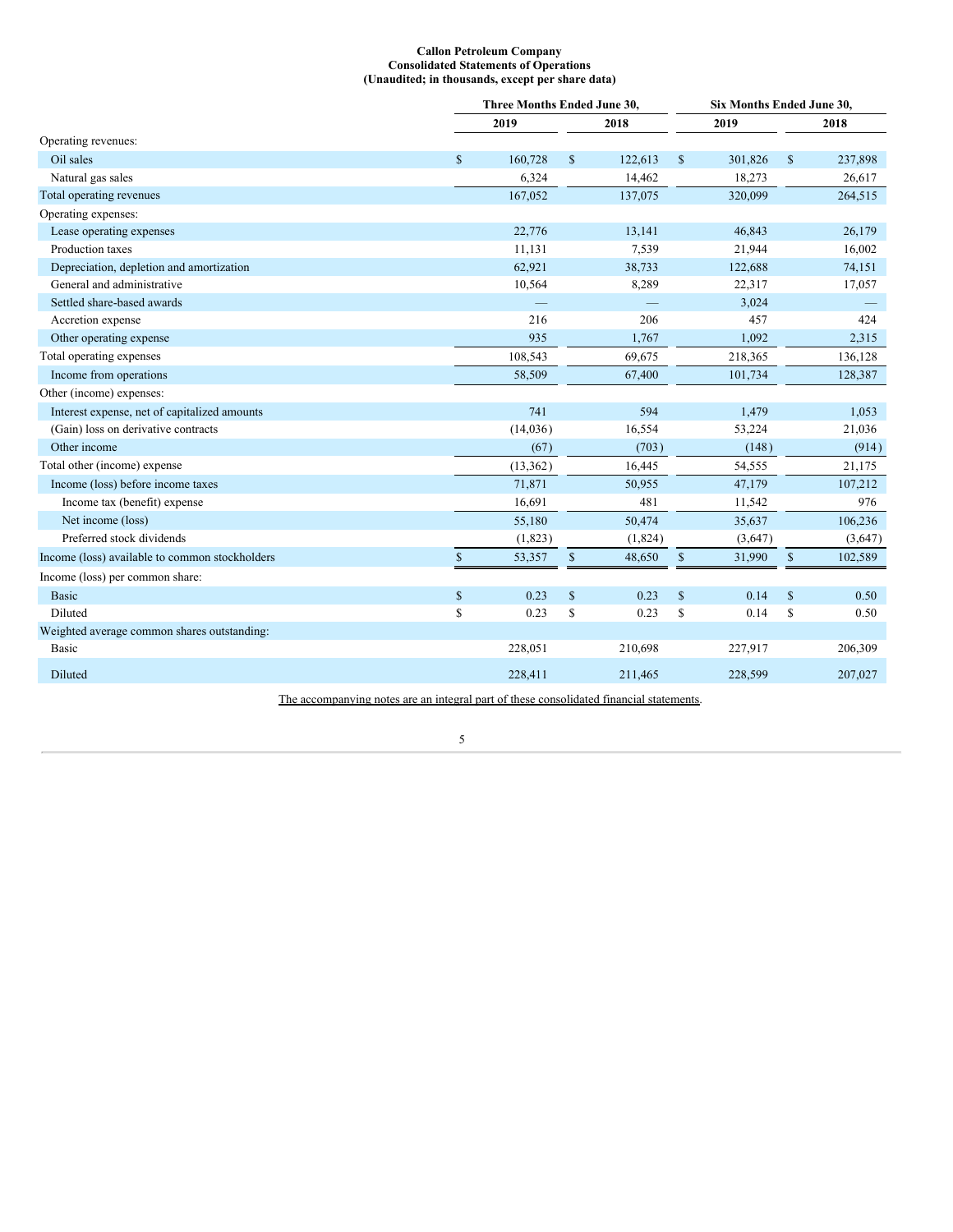#### **Callon Petroleum Company Consolidated Statements of Operations (Unaudited; in thousands, except per share data)**

|                                                | Three Months Ended June 30, |              |         |              |         | <b>Six Months Ended June 30,</b> |         |  |  |  |
|------------------------------------------------|-----------------------------|--------------|---------|--------------|---------|----------------------------------|---------|--|--|--|
|                                                | 2019                        |              | 2018    | 2019         |         | 2018                             |         |  |  |  |
| Operating revenues:                            |                             |              |         |              |         |                                  |         |  |  |  |
| Oil sales                                      | \$<br>160,728               | $\mathbb{S}$ | 122,613 | $\mathbb{S}$ | 301,826 | $\mathbb{S}$                     | 237,898 |  |  |  |
| Natural gas sales                              | 6,324                       |              | 14,462  |              | 18,273  |                                  | 26,617  |  |  |  |
| Total operating revenues                       | 167,052                     |              | 137,075 |              | 320,099 |                                  | 264,515 |  |  |  |
| Operating expenses:                            |                             |              |         |              |         |                                  |         |  |  |  |
| Lease operating expenses                       | 22,776                      |              | 13,141  |              | 46,843  |                                  | 26,179  |  |  |  |
| Production taxes                               | 11,131                      |              | 7,539   |              | 21,944  |                                  | 16,002  |  |  |  |
| Depreciation, depletion and amortization       | 62,921                      |              | 38,733  |              | 122,688 |                                  | 74,151  |  |  |  |
| General and administrative                     | 10,564                      |              | 8,289   |              | 22,317  |                                  | 17,057  |  |  |  |
| Settled share-based awards                     |                             |              |         |              | 3,024   |                                  |         |  |  |  |
| Accretion expense                              | 216                         |              | 206     |              | 457     |                                  | 424     |  |  |  |
| Other operating expense                        | 935                         |              | 1,767   |              | 1,092   |                                  | 2,315   |  |  |  |
| Total operating expenses                       | 108,543                     |              | 69,675  |              | 218,365 |                                  | 136,128 |  |  |  |
| Income from operations                         | 58,509                      |              | 67,400  |              | 101,734 |                                  | 128,387 |  |  |  |
| Other (income) expenses:                       |                             |              |         |              |         |                                  |         |  |  |  |
| Interest expense, net of capitalized amounts   | 741                         |              | 594     |              | 1,479   |                                  | 1,053   |  |  |  |
| (Gain) loss on derivative contracts            | (14,036)                    |              | 16,554  |              | 53,224  |                                  | 21,036  |  |  |  |
| Other income                                   | (67)                        |              | (703)   |              | (148)   |                                  | (914)   |  |  |  |
| Total other (income) expense                   | (13, 362)                   |              | 16,445  |              | 54,555  |                                  | 21,175  |  |  |  |
| Income (loss) before income taxes              | 71,871                      |              | 50,955  |              | 47,179  |                                  | 107,212 |  |  |  |
| Income tax (benefit) expense                   | 16,691                      |              | 481     |              | 11,542  |                                  | 976     |  |  |  |
| Net income (loss)                              | 55,180                      |              | 50,474  |              | 35,637  |                                  | 106,236 |  |  |  |
| Preferred stock dividends                      | (1,823)                     |              | (1,824) |              | (3,647) |                                  | (3,647) |  |  |  |
| Income (loss) available to common stockholders | \$<br>53,357                | $\mathbb{S}$ | 48,650  | $\mathbb{S}$ | 31,990  | $\mathbb{S}$                     | 102,589 |  |  |  |
| Income (loss) per common share:                |                             |              |         |              |         |                                  |         |  |  |  |
| <b>Basic</b>                                   | \$<br>0.23                  | $\mathbb{S}$ | 0.23    | $\mathbb{S}$ | 0.14    | \$                               | 0.50    |  |  |  |
| <b>Diluted</b>                                 | \$<br>0.23                  | \$           | 0.23    | \$           | 0.14    | \$                               | 0.50    |  |  |  |
| Weighted average common shares outstanding:    |                             |              |         |              |         |                                  |         |  |  |  |
| <b>Basic</b>                                   | 228,051                     |              | 210,698 |              | 227,917 |                                  | 206,309 |  |  |  |
| Diluted                                        | 228,411                     |              | 211,465 |              | 228,599 |                                  | 207,027 |  |  |  |

The accompanying notes are an integral part of these consolidated financial statements.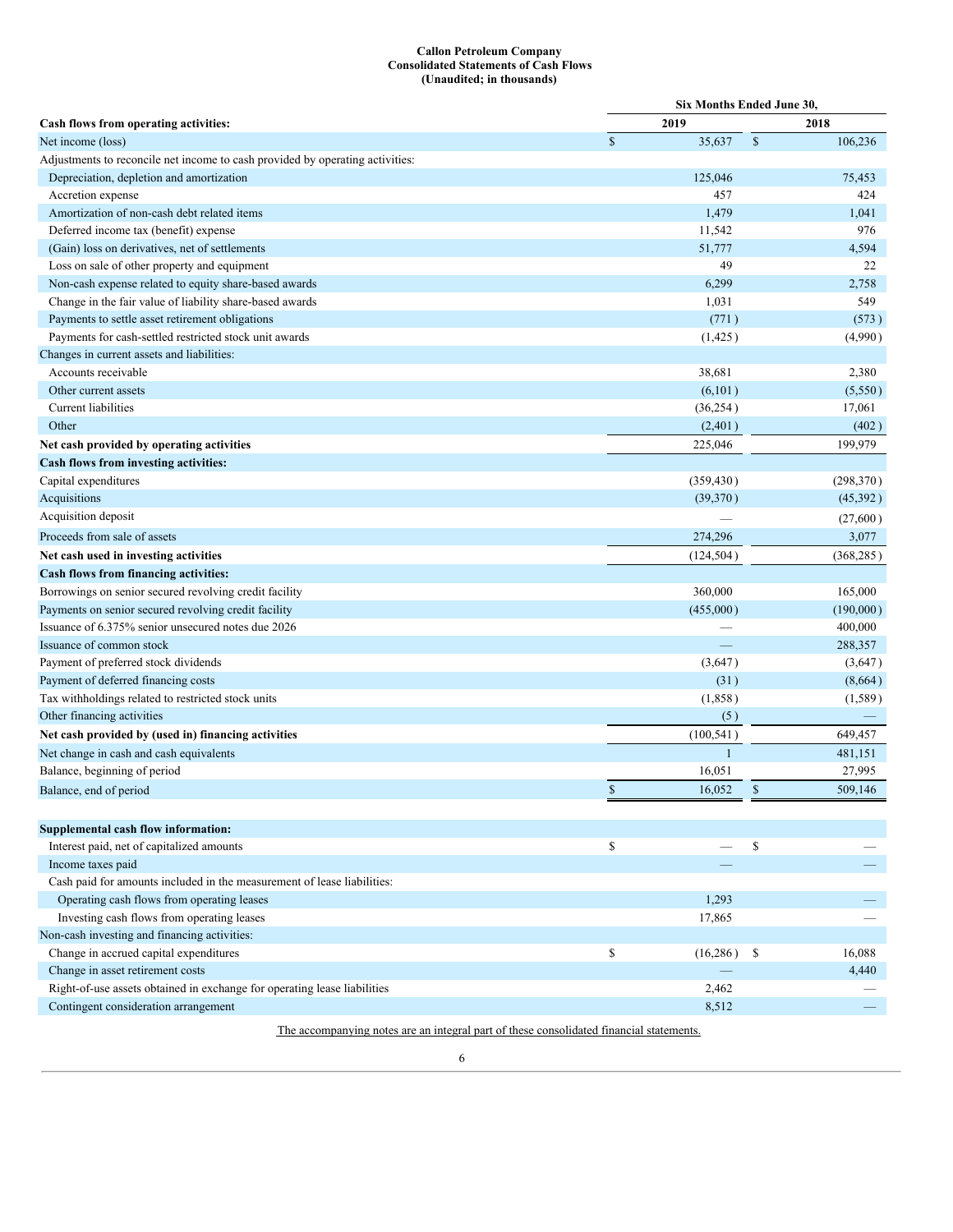#### **Callon Petroleum Company Consolidated Statements of Cash Flows (Unaudited; in thousands)**

|                                                                               | Six Months Ended June 30, |              |               |            |  |  |  |
|-------------------------------------------------------------------------------|---------------------------|--------------|---------------|------------|--|--|--|
| Cash flows from operating activities:                                         |                           | 2019         |               | 2018       |  |  |  |
| Net income (loss)                                                             | $\mathbb{S}$              | 35,637       | $\mathbb{S}$  | 106,236    |  |  |  |
| Adjustments to reconcile net income to cash provided by operating activities: |                           |              |               |            |  |  |  |
| Depreciation, depletion and amortization                                      |                           | 125,046      |               | 75,453     |  |  |  |
| Accretion expense                                                             |                           | 457          |               | 424        |  |  |  |
| Amortization of non-cash debt related items                                   |                           | 1,479        |               | 1,041      |  |  |  |
| Deferred income tax (benefit) expense                                         |                           | 11,542       |               | 976        |  |  |  |
| (Gain) loss on derivatives, net of settlements                                |                           | 51,777       |               | 4,594      |  |  |  |
| Loss on sale of other property and equipment                                  |                           | 49           |               | 22         |  |  |  |
| Non-cash expense related to equity share-based awards                         |                           | 6,299        |               | 2,758      |  |  |  |
| Change in the fair value of liability share-based awards                      |                           | 1,031        |               | 549        |  |  |  |
| Payments to settle asset retirement obligations                               |                           | (771)        |               | (573)      |  |  |  |
| Payments for cash-settled restricted stock unit awards                        |                           | (1, 425)     |               | (4,990)    |  |  |  |
| Changes in current assets and liabilities:                                    |                           |              |               |            |  |  |  |
| Accounts receivable                                                           |                           | 38,681       |               | 2,380      |  |  |  |
| Other current assets                                                          |                           | (6,101)      |               | (5,550)    |  |  |  |
| Current liabilities                                                           |                           | (36, 254)    |               | 17,061     |  |  |  |
| Other                                                                         |                           | (2,401)      |               | (402)      |  |  |  |
| Net cash provided by operating activities                                     |                           | 225,046      |               | 199,979    |  |  |  |
| Cash flows from investing activities:                                         |                           |              |               |            |  |  |  |
| Capital expenditures                                                          |                           | (359, 430)   |               | (298, 370) |  |  |  |
| Acquisitions                                                                  |                           | (39,370)     |               | (45,392)   |  |  |  |
| Acquisition deposit                                                           |                           |              |               |            |  |  |  |
|                                                                               |                           |              |               | (27,600)   |  |  |  |
| Proceeds from sale of assets                                                  |                           | 274,296      |               | 3,077      |  |  |  |
| Net cash used in investing activities                                         |                           | (124, 504)   |               | (368, 285) |  |  |  |
| Cash flows from financing activities:                                         |                           |              |               |            |  |  |  |
| Borrowings on senior secured revolving credit facility                        |                           | 360,000      |               | 165,000    |  |  |  |
| Payments on senior secured revolving credit facility                          |                           | (455,000)    |               | (190,000)  |  |  |  |
| Issuance of 6.375% senior unsecured notes due 2026                            |                           |              |               | 400,000    |  |  |  |
| Issuance of common stock                                                      |                           |              |               | 288,357    |  |  |  |
| Payment of preferred stock dividends                                          |                           | (3,647)      |               | (3,647)    |  |  |  |
| Payment of deferred financing costs                                           |                           | (31)         |               | (8,664)    |  |  |  |
| Tax withholdings related to restricted stock units                            |                           | (1,858)      |               | (1,589)    |  |  |  |
| Other financing activities                                                    |                           | (5)          |               |            |  |  |  |
| Net cash provided by (used in) financing activities                           |                           | (100, 541)   |               | 649,457    |  |  |  |
| Net change in cash and cash equivalents                                       |                           | $\mathbf{1}$ |               | 481,151    |  |  |  |
| Balance, beginning of period                                                  |                           | 16,051       |               | 27,995     |  |  |  |
| Balance, end of period                                                        | \$                        | 16,052       | $\mathsf{\$}$ | 509.146    |  |  |  |
|                                                                               |                           |              |               |            |  |  |  |
| Supplemental cash flow information:                                           |                           |              |               |            |  |  |  |
| Interest paid, net of capitalized amounts                                     | \$                        |              | \$            |            |  |  |  |
| Income taxes paid                                                             |                           |              |               |            |  |  |  |
| Cash paid for amounts included in the measurement of lease liabilities:       |                           |              |               |            |  |  |  |
| Operating cash flows from operating leases                                    |                           | 1,293        |               |            |  |  |  |
| Investing cash flows from operating leases                                    |                           | 17,865       |               |            |  |  |  |
| Non-cash investing and financing activities:                                  |                           |              |               |            |  |  |  |
| Change in accrued capital expenditures                                        | \$                        | (16, 286)    | \$            | 16,088     |  |  |  |
| Change in asset retirement costs                                              |                           |              |               | 4,440      |  |  |  |
| Right-of-use assets obtained in exchange for operating lease liabilities      |                           | 2,462        |               |            |  |  |  |
| Contingent consideration arrangement                                          |                           | 8,512        |               |            |  |  |  |
|                                                                               |                           |              |               |            |  |  |  |

The accompanying notes are an integral part of these consolidated financial statements.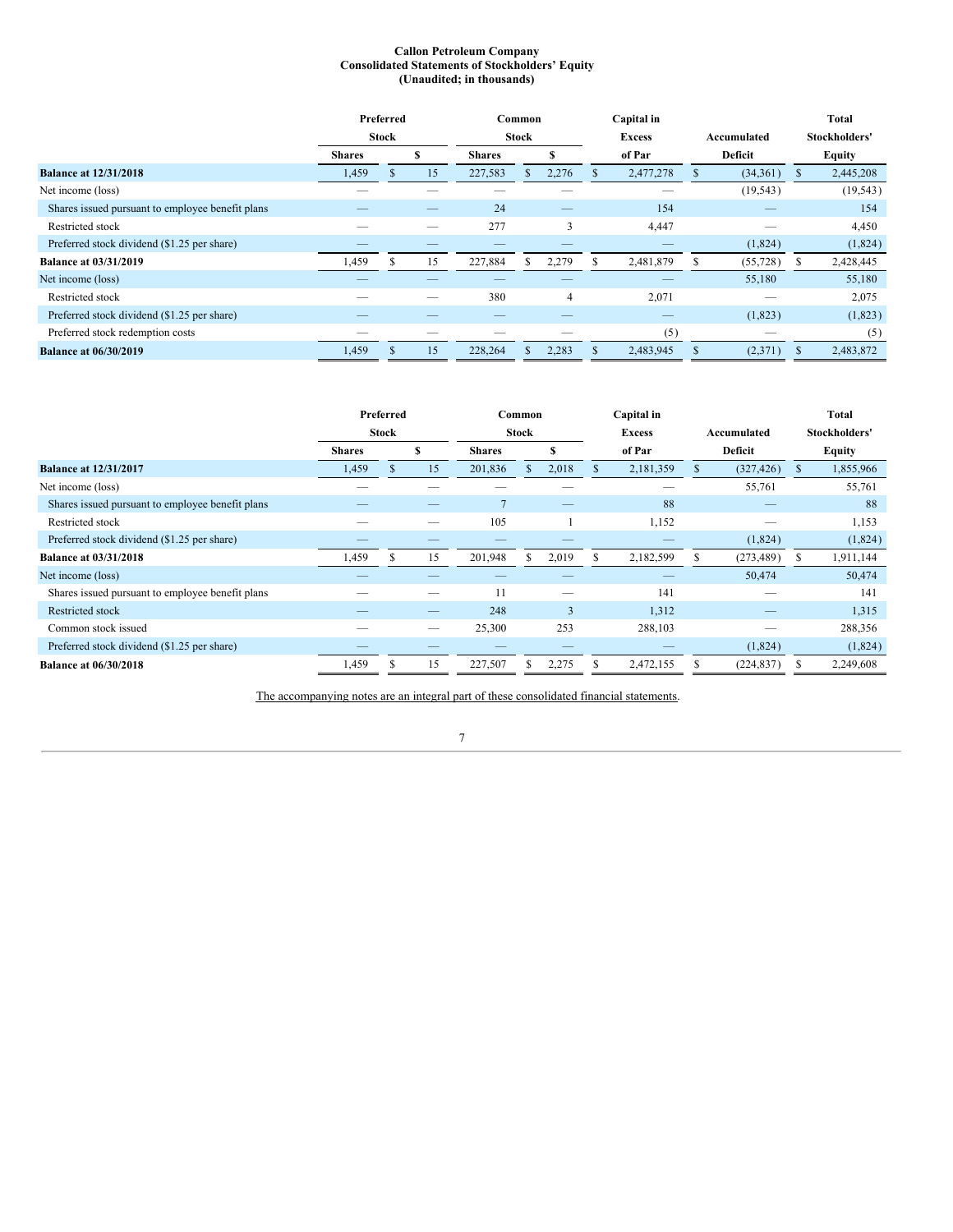#### **Callon Petroleum Company Consolidated Statements of Stockholders' Equity (Unaudited; in thousands)**

|                                                  | Preferred                |   | Common       |               | Capital in    |                          |             |           |               | Total     |    |           |
|--------------------------------------------------|--------------------------|---|--------------|---------------|---------------|--------------------------|-------------|-----------|---------------|-----------|----|-----------|
|                                                  | <b>Stock</b>             |   | <b>Stock</b> |               | <b>Excess</b> |                          | Accumulated |           | Stockholders' |           |    |           |
|                                                  | <b>Shares</b>            |   | э            | <b>Shares</b> |               |                          |             | of Par    |               | Deficit   |    | Equity    |
| <b>Balance at 12/31/2018</b>                     | 1,459                    |   | 15           | 227,583       |               | 2,276                    |             | 2,477,278 |               | (34,361)  | \$ | 2,445,208 |
| Net income (loss)                                |                          |   |              |               |               |                          |             |           |               | (19, 543) |    | (19, 543) |
| Shares issued pursuant to employee benefit plans |                          |   | --           | 24            |               | $\overline{\phantom{a}}$ |             | 154       |               | __        |    | 154       |
| Restricted stock                                 |                          |   |              | 277           |               | 3                        |             | 4,447     |               |           |    | 4,450     |
| Preferred stock dividend (\$1.25 per share)      |                          |   |              |               |               |                          |             |           |               | (1,824)   |    | (1,824)   |
| <b>Balance at 03/31/2019</b>                     | 1,459                    | ъ | 15           | 227,884       |               | 2,279                    |             | 2,481,879 | S             | (55, 728) | ъ  | 2,428,445 |
| Net income (loss)                                |                          |   |              |               |               |                          |             |           |               | 55,180    |    | 55,180    |
| Restricted stock                                 |                          |   |              | 380           |               | 4                        |             | 2,071     |               |           |    | 2,075     |
| Preferred stock dividend (\$1.25 per share)      | $\overline{\phantom{a}}$ |   |              |               |               | --                       |             | —         |               | (1,823)   |    | (1,823)   |
| Preferred stock redemption costs                 |                          |   |              |               |               |                          |             | (5)       |               |           |    | (5)       |
| <b>Balance at 06/30/2019</b>                     | 1,459                    |   | 15           | 228,264       |               | 2,283                    |             | 2,483,945 |               | (2,371)   |    | 2,483,872 |

|                                                  | Preferred<br><b>Stock</b> |   | Common<br>Stock |               |    |               | Capital in |             |                          | Total |               |
|--------------------------------------------------|---------------------------|---|-----------------|---------------|----|---------------|------------|-------------|--------------------------|-------|---------------|
|                                                  |                           |   |                 |               |    | <b>Excess</b> |            | Accumulated | <b>Stockholders'</b>     |       |               |
|                                                  | <b>Shares</b>             |   | s               | <b>Shares</b> |    | S             |            | of Par      | Deficit                  |       | <b>Equity</b> |
| <b>Balance at 12/31/2017</b>                     | 1,459                     |   | 15              | 201,836       | ъ  | 2,018         |            | 2,181,359   | (327, 426)               | \$    | 1,855,966     |
| Net income (loss)                                |                           |   |                 |               |    |               |            |             | 55,761                   |       | 55,761        |
| Shares issued pursuant to employee benefit plans |                           |   |                 |               |    |               |            | 88          | $\overline{\phantom{a}}$ |       | 88            |
| Restricted stock                                 |                           |   |                 | 105           |    |               |            | 1,152       |                          |       | 1,153         |
| Preferred stock dividend (\$1.25 per share)      |                           |   |                 |               |    |               |            |             | (1,824)                  |       | (1,824)       |
| <b>Balance at 03/31/2018</b>                     | 1,459                     | ж | 15              | 201,948       | S  | 2,019         | S.         | 2,182,599   | (273, 489)               | ъ     | 1,911,144     |
| Net income (loss)                                |                           |   |                 |               |    |               |            |             | 50,474                   |       | 50,474        |
| Shares issued pursuant to employee benefit plans |                           |   |                 | 11            |    |               |            | 141         |                          |       | 141           |
| Restricted stock                                 |                           |   |                 | 248           |    | 3             |            | 1,312       |                          |       | 1,315         |
| Common stock issued                              |                           |   |                 | 25,300        |    | 253           |            | 288,103     |                          |       | 288,356       |
| Preferred stock dividend (\$1.25 per share)      |                           |   |                 |               |    |               |            |             | (1,824)                  |       | (1,824)       |
| <b>Balance at 06/30/2018</b>                     | 1,459                     |   | 15              | 227,507       | ъ. | 2,275         |            | 2,472,155   | (224, 837)               |       | 2,249,608     |

The accompanying notes are an integral part of these consolidated financial statements.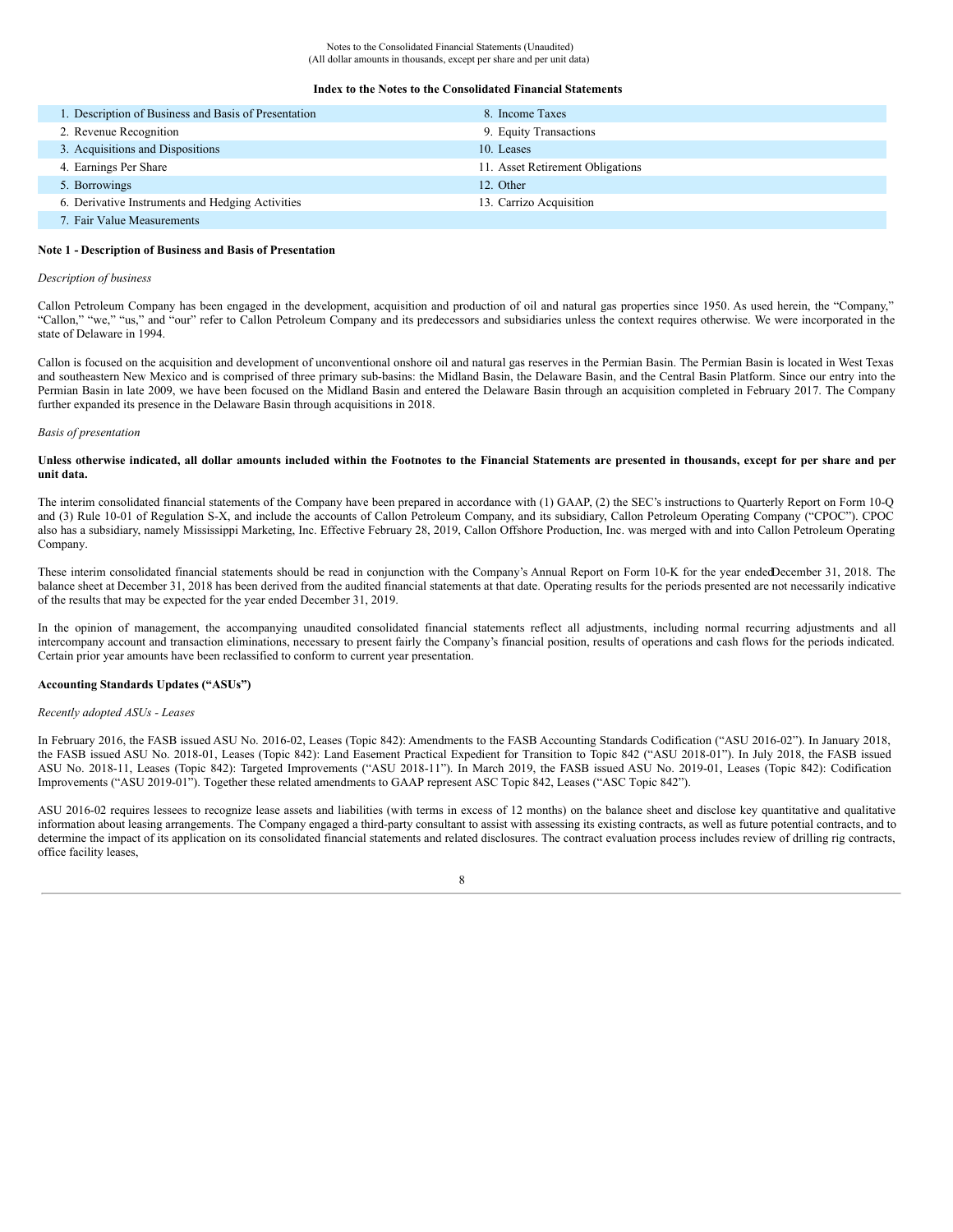#### **Index to the Notes to the Consolidated Financial Statements**

| 1. Description of Business and Basis of Presentation | 8. Income Taxes                  |
|------------------------------------------------------|----------------------------------|
| 2. Revenue Recognition                               | 9. Equity Transactions           |
| 3. Acquisitions and Dispositions                     | 10. Leases                       |
| 4. Earnings Per Share                                | 11. Asset Retirement Obligations |
| 5. Borrowings                                        | 12. Other                        |
| 6. Derivative Instruments and Hedging Activities     | 13. Carrizo Acquisition          |
| 7. Fair Value Measurements                           |                                  |

#### **Note 1 - Description of Business and Basis of Presentation**

#### *Description of business*

Callon Petroleum Company has been engaged in the development, acquisition and production of oil and natural gas properties since 1950. As used herein, the "Company," "Callon," "we," "us," and "our" refer to Callon Petroleum Company and its predecessors and subsidiaries unless the context requires otherwise. We were incorporated in the state of Delaware in 1994.

Callon is focused on the acquisition and development of unconventional onshore oil and natural gas reserves in the Permian Basin. The Permian Basin is located in West Texas and southeastern New Mexico and is comprised of three primary sub-basins: the Midland Basin, the Delaware Basin, and the Central Basin Platform. Since our entry into the Permian Basin in late 2009, we have been focused on the Midland Basin and entered the Delaware Basin through an acquisition completed in February 2017. The Company further expanded its presence in the Delaware Basin through acquisitions in 2018.

#### *Basis of presentation*

#### Unless otherwise indicated, all dollar amounts included within the Footnotes to the Financial Statements are presented in thousands, except for per share and per **unit data.**

The interim consolidated financial statements of the Company have been prepared in accordance with (1) GAAP, (2) the SEC's instructions to Quarterly Report on Form 10-Q and (3) Rule 10-01 of Regulation S-X, and include the accounts of Callon Petroleum Company, and its subsidiary, Callon Petroleum Operating Company ("CPOC"). CPOC also has a subsidiary, namely Mississippi Marketing, Inc. Effective February 28, 2019, Callon Offshore Production, Inc. was merged with and into Callon Petroleum Operating Company.

These interim consolidated financial statements should be read in conjunction with the Company's Annual Report on Form 10-K for the year endedDecember 31, 2018. The balance sheet at December 31, 2018 has been derived from the audited financial statements at that date. Operating results for the periods presented are not necessarily indicative of the results that may be expected for the year ended December 31, 2019.

In the opinion of management, the accompanying unaudited consolidated financial statements reflect all adjustments, including normal recurring adjustments and all intercompany account and transaction eliminations, necessary to present fairly the Company's financial position, results of operations and cash flows for the periods indicated. Certain prior year amounts have been reclassified to conform to current year presentation.

#### **Accounting Standards Updates ("ASUs")**

#### *Recently adopted ASUs - Leases*

In February 2016, the FASB issued ASU No. 2016-02, Leases (Topic 842): Amendments to the FASB Accounting Standards Codification ("ASU 2016-02"). In January 2018, the FASB issued ASU No. 2018-01, Leases (Topic 842): Land Easement Practical Expedient for Transition to Topic 842 ("ASU 2018-01"). In July 2018, the FASB issued ASU No. 2018-11, Leases (Topic 842): Targeted Improvements ("ASU 2018-11"). In March 2019, the FASB issued ASU No. 2019-01, Leases (Topic 842): Codification Improvements ("ASU 2019-01"). Together these related amendments to GAAP represent ASC Topic 842, Leases ("ASC Topic 842").

ASU 2016-02 requires lessees to recognize lease assets and liabilities (with terms in excess of 12 months) on the balance sheet and disclose key quantitative and qualitative information about leasing arrangements. The Company engaged a third-party consultant to assist with assessing its existing contracts, as well as future potential contracts, and to determine the impact of its application on its consolidated financial statements and related disclosures. The contract evaluation process includes review of drilling rig contracts, office facility leases,

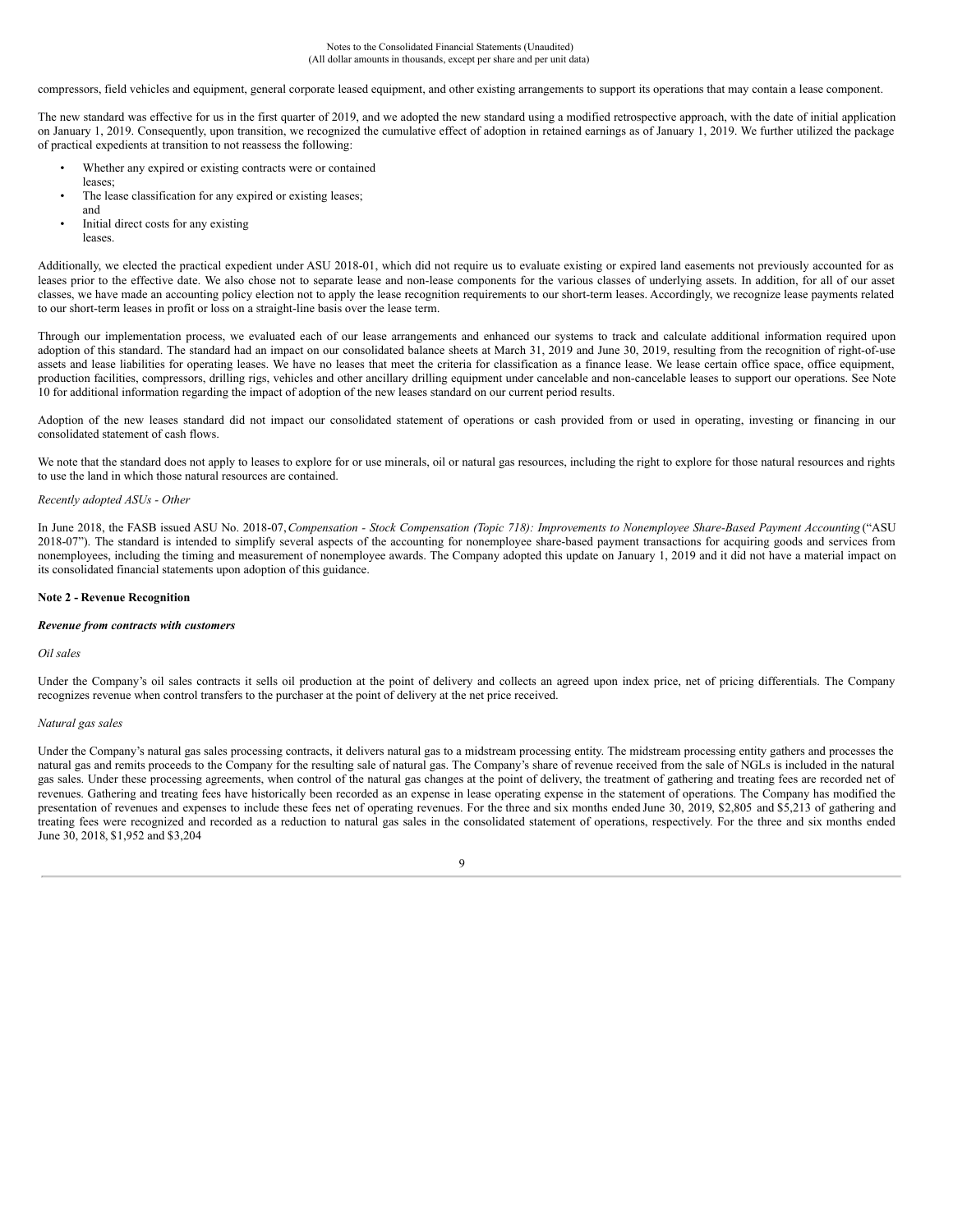Notes to the Consolidated Financial Statements (Unaudited) (All dollar amounts in thousands, except per share and per unit data)

compressors, field vehicles and equipment, general corporate leased equipment, and other existing arrangements to support its operations that may contain a lease component.

The new standard was effective for us in the first quarter of 2019, and we adopted the new standard using a modified retrospective approach, with the date of initial application on January 1, 2019. Consequently, upon transition, we recognized the cumulative effect of adoption in retained earnings as of January 1, 2019. We further utilized the package of practical expedients at transition to not reassess the following:

- Whether any expired or existing contracts were or contained
- leases;
- The lease classification for any expired or existing leases;
- and Initial direct costs for any existing
- leases.

Additionally, we elected the practical expedient under ASU 2018-01, which did not require us to evaluate existing or expired land easements not previously accounted for as leases prior to the effective date. We also chose not to separate lease and non-lease components for the various classes of underlying assets. In addition, for all of our asset classes, we have made an accounting policy election not to apply the lease recognition requirements to our short-term leases. Accordingly, we recognize lease payments related to our short-term leases in profit or loss on a straight-line basis over the lease term.

Through our implementation process, we evaluated each of our lease arrangements and enhanced our systems to track and calculate additional information required upon adoption of this standard. The standard had an impact on our consolidated balance sheets at March 31, 2019 and June 30, 2019, resulting from the recognition of right-of-use assets and lease liabilities for operating leases. We have no leases that meet the criteria for classification as a finance lease. We lease certain office space, office equipment, production facilities, compressors, drilling rigs, vehicles and other ancillary drilling equipment under cancelable and non-cancelable leases to support our operations. See Note 10 for additional information regarding the impact of adoption of the new leases standard on our current period results.

Adoption of the new leases standard did not impact our consolidated statement of operations or cash provided from or used in operating, investing or financing in our consolidated statement of cash flows.

We note that the standard does not apply to leases to explore for or use minerals, oil or natural gas resources, including the right to explore for those natural resources and rights to use the land in which those natural resources are contained.

#### *Recently adopted ASUs - Other*

In June 2018, the FASB issued ASU No. 2018-07, Compensation - Stock Compensation (Topic 718): Improvements to Nonemployee Share-Based Payment Accounting ("ASU 2018-07"). The standard is intended to simplify several aspects of the accounting for nonemployee share-based payment transactions for acquiring goods and services from nonemployees, including the timing and measurement of nonemployee awards. The Company adopted this update on January 1, 2019 and it did not have a material impact on its consolidated financial statements upon adoption of this guidance.

#### **Note 2 - Revenue Recognition**

#### *Revenue from contracts with customers*

#### *Oil sales*

Under the Company's oil sales contracts it sells oil production at the point of delivery and collects an agreed upon index price, net of pricing differentials. The Company recognizes revenue when control transfers to the purchaser at the point of delivery at the net price received.

#### *Natural gas sales*

Under the Company's natural gas sales processing contracts, it delivers natural gas to a midstream processing entity. The midstream processing entity gathers and processes the natural gas and remits proceeds to the Company for the resulting sale of natural gas. The Company's share of revenue received from the sale of NGLs is included in the natural gas sales. Under these processing agreements, when control of the natural gas changes at the point of delivery, the treatment of gathering and treating fees are recorded net of revenues. Gathering and treating fees have historically been recorded as an expense in lease operating expense in the statement of operations. The Company has modified the presentation of revenues and expenses to include these fees net of operating revenues. For the three and six months ended June 30, 2019, \$2,805 and \$5,213 of gathering and treating fees were recognized and recorded as a reduction to natural gas sales in the consolidated statement of operations, respectively. For the three and six months ended June 30, 2018, \$1,952 and \$3,204

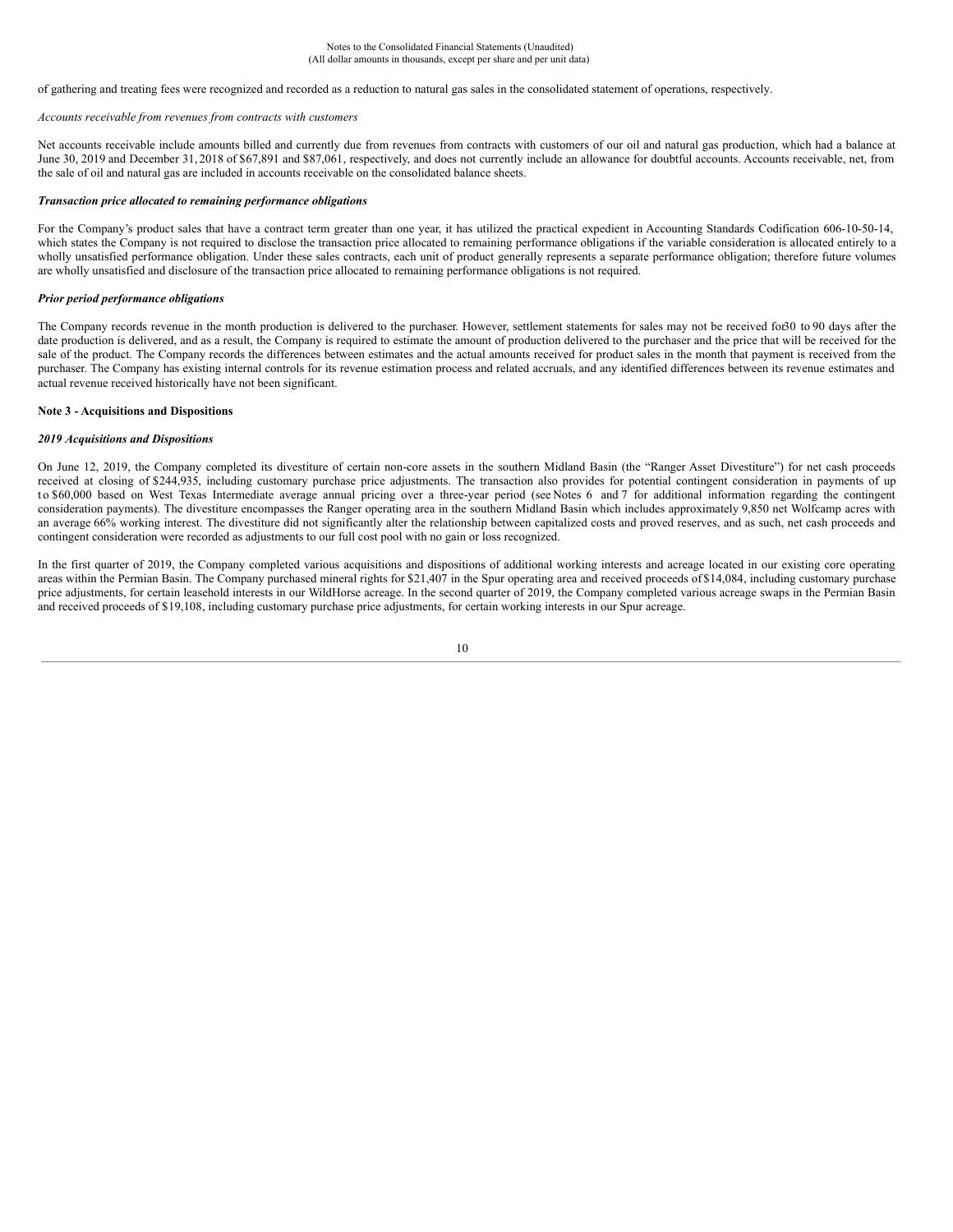of gathering and treating fees were recognized and recorded as a reduction to natural gas sales in the consolidated statement of operations, respectively.

#### *Accounts receivable from revenues from contracts with customers*

Net accounts receivable include amounts billed and currently due from revenues from contracts with customers of our oil and natural gas production, which had a balance at June 30, 2019 and December 31, 2018 of \$67,891 and \$87,061, respectively, and does not currently include an allowance for doubtful accounts. Accounts receivable, net, from the sale of oil and natural gas are included in accounts receivable on the consolidated balance sheets.

#### *Transaction price allocated to remaining performance obligations*

For the Company's product sales that have a contract term greater than one year, it has utilized the practical expedient in Accounting Standards Codification 606-10-50-14, which states the Company is not required to disclose the transaction price allocated to remaining performance obligations if the variable consideration is allocated entirely to a wholly unsatisfied performance obligation. Under these sales contracts, each unit of product generally represents a separate performance obligation; therefore future volumes are wholly unsatisfied and disclosure of the transaction price allocated to remaining performance obligations is not required.

#### *Prior period performance obligations*

The Company records revenue in the month production is delivered to the purchaser. However, settlement statements for sales may not be received for30 to 90 days after the date production is delivered, and as a result, the Company is required to estimate the amount of production delivered to the purchaser and the price that will be received for the sale of the product. The Company records the differences between estimates and the actual amounts received for product sales in the month that payment is received from the purchaser. The Company has existing internal controls for its revenue estimation process and related accruals, and any identified differences between its revenue estimates and actual revenue received historically have not been significant.

## **Note 3 - Acquisitions and Dispositions**

#### *2019 Acquisitions and Dispositions*

On June 12, 2019, the Company completed its divestiture of certain non-core assets in the southern Midland Basin (the "Ranger Asset Divestiture") for net cash proceeds received at closing of \$244,935, including customary purchase price adjustments. The transaction also provides for potential contingent consideration in payments of up to \$60,000 based on West Texas Intermediate average annual pricing over a three-year period (see Notes 6 and 7 for additional information regarding the contingent consideration payments). The divestiture encompasses the Ranger operating area in the southern Midland Basin which includes approximately 9,850 net Wolfcamp acres with an average 66% working interest. The divestiture did not significantly alter the relationship between capitalized costs and proved reserves, and as such, net cash proceeds and contingent consideration were recorded as adjustments to our full cost pool with no gain or loss recognized.

In the first quarter of 2019, the Company completed various acquisitions and dispositions of additional working interests and acreage located in our existing core operating areas within the Permian Basin. The Company purchased mineral rights for \$21,407 in the Spur operating area and received proceeds of \$14,084, including customary purchase price adjustments, for certain leasehold interests in our WildHorse acreage. In the second quarter of 2019, the Company completed various acreage swaps in the Permian Basin and received proceeds of \$19,108, including customary purchase price adjustments, for certain working interests in our Spur acreage.

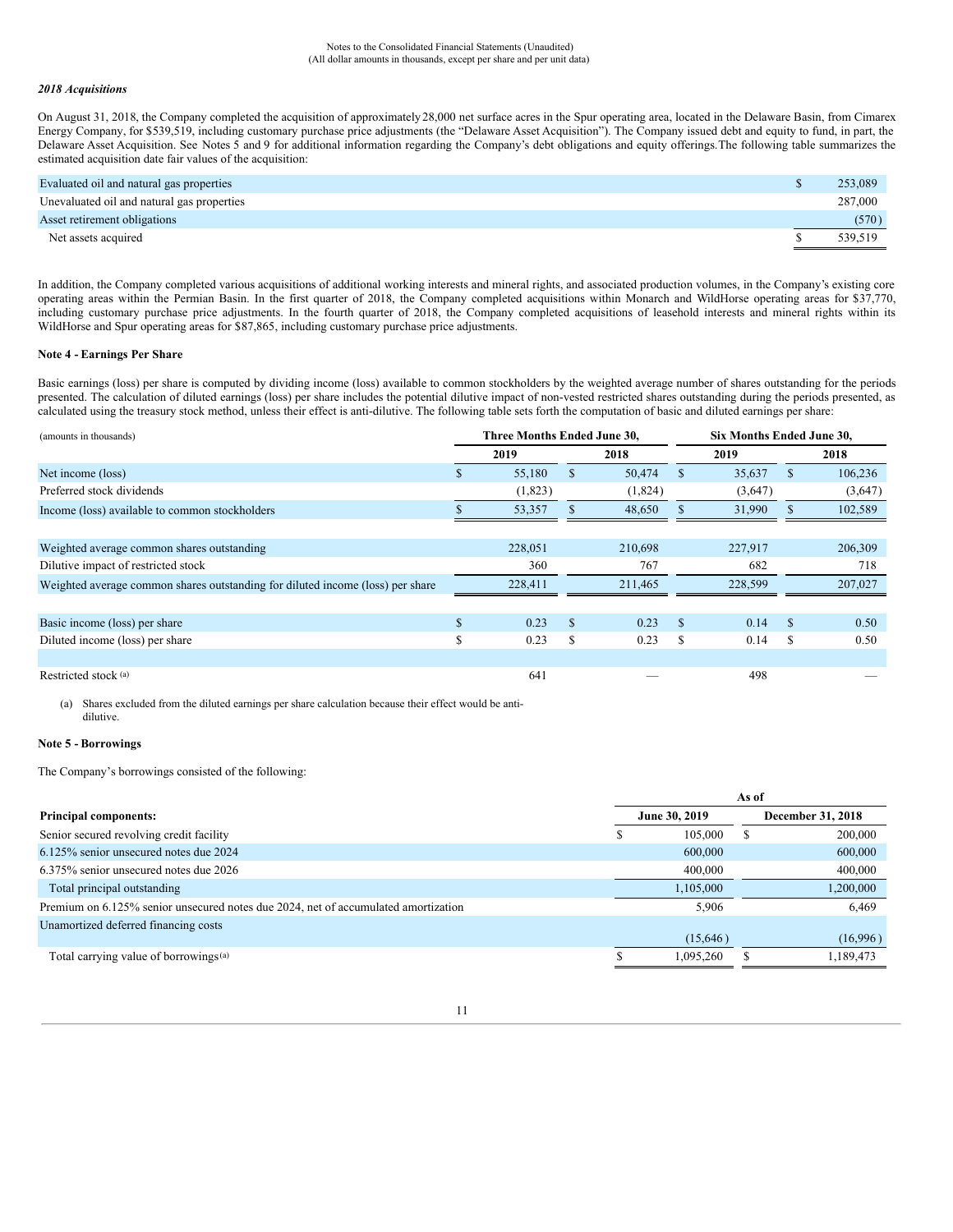#### *2018 Acquisitions*

On August 31, 2018, the Company completed the acquisition of approximately 28,000 net surface acres in the Spur operating area, located in the Delaware Basin, from Cimarex Energy Company, for \$539,519, including customary purchase price adjustments (the "Delaware Asset Acquisition"). The Company issued debt and equity to fund, in part, the Delaware Asset Acquisition. See Notes 5 and 9 for additional information regarding the Company's debt obligations and equity offerings.The following table summarizes the estimated acquisition date fair values of the acquisition:

| Evaluated oil and natural gas properties   | 253,089 |
|--------------------------------------------|---------|
| Unevaluated oil and natural gas properties | 287,000 |
| Asset retirement obligations               | (570)   |
| Net assets acquired                        | 539.519 |

In addition, the Company completed various acquisitions of additional working interests and mineral rights, and associated production volumes, in the Company's existing core operating areas within the Permian Basin. In the first quarter of 2018, the Company completed acquisitions within Monarch and WildHorse operating areas for \$37,770, including customary purchase price adjustments. In the fourth quarter of 2018, the Company completed acquisitions of leasehold interests and mineral rights within its WildHorse and Spur operating areas for \$87,865, including customary purchase price adjustments.

#### **Note 4 - Earnings Per Share**

Basic earnings (loss) per share is computed by dividing income (loss) available to common stockholders by the weighted average number of shares outstanding for the periods presented. The calculation of diluted earnings (loss) per share includes the potential dilutive impact of non-vested restricted shares outstanding during the periods presented, as calculated using the treasury stock method, unless their effect is anti-dilutive. The following table sets forth the computation of basic and diluted earnings per share:

| (amounts in thousands)                                                         |    | Three Months Ended June 30, |      | Six Months Ended June 30, |               |         |               |         |
|--------------------------------------------------------------------------------|----|-----------------------------|------|---------------------------|---------------|---------|---------------|---------|
|                                                                                |    | 2019                        | 2018 |                           | 2019          |         |               | 2018    |
| Net income (loss)                                                              |    | 55,180                      | S.   | 50,474                    | \$.           | 35,637  | <sup>\$</sup> | 106,236 |
| Preferred stock dividends                                                      |    | (1,823)                     |      | (1,824)                   |               | (3,647) |               | (3,647) |
| Income (loss) available to common stockholders                                 |    | 53,357                      |      | 48,650                    |               | 31,990  | <b>S</b>      | 102,589 |
|                                                                                |    |                             |      |                           |               |         |               |         |
| Weighted average common shares outstanding                                     |    | 228,051                     |      | 210,698                   |               | 227,917 |               | 206,309 |
| Dilutive impact of restricted stock                                            |    | 360                         |      | 767                       |               | 682     |               | 718     |
| Weighted average common shares outstanding for diluted income (loss) per share |    | 228,411                     |      | 211.465                   |               | 228,599 |               | 207,027 |
|                                                                                |    |                             |      |                           |               |         |               |         |
| Basic income (loss) per share                                                  | \$ | 0.23                        | S    | 0.23                      | <sup>\$</sup> | 0.14    | <sup>S</sup>  | 0.50    |
| Diluted income (loss) per share                                                | S  | 0.23                        | S    | 0.23                      | <sup>\$</sup> | 0.14    | \$            | 0.50    |
|                                                                                |    |                             |      |                           |               |         |               |         |
| Restricted stock (a)                                                           |    | 641                         |      |                           |               | 498     |               |         |

(a) Shares excluded from the diluted earnings per share calculation because their effect would be antidilutive.

## **Note 5 - Borrowings**

The Company's borrowings consisted of the following:

|                                                                                    |               | As of |                   |
|------------------------------------------------------------------------------------|---------------|-------|-------------------|
| <b>Principal components:</b>                                                       | June 30, 2019 |       | December 31, 2018 |
| Senior secured revolving credit facility                                           | 105,000       |       | 200,000           |
| 6.125% senior unsecured notes due 2024                                             | 600,000       |       | 600,000           |
| 6.375% senior unsecured notes due 2026                                             | 400,000       |       | 400,000           |
| Total principal outstanding                                                        | 1,105,000     |       | 1,200,000         |
| Premium on 6.125% senior unsecured notes due 2024, net of accumulated amortization | 5.906         |       | 6,469             |
| Unamortized deferred financing costs                                               |               |       |                   |
|                                                                                    | (15,646)      |       | (16,996)          |
| Total carrying value of borrowings <sup>(a)</sup>                                  | 1.095.260     |       | 1,189,473         |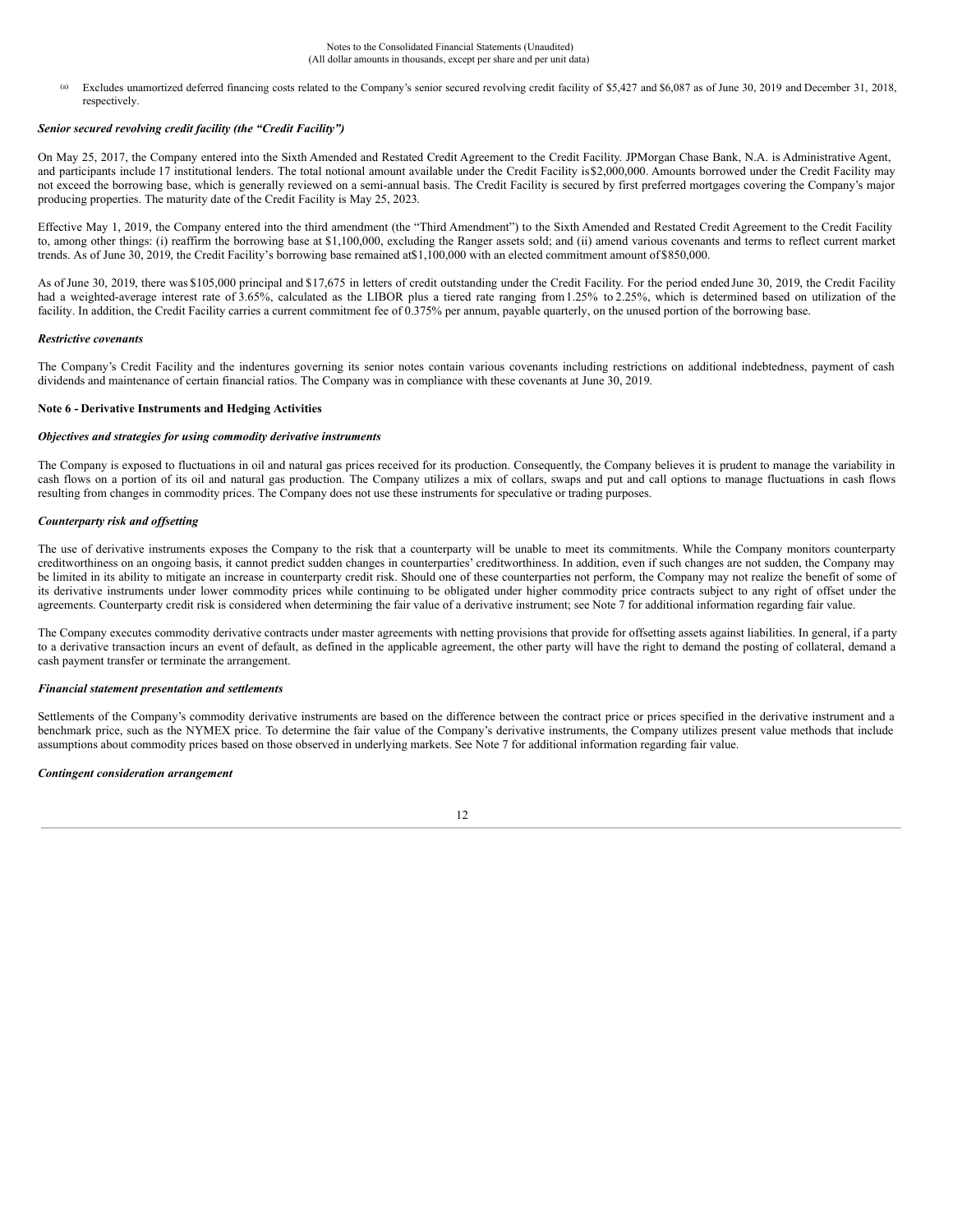Excludes unamortized deferred financing costs related to the Company's senior secured revolving credit facility of \$5,427 and \$6,087 as of June 30, 2019 and December 31, 2018, respectively.

## *Senior secured revolving credit facility (the "Credit Facility")*

On May 25, 2017, the Company entered into the Sixth Amended and Restated Credit Agreement to the Credit Facility. JPMorgan Chase Bank, N.A. is Administrative Agent, and participants include 17 institutional lenders. The total notional amount available under the Credit Facility is\$2,000,000. Amounts borrowed under the Credit Facility may not exceed the borrowing base, which is generally reviewed on a semi-annual basis. The Credit Facility is secured by first preferred mortgages covering the Company's major producing properties. The maturity date of the Credit Facility is May 25, 2023.

Effective May 1, 2019, the Company entered into the third amendment (the "Third Amendment") to the Sixth Amended and Restated Credit Agreement to the Credit Facility to, among other things: (i) reaffirm the borrowing base at \$1,100,000, excluding the Ranger assets sold; and (ii) amend various covenants and terms to reflect current market trends. As of June 30, 2019, the Credit Facility's borrowing base remained at\$1,100,000 with an elected commitment amount of \$850,000.

As of June 30, 2019, there was \$105,000 principal and \$17,675 in letters of credit outstanding under the Credit Facility. For the period ended June 30, 2019, the Credit Facility had a weighted-average interest rate of 3.65%, calculated as the LIBOR plus a tiered rate ranging from 1.25% to 2.25%, which is determined based on utilization of the facility. In addition, the Credit Facility carries a current commitment fee of 0.375% per annum, payable quarterly, on the unused portion of the borrowing base.

#### *Restrictive covenants*

The Company's Credit Facility and the indentures governing its senior notes contain various covenants including restrictions on additional indebtedness, payment of cash dividends and maintenance of certain financial ratios. The Company was in compliance with these covenants at June 30, 2019.

## **Note 6 - Derivative Instruments and Hedging Activities**

## *Objectives and strategies for using commodity derivative instruments*

The Company is exposed to fluctuations in oil and natural gas prices received for its production. Consequently, the Company believes it is prudent to manage the variability in cash flows on a portion of its oil and natural gas production. The Company utilizes a mix of collars, swaps and put and call options to manage fluctuations in cash flows resulting from changes in commodity prices. The Company does not use these instruments for speculative or trading purposes.

## *Counterparty risk and of setting*

The use of derivative instruments exposes the Company to the risk that a counterparty will be unable to meet its commitments. While the Company monitors counterparty creditworthiness on an ongoing basis, it cannot predict sudden changes in counterparties' creditworthiness. In addition, even if such changes are not sudden, the Company may be limited in its ability to mitigate an increase in counterparty credit risk. Should one of these counterparties not perform, the Company may not realize the benefit of some of its derivative instruments under lower commodity prices while continuing to be obligated under higher commodity price contracts subject to any right of offset under the agreements. Counterparty credit risk is considered when determining the fair value of a derivative instrument; see Note 7 for additional information regarding fair value.

The Company executes commodity derivative contracts under master agreements with netting provisions that provide for offsetting assets against liabilities. In general, if a party to a derivative transaction incurs an event of default, as defined in the applicable agreement, the other party will have the right to demand the posting of collateral, demand a cash payment transfer or terminate the arrangement.

#### *Financial statement presentation and settlements*

Settlements of the Company's commodity derivative instruments are based on the difference between the contract price or prices specified in the derivative instrument and a benchmark price, such as the NYMEX price. To determine the fair value of the Company's derivative instruments, the Company utilizes present value methods that include assumptions about commodity prices based on those observed in underlying markets. See Note 7 for additional information regarding fair value.

#### *Contingent consideration arrangement*

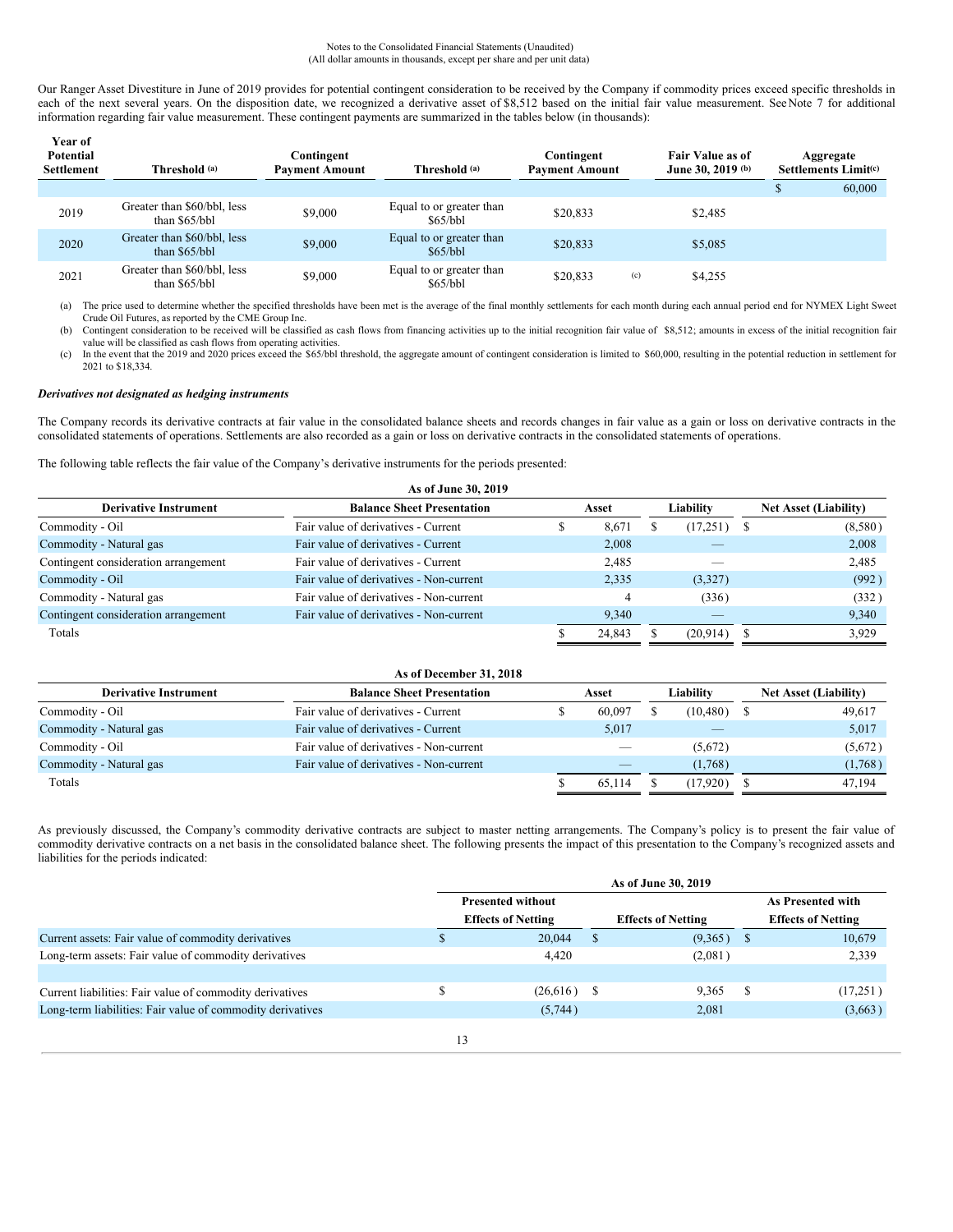#### Notes to the Consolidated Financial Statements (Unaudited) (All dollar amounts in thousands, except per share and per unit data)

Our Ranger Asset Divestiture in June of 2019 provides for potential contingent consideration to be received by the Company if commodity prices exceed specific thresholds in each of the next several years. On the disposition date, we recognized a derivative asset of \$8,512 based on the initial fair value measurement. SeeNote 7 for additional information regarding fair value measurement. These contingent payments are summarized in the tables below (in thousands):

| Year of<br>Potential<br><b>Settlement</b> | Threshold (a)                                 | Contingent<br>Threshold (a)<br><b>Payment Amount</b> |                                      | Contingent<br><b>Payment Amount</b> |     | <b>Fair Value as of</b><br>June 30, 2019 (b) | Aggregate<br>Settlements Limit <sup>(c)</sup> |
|-------------------------------------------|-----------------------------------------------|------------------------------------------------------|--------------------------------------|-------------------------------------|-----|----------------------------------------------|-----------------------------------------------|
|                                           |                                               |                                                      |                                      |                                     |     |                                              | 60,000                                        |
| 2019                                      | Greater than \$60/bbl, less<br>than $$65/bbl$ | \$9,000                                              | Equal to or greater than<br>\$65/bbl | \$20,833                            |     | \$2,485                                      |                                               |
| 2020                                      | Greater than \$60/bbl, less<br>than $$65/bbl$ | \$9,000                                              | Equal to or greater than<br>\$65/bbl | \$20,833                            |     | \$5,085                                      |                                               |
| 2021                                      | Greater than \$60/bbl, less<br>than \$65/bbl  | \$9,000                                              | Equal to or greater than<br>\$65/bbl | \$20,833                            | (c) | \$4,255                                      |                                               |

(a) The price used to determine whether the specified thresholds have been met is the average of the final monthly settlements for each month during each annual period end for NYMEX Light Sweet Crude Oil Futures, as reported by the CME Group Inc.

(b) Contingent consideration to be received will be classified as cash flows from financing activities up to the initial recognition fair value of \$8,512; amounts in excess of the initial recognition fair value will be classified as cash flows from operating activities.

(c) In the event that the 2019 and 2020 prices exceed the \$65/bbl threshold, the aggregate amount of contingent consideration is limited to \$60,000, resulting in the potential reduction in settlement for 2021 to \$18,334.

## *Derivatives not designated as hedging instruments*

The Company records its derivative contracts at fair value in the consolidated balance sheets and records changes in fair value as a gain or loss on derivative contracts in the consolidated statements of operations. Settlements are also recorded as a gain or loss on derivative contracts in the consolidated statements of operations.

The following table reflects the fair value of the Company's derivative instruments for the periods presented:

| As of June 30, 2019                  |                                         |  |        |  |           |  |                              |
|--------------------------------------|-----------------------------------------|--|--------|--|-----------|--|------------------------------|
| <b>Derivative Instrument</b>         | <b>Balance Sheet Presentation</b>       |  | Asset  |  | Liability |  | <b>Net Asset (Liability)</b> |
| Commodity - Oil                      | Fair value of derivatives - Current     |  | 8,671  |  | (17,251)  |  | (8,580)                      |
| Commodity - Natural gas              | Fair value of derivatives - Current     |  | 2,008  |  |           |  | 2,008                        |
| Contingent consideration arrangement | Fair value of derivatives - Current     |  | 2.485  |  |           |  | 2,485                        |
| Commodity - Oil                      | Fair value of derivatives - Non-current |  | 2,335  |  | (3,327)   |  | (992)                        |
| Commodity - Natural gas              | Fair value of derivatives - Non-current |  |        |  | (336)     |  | (332)                        |
| Contingent consideration arrangement | Fair value of derivatives - Non-current |  | 9.340  |  |           |  | 9,340                        |
| Totals                               |                                         |  | 24.843 |  | (20.914)  |  | 3.929                        |

| As of December 31, 2018      |                                         |  |        |  |           |  |                              |
|------------------------------|-----------------------------------------|--|--------|--|-----------|--|------------------------------|
| <b>Derivative Instrument</b> | <b>Balance Sheet Presentation</b>       |  | Asset  |  | Liability |  | <b>Net Asset (Liability)</b> |
| Commodity - Oil              | Fair value of derivatives - Current     |  | 60,097 |  | (10, 480) |  | 49,617                       |
| Commodity - Natural gas      | Fair value of derivatives - Current     |  | 5,017  |  |           |  | 5,017                        |
| Commodity - Oil              | Fair value of derivatives - Non-current |  |        |  | (5,672)   |  | (5,672)                      |
| Commodity - Natural gas      | Fair value of derivatives - Non-current |  |        |  | (1,768)   |  | (1,768)                      |
| Totals                       |                                         |  | 65.114 |  | (17.920)  |  | 47.194                       |

As previously discussed, the Company's commodity derivative contracts are subject to master netting arrangements. The Company's policy is to present the fair value of commodity derivative contracts on a net basis in the consolidated balance sheet. The following presents the impact of this presentation to the Company's recognized assets and liabilities for the periods indicated:

|                                                            | As of June 30, 2019       |  |                           |    |                           |  |  |
|------------------------------------------------------------|---------------------------|--|---------------------------|----|---------------------------|--|--|
|                                                            | <b>Presented without</b>  |  |                           |    | As Presented with         |  |  |
|                                                            | <b>Effects of Netting</b> |  | <b>Effects of Netting</b> |    | <b>Effects of Netting</b> |  |  |
| Current assets: Fair value of commodity derivatives        | 20,044                    |  | (9,365)                   | -8 | 10,679                    |  |  |
| Long-term assets: Fair value of commodity derivatives      | 4.420                     |  | (2,081)                   |    | 2,339                     |  |  |
|                                                            |                           |  |                           |    |                           |  |  |
| Current liabilities: Fair value of commodity derivatives   | $(26,616)$ \$             |  | 9.365                     | -S | (17,251)                  |  |  |
| Long-term liabilities: Fair value of commodity derivatives | (5,744)                   |  | 2,081                     |    | (3,663)                   |  |  |
|                                                            |                           |  |                           |    |                           |  |  |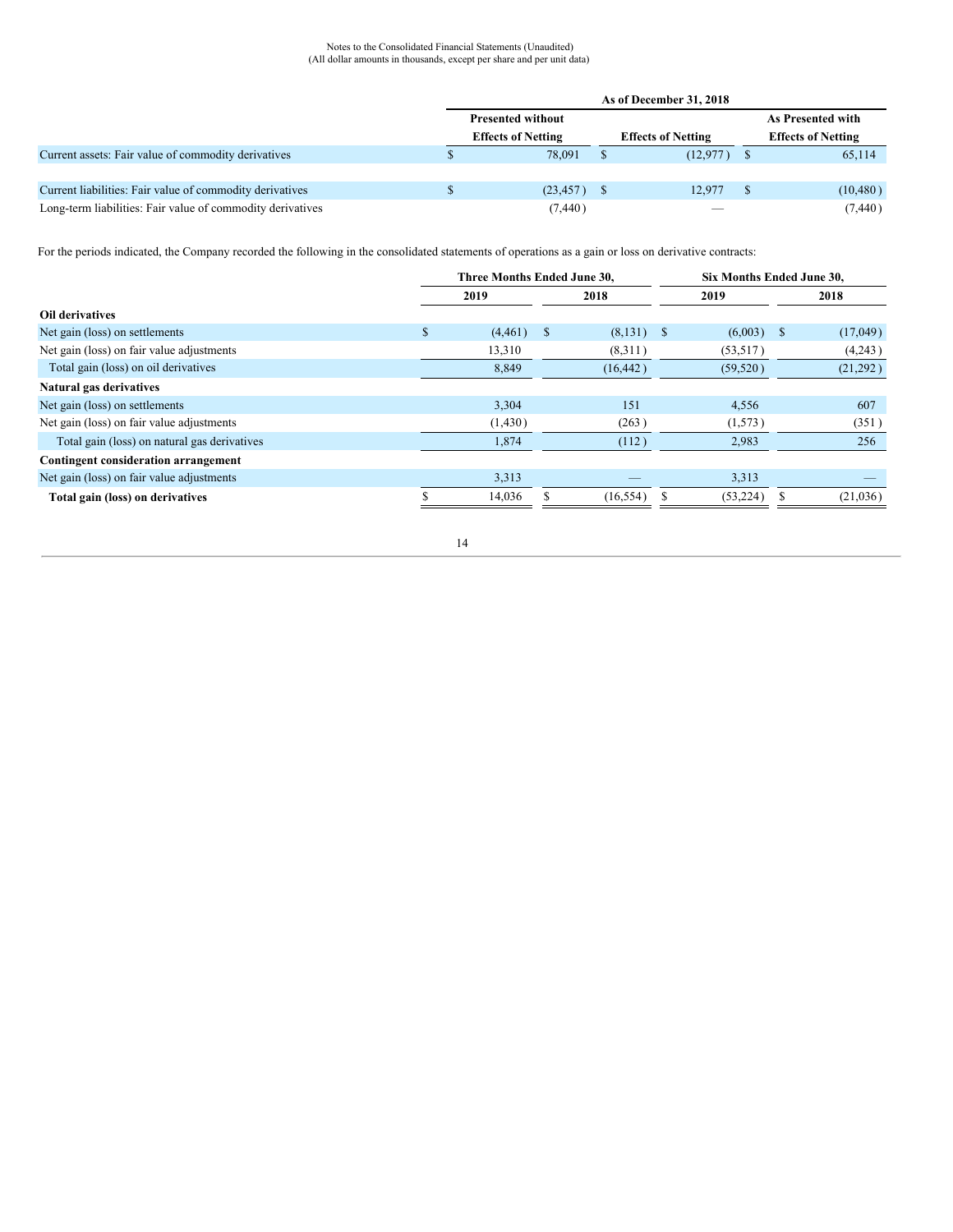## Notes to the Consolidated Financial Statements (Unaudited) (All dollar amounts in thousands, except per share and per unit data)

|                                                            | As of December 31, 2018   |  |                           |  |                           |  |  |  |
|------------------------------------------------------------|---------------------------|--|---------------------------|--|---------------------------|--|--|--|
|                                                            | <b>Presented without</b>  |  | As Presented with         |  |                           |  |  |  |
|                                                            | <b>Effects of Netting</b> |  | <b>Effects of Netting</b> |  | <b>Effects of Netting</b> |  |  |  |
| Current assets: Fair value of commodity derivatives        | 78.091                    |  | (12,977)                  |  | 65,114                    |  |  |  |
|                                                            |                           |  |                           |  |                           |  |  |  |
| Current liabilities: Fair value of commodity derivatives   | $(23, 457)$ \$            |  | 12.977                    |  | (10, 480)                 |  |  |  |
| Long-term liabilities: Fair value of commodity derivatives | (7, 440)                  |  |                           |  | (7, 440)                  |  |  |  |

For the periods indicated, the Company recorded the following in the consolidated statements of operations as a gain or loss on derivative contracts:

|                                              | Three Months Ended June 30, |              |  |              |  | Six Months Ended June 30, |              |          |  |
|----------------------------------------------|-----------------------------|--------------|--|--------------|--|---------------------------|--------------|----------|--|
|                                              |                             | 2019         |  | 2018         |  | 2019                      |              | 2018     |  |
| Oil derivatives                              |                             |              |  |              |  |                           |              |          |  |
| Net gain (loss) on settlements               | S                           | $(4,461)$ \$ |  | $(8,131)$ \$ |  | (6,003)                   | <sup>S</sup> | (17,049) |  |
| Net gain (loss) on fair value adjustments    |                             | 13,310       |  | (8,311)      |  | (53, 517)                 |              | (4,243)  |  |
| Total gain (loss) on oil derivatives         |                             | 8,849        |  | (16, 442)    |  | (59, 520)                 |              | (21,292) |  |
| Natural gas derivatives                      |                             |              |  |              |  |                           |              |          |  |
| Net gain (loss) on settlements               |                             | 3,304        |  | 151          |  | 4,556                     |              | 607      |  |
| Net gain (loss) on fair value adjustments    |                             | (1,430)      |  | (263)        |  | (1,573)                   |              | (351)    |  |
| Total gain (loss) on natural gas derivatives |                             | 1,874        |  | (112)        |  | 2,983                     |              | 256      |  |
| Contingent consideration arrangement         |                             |              |  |              |  |                           |              |          |  |
| Net gain (loss) on fair value adjustments    |                             | 3,313        |  |              |  | 3,313                     |              |          |  |
| Total gain (loss) on derivatives             |                             | 14,036       |  | (16, 554)    |  | (53, 224)                 |              | (21,036) |  |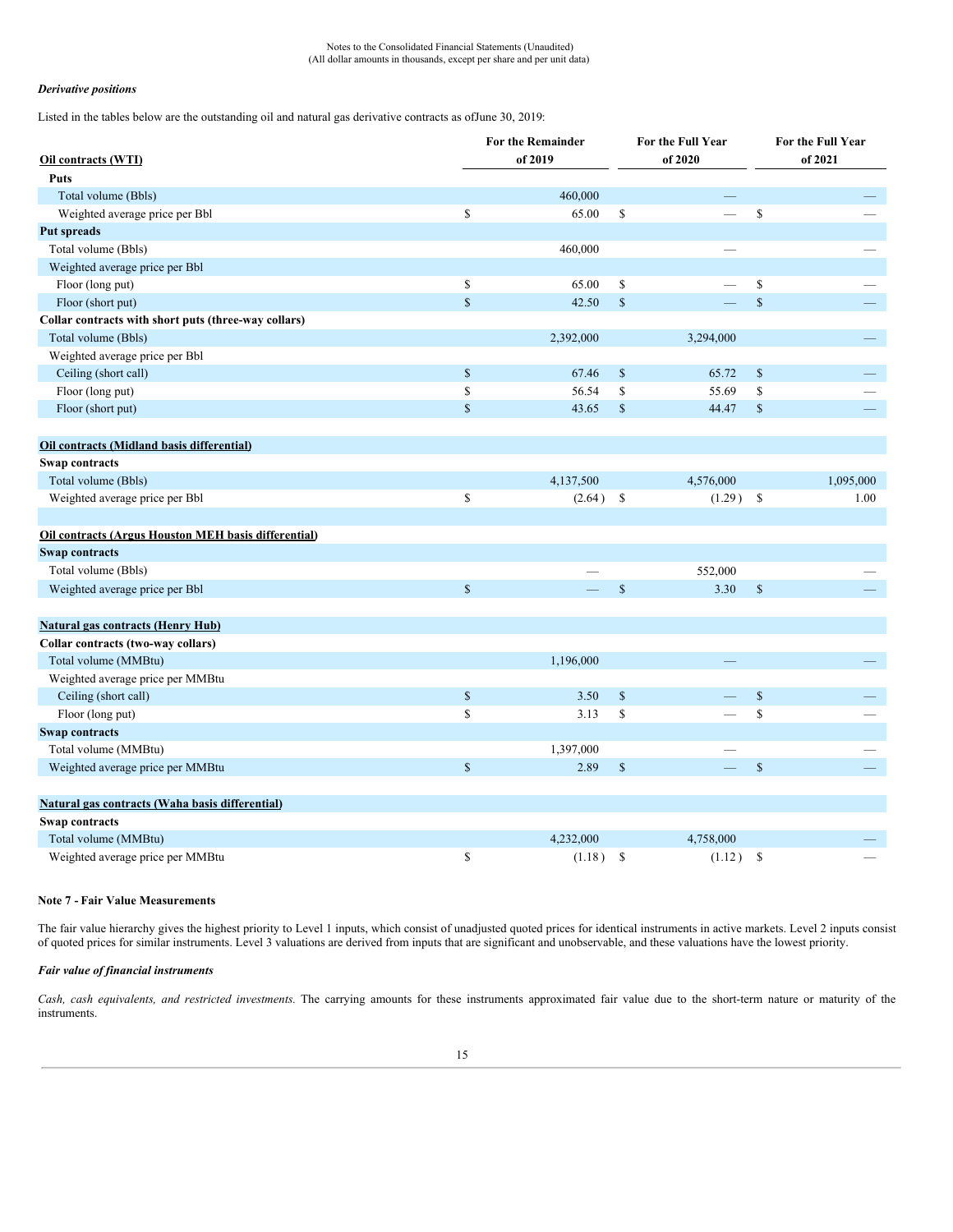## *Derivative positions*

Listed in the tables below are the outstanding oil and natural gas derivative contracts as ofJune 30, 2019:

|                                                             |              | For the Remainder | For the Full Year |             | For the Full Year |           |
|-------------------------------------------------------------|--------------|-------------------|-------------------|-------------|-------------------|-----------|
| <b>Oil contracts (WTI)</b>                                  |              | of 2019           |                   | of 2020     |                   | of 2021   |
| Puts                                                        |              |                   |                   |             |                   |           |
| Total volume (Bbls)                                         |              | 460,000           |                   |             |                   |           |
| Weighted average price per Bbl                              | \$           | 65.00             | \$                |             | $\mathbb{S}$      |           |
| Put spreads                                                 |              |                   |                   |             |                   |           |
| Total volume (Bbls)                                         |              | 460,000           |                   |             |                   |           |
| Weighted average price per Bbl                              |              |                   |                   |             |                   |           |
| Floor (long put)                                            | \$           | 65.00             | \$                |             | \$                |           |
| Floor (short put)                                           | $\mathbb{S}$ | 42.50             | $\mathsf{\$}$     |             | $\mathsf{\$}$     |           |
| Collar contracts with short puts (three-way collars)        |              |                   |                   |             |                   |           |
| Total volume (Bbls)                                         |              | 2,392,000         |                   | 3,294,000   |                   |           |
| Weighted average price per Bbl                              |              |                   |                   |             |                   |           |
| Ceiling (short call)                                        | $\mathbb{S}$ | 67.46             | $\mathcal{S}$     | 65.72       | $\mathbb{S}$      |           |
| Floor (long put)                                            | $\mathbb{S}$ | 56.54             | \$                | 55.69       | \$                |           |
| Floor (short put)                                           | $\mathbb{S}$ | 43.65             | $\mathsf{\$}$     | 44.47       | $\$$              |           |
|                                                             |              |                   |                   |             |                   |           |
| Oil contracts (Midland basis differential)                  |              |                   |                   |             |                   |           |
| <b>Swap contracts</b>                                       |              |                   |                   |             |                   |           |
| Total volume (Bbls)                                         |              | 4,137,500         |                   | 4,576,000   |                   | 1,095,000 |
| Weighted average price per Bbl                              | \$           | (2.64)            | $\mathcal{S}$     | $(1.29)$ \$ |                   | 1.00      |
|                                                             |              |                   |                   |             |                   |           |
| <b>Oil contracts (Argus Houston MEH basis differential)</b> |              |                   |                   |             |                   |           |
| <b>Swap contracts</b>                                       |              |                   |                   |             |                   |           |
| Total volume (Bbls)                                         |              |                   |                   | 552,000     |                   |           |
| Weighted average price per Bbl                              | $\mathbf S$  | $\equiv$          | \$                | 3.30        | $\mathbb{S}$      |           |
|                                                             |              |                   |                   |             |                   |           |
| <b>Natural gas contracts (Henry Hub)</b>                    |              |                   |                   |             |                   |           |
| Collar contracts (two-way collars)                          |              |                   |                   |             |                   |           |
| Total volume (MMBtu)                                        |              | 1,196,000         |                   |             |                   |           |
| Weighted average price per MMBtu                            |              |                   |                   |             |                   |           |
| Ceiling (short call)                                        | $\mathbb S$  | 3.50              | $\mathbb{S}$      |             | $\$$              |           |
| Floor (long put)                                            | $\mathbb{S}$ | 3.13              | $\mathbb{S}$      |             | $\mathbb{S}$      |           |
| <b>Swap contracts</b>                                       |              |                   |                   |             |                   |           |
| Total volume (MMBtu)                                        |              | 1,397,000         |                   |             |                   |           |
| Weighted average price per MMBtu                            | $\mathbb{S}$ | 2.89              | $\mathbb{S}$      |             | $\mathbb{S}$      |           |
|                                                             |              |                   |                   |             |                   |           |
| Natural gas contracts (Waha basis differential)             |              |                   |                   |             |                   |           |
| Swap contracts                                              |              |                   |                   |             |                   |           |
| Total volume (MMBtu)                                        |              | 4,232,000         |                   | 4,758,000   |                   |           |
| Weighted average price per MMBtu                            | \$           | (1.18)            | \$                | (1.12)      | -S                |           |

## **Note 7 - Fair Value Measurements**

The fair value hierarchy gives the highest priority to Level 1 inputs, which consist of unadjusted quoted prices for identical instruments in active markets. Level 2 inputs consist of quoted prices for similar instruments. Level 3 valuations are derived from inputs that are significant and unobservable, and these valuations have the lowest priority.

### *Fair value of financial instruments*

*Cash, cash equivalents, and restricted investments.* The carrying amounts for these instruments approximated fair value due to the short-term nature or maturity of the instruments.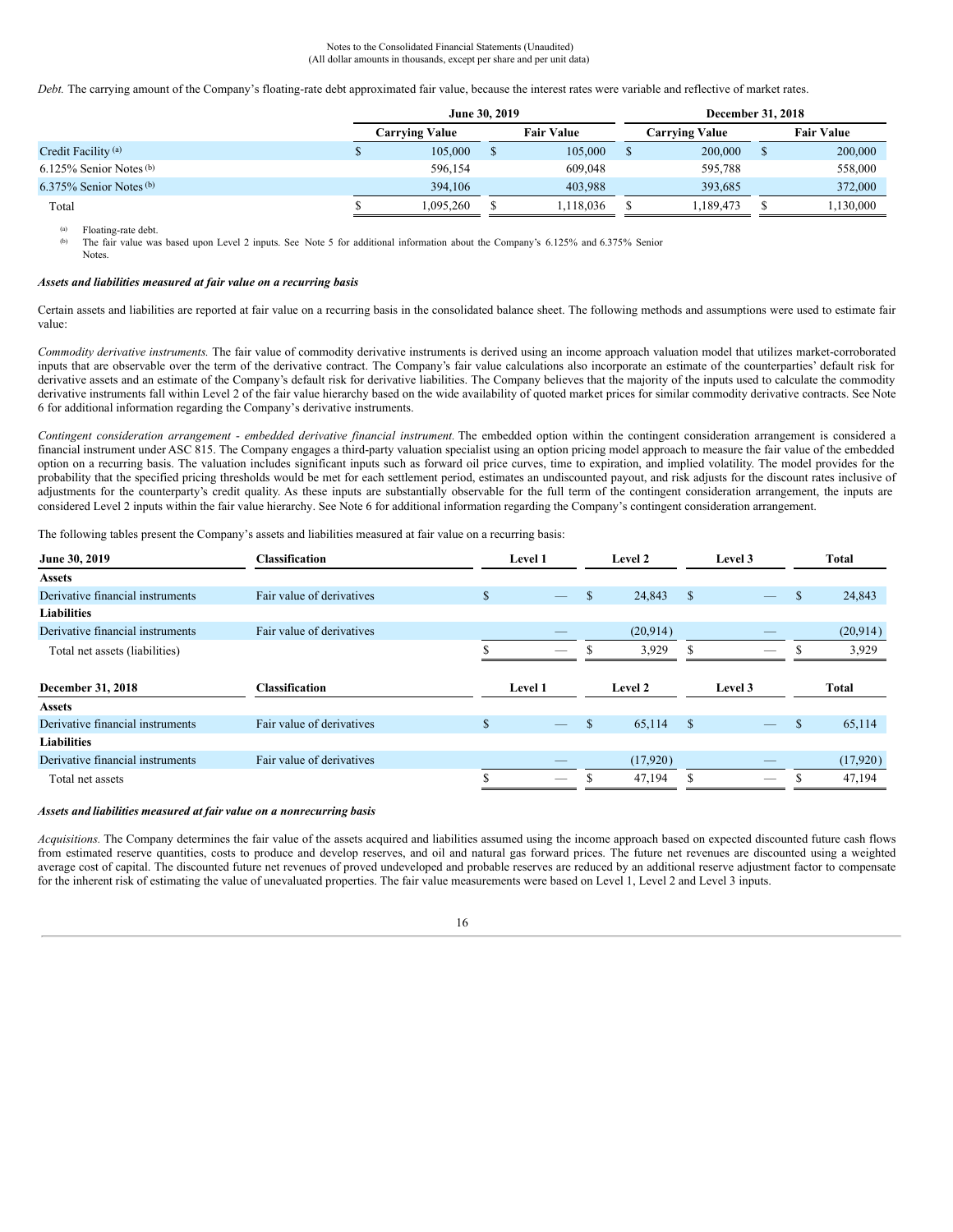#### Notes to the Consolidated Financial Statements (Unaudited) (All dollar amounts in thousands, except per share and per unit data)

*Debt.* The carrying amount of the Company's floating-rate debt approximated fair value, because the interest rates were variable and reflective of market rates.

|                            | June 30, 2019         |           |  |                   |  | <b>December 31, 2018</b> |                   |           |  |  |
|----------------------------|-----------------------|-----------|--|-------------------|--|--------------------------|-------------------|-----------|--|--|
|                            | <b>Carrying Value</b> |           |  | <b>Fair Value</b> |  | Carrying Value           | <b>Fair Value</b> |           |  |  |
| Credit Facility (a)        |                       | 105,000   |  | 105,000           |  | 200,000                  |                   | 200,000   |  |  |
| $6.125\%$ Senior Notes (b) |                       | 596.154   |  | 609,048           |  | 595.788                  |                   | 558,000   |  |  |
| $6.375\%$ Senior Notes (b) |                       | 394,106   |  | 403.988           |  | 393.685                  |                   | 372,000   |  |  |
| Total                      |                       | 1.095.260 |  | 1.118.036         |  | 1.189.473                |                   | 1,130,000 |  |  |

 $\begin{array}{ll}\n\text{(a)} & \text{Floating-rate debt.} \\
\text{(b)} & \text{The fair value use}\n\end{array}$ 

The fair value was based upon Level 2 inputs. See Note 5 for additional information about the Company's 6.125% and 6.375% Senior Notes.

#### *Assets and liabilities measured at fair value on a recurring basis*

Certain assets and liabilities are reported at fair value on a recurring basis in the consolidated balance sheet. The following methods and assumptions were used to estimate fair value:

*Commodity derivative instruments.* The fair value of commodity derivative instruments is derived using an income approach valuation model that utilizes market-corroborated inputs that are observable over the term of the derivative contract. The Company's fair value calculations also incorporate an estimate of the counterparties' default risk for derivative assets and an estimate of the Company's default risk for derivative liabilities. The Company believes that the majority of the inputs used to calculate the commodity derivative instruments fall within Level 2 of the fair value hierarchy based on the wide availability of quoted market prices for similar commodity derivative contracts. See Note 6 for additional information regarding the Company's derivative instruments.

*Contingent consideration arrangement - embedded derivative financial instrument.* The embedded option within the contingent consideration arrangement is considered a financial instrument under ASC 815. The Company engages a third-party valuation specialist using an option pricing model approach to measure the fair value of the embedded option on a recurring basis. The valuation includes significant inputs such as forward oil price curves, time to expiration, and implied volatility. The model provides for the probability that the specified pricing thresholds would be met for each settlement period, estimates an undiscounted payout, and risk adjusts for the discount rates inclusive of adjustments for the counterparty's credit quality. As these inputs are substantially observable for the full term of the contingent consideration arrangement, the inputs are considered Level 2 inputs within the fair value hierarchy. See Note 6 for additional information regarding the Company's contingent consideration arrangement.

The following tables present the Company's assets and liabilities measured at fair value on a recurring basis:

| June 30, 2019                    | <b>Classification</b>     |             | <b>Level 1</b> | Level 2      |               | Level 3 |   | Total    |
|----------------------------------|---------------------------|-------------|----------------|--------------|---------------|---------|---|----------|
| <b>Assets</b>                    |                           |             |                |              |               |         |   |          |
| Derivative financial instruments | Fair value of derivatives | S           |                | \$<br>24,843 | $\mathbb{S}$  |         | S | 24,843   |
| <b>Liabilities</b>               |                           |             |                |              |               |         |   |          |
| Derivative financial instruments | Fair value of derivatives |             |                | (20,914)     |               |         |   | (20,914) |
| Total net assets (liabilities)   |                           |             |                | 3,929        | \$.           |         | ъ | 3,929    |
|                                  |                           |             |                |              |               |         |   |          |
| December 31, 2018                | <b>Classification</b>     |             | Level 1        | Level 2      | Level 3       |         |   | Total    |
| <b>Assets</b>                    |                           |             |                |              |               |         |   |          |
| Derivative financial instruments | Fair value of derivatives | $\mathbf S$ |                | \$<br>65,114 | <sup>\$</sup> |         | S | 65,114   |
| <b>Liabilities</b>               |                           |             |                |              |               |         |   |          |
| Derivative financial instruments | Fair value of derivatives |             |                | (17,920)     |               |         |   | (17,920) |
| Total net assets                 |                           |             |                | 47,194       |               |         |   | 47,194   |

#### *Assets and liabilities measured at fair value on a nonrecurring basis*

*Acquisitions.* The Company determines the fair value of the assets acquired and liabilities assumed using the income approach based on expected discounted future cash flows from estimated reserve quantities, costs to produce and develop reserves, and oil and natural gas forward prices. The future net revenues are discounted using a weighted average cost of capital. The discounted future net revenues of proved undeveloped and probable reserves are reduced by an additional reserve adjustment factor to compensate for the inherent risk of estimating the value of unevaluated properties. The fair value measurements were based on Level 1, Level 2 and Level 3 inputs.

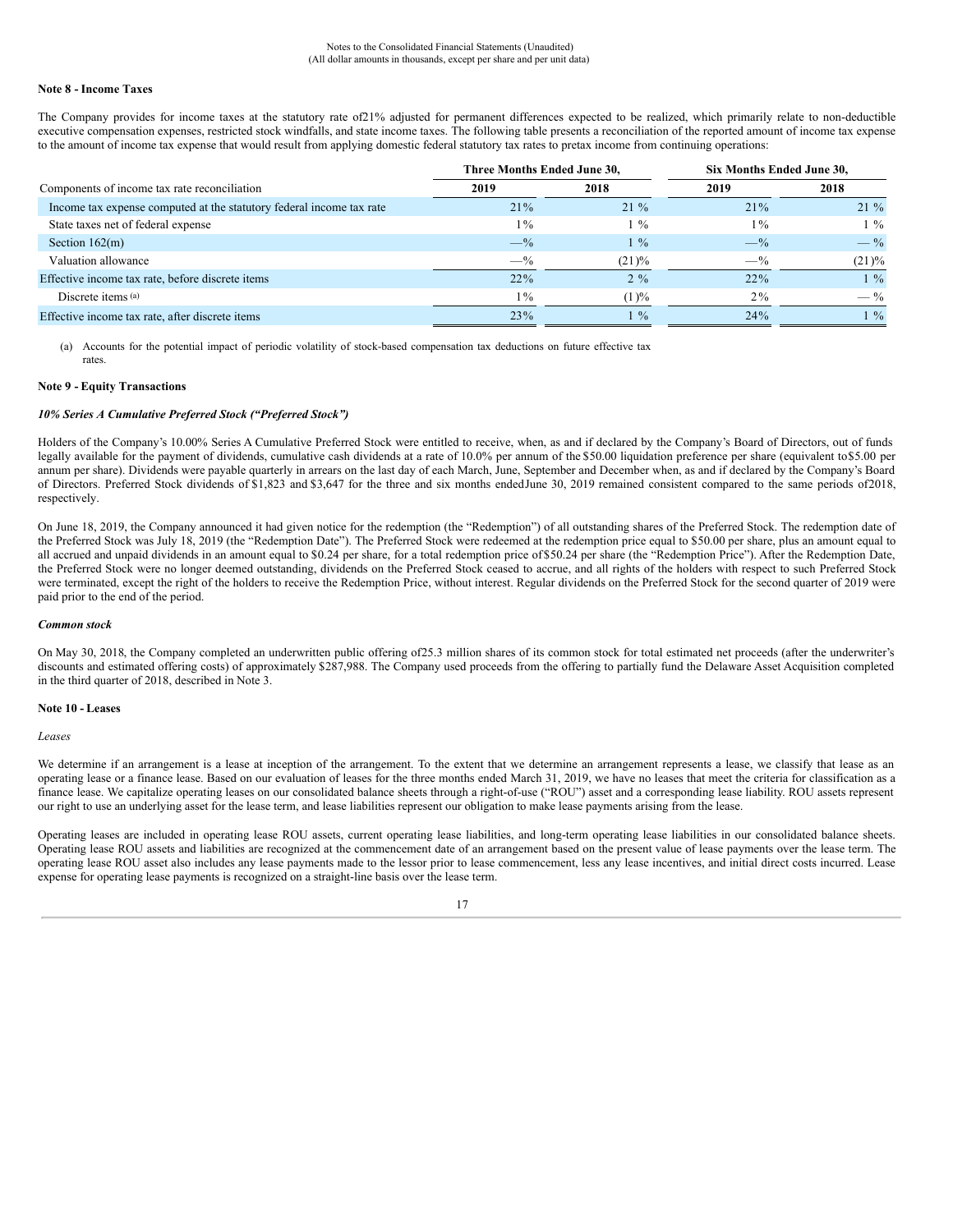#### **Note 8 - Income Taxes**

The Company provides for income taxes at the statutory rate of21% adjusted for permanent differences expected to be realized, which primarily relate to non-deductible executive compensation expenses, restricted stock windfalls, and state income taxes. The following table presents a reconciliation of the reported amount of income tax expense to the amount of income tax expense that would result from applying domestic federal statutory tax rates to pretax income from continuing operations:

|                                                                      | Three Months Ended June 30, |               | Six Months Ended June 30, |                 |  |  |
|----------------------------------------------------------------------|-----------------------------|---------------|---------------------------|-----------------|--|--|
| Components of income tax rate reconciliation                         | 2019                        | 2018          |                           | 2018            |  |  |
| Income tax expense computed at the statutory federal income tax rate | $21\%$                      | $21\%$        | $21\%$                    | $21\%$          |  |  |
| State taxes net of federal expense                                   | $1\%$                       | $1\%$         | $1\%$                     | $\frac{0}{0}$   |  |  |
| Section $162(m)$                                                     | $- \frac{9}{6}$             | $1\%$         | $- \frac{6}{9}$           | $- \frac{9}{6}$ |  |  |
| Valuation allowance                                                  | $-$ %                       | (21)%         | $-$ %                     | (21)%           |  |  |
| Effective income tax rate, before discrete items                     | $22\%$                      | $2\%$         | $22\%$                    | $\frac{9}{6}$   |  |  |
| Discrete items (a)                                                   | $1\%$                       | $(1)\%$       | $2\%$                     | $-$ %           |  |  |
| Effective income tax rate, after discrete items                      | 23%                         | $\frac{0}{0}$ | 24%                       | $\frac{0}{0}$   |  |  |

(a) Accounts for the potential impact of periodic volatility of stock-based compensation tax deductions on future effective tax rates.

#### **Note 9 - Equity Transactions**

#### *10% Series A Cumulative Preferred Stock ("Preferred Stock")*

Holders of the Company's 10.00% Series A Cumulative Preferred Stock were entitled to receive, when, as and if declared by the Company's Board of Directors, out of funds legally available for the payment of dividends, cumulative cash dividends at a rate of 10.0% per annum of the \$50.00 liquidation preference per share (equivalent to\$5.00 per annum per share). Dividends were payable quarterly in arrears on the last day of each March, June, September and December when, as and if declared by the Company's Board of Directors. Preferred Stock dividends of \$1,823 and \$3,647 for the three and six months endedJune 30, 2019 remained consistent compared to the same periods of2018, respectively.

On June 18, 2019, the Company announced it had given notice for the redemption (the "Redemption") of all outstanding shares of the Preferred Stock. The redemption date of the Preferred Stock was July 18, 2019 (the "Redemption Date"). The Preferred Stock were redeemed at the redemption price equal to \$50.00 per share, plus an amount equal to all accrued and unpaid dividends in an amount equal to \$0.24 per share, for a total redemption price of \$50.24 per share (the "Redemption Price"). After the Redemption Date, the Preferred Stock were no longer deemed outstanding, dividends on the Preferred Stock ceased to accrue, and all rights of the holders with respect to such Preferred Stock were terminated, except the right of the holders to receive the Redemption Price, without interest. Regular dividends on the Preferred Stock for the second quarter of 2019 were paid prior to the end of the period.

#### *Common stock*

On May 30, 2018, the Company completed an underwritten public offering of25.3 million shares of its common stock for total estimated net proceeds (after the underwriter's discounts and estimated offering costs) of approximately \$287,988. The Company used proceeds from the offering to partially fund the Delaware Asset Acquisition completed in the third quarter of 2018, described in Note 3.

#### **Note 10 - Leases**

*Leases*

We determine if an arrangement is a lease at inception of the arrangement. To the extent that we determine an arrangement represents a lease, we classify that lease as an operating lease or a finance lease. Based on our evaluation of leases for the three months ended March 31, 2019, we have no leases that meet the criteria for classification as a finance lease. We capitalize operating leases on our consolidated balance sheets through a right-of-use ("ROU") asset and a corresponding lease liability. ROU assets represent our right to use an underlying asset for the lease term, and lease liabilities represent our obligation to make lease payments arising from the lease.

Operating leases are included in operating lease ROU assets, current operating lease liabilities, and long-term operating lease liabilities in our consolidated balance sheets. Operating lease ROU assets and liabilities are recognized at the commencement date of an arrangement based on the present value of lease payments over the lease term. The operating lease ROU asset also includes any lease payments made to the lessor prior to lease commencement, less any lease incentives, and initial direct costs incurred. Lease expense for operating lease payments is recognized on a straight-line basis over the lease term.

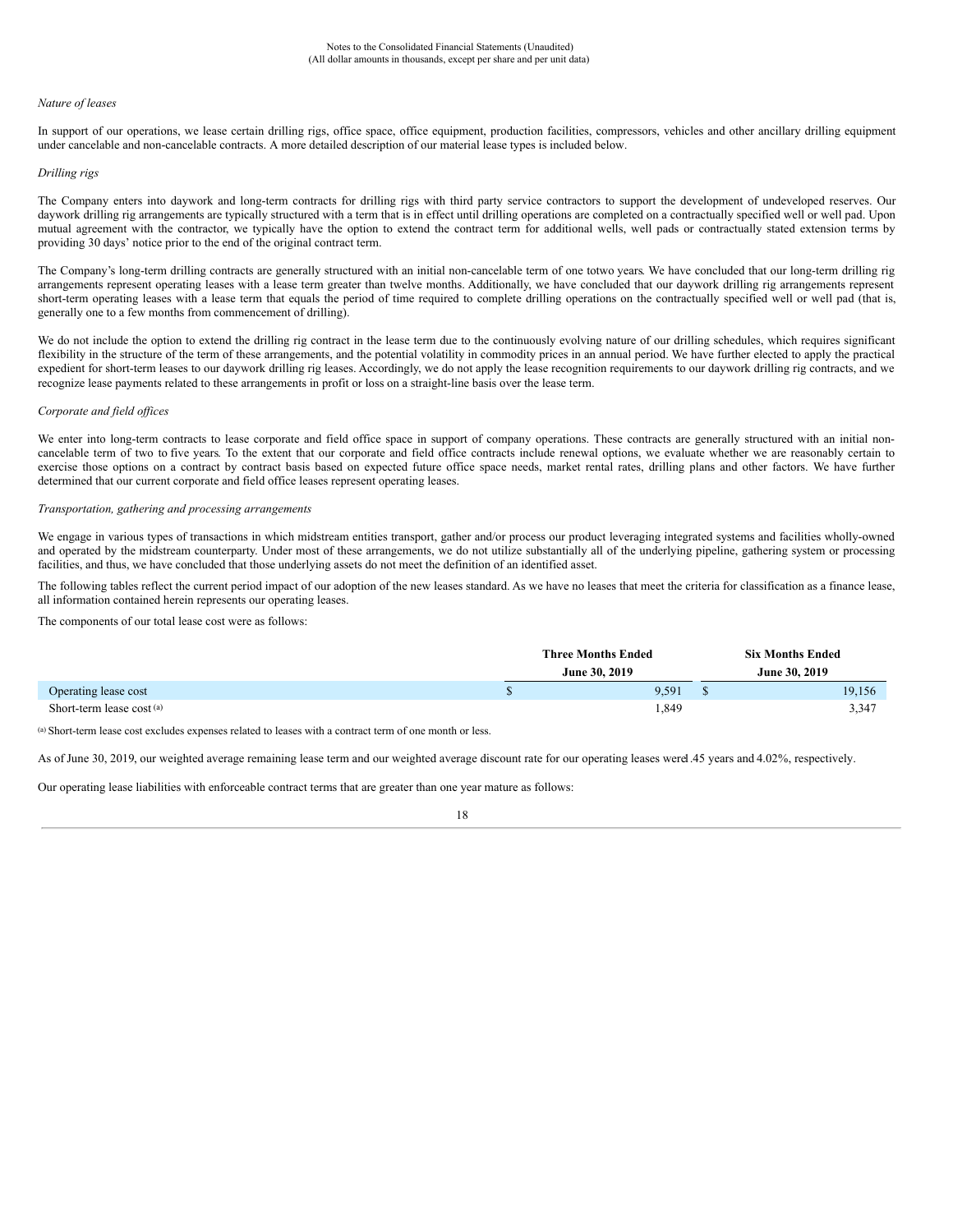## *Nature of leases*

In support of our operations, we lease certain drilling rigs, office space, office equipment, production facilities, compressors, vehicles and other ancillary drilling equipment under cancelable and non-cancelable contracts. A more detailed description of our material lease types is included below.

## *Drilling rigs*

The Company enters into daywork and long-term contracts for drilling rigs with third party service contractors to support the development of undeveloped reserves. Our daywork drilling rig arrangements are typically structured with a term that is in effect until drilling operations are completed on a contractually specified well or well pad. Upon mutual agreement with the contractor, we typically have the option to extend the contract term for additional wells, well pads or contractually stated extension terms by providing 30 days' notice prior to the end of the original contract term.

The Company's long-term drilling contracts are generally structured with an initial non-cancelable term of one totwo years. We have concluded that our long-term drilling rig arrangements represent operating leases with a lease term greater than twelve months. Additionally, we have concluded that our daywork drilling rig arrangements represent short-term operating leases with a lease term that equals the period of time required to complete drilling operations on the contractually specified well or well pad (that is, generally one to a few months from commencement of drilling).

We do not include the option to extend the drilling rig contract in the lease term due to the continuously evolving nature of our drilling schedules, which requires significant flexibility in the structure of the term of these arrangements, and the potential volatility in commodity prices in an annual period. We have further elected to apply the practical expedient for short-term leases to our daywork drilling rig leases. Accordingly, we do not apply the lease recognition requirements to our daywork drilling rig contracts, and we recognize lease payments related to these arrangements in profit or loss on a straight-line basis over the lease term.

## *Corporate and field of ices*

We enter into long-term contracts to lease corporate and field office space in support of company operations. These contracts are generally structured with an initial noncancelable term of two to five years. To the extent that our corporate and field office contracts include renewal options, we evaluate whether we are reasonably certain to exercise those options on a contract by contract basis based on expected future office space needs, market rental rates, drilling plans and other factors. We have further determined that our current corporate and field office leases represent operating leases.

#### *Transportation, gathering and processing arrangements*

We engage in various types of transactions in which midstream entities transport, gather and/or process our product leveraging integrated systems and facilities wholly-owned and operated by the midstream counterparty. Under most of these arrangements, we do not utilize substantially all of the underlying pipeline, gathering system or processing facilities, and thus, we have concluded that those underlying assets do not meet the definition of an identified asset.

The following tables reflect the current period impact of our adoption of the new leases standard. As we have no leases that meet the criteria for classification as a finance lease, all information contained herein represents our operating leases.

The components of our total lease cost were as follows:

|                            | <b>Three Months Ended</b> |  | <b>Six Months Ended</b> |
|----------------------------|---------------------------|--|-------------------------|
|                            | June 30, 2019             |  | June 30, 2019           |
| Operating lease cost       | 9.591                     |  | 19,156                  |
| Short-term lease $cost(a)$ | .349                      |  | 3,347                   |

(a) Short-term lease cost excludes expenses related to leases with a contract term of one month or less.

As of June 30, 2019, our weighted average remaining lease term and our weighted average discount rate for our operating leases were1.45 years and 4.02%, respectively.

Our operating lease liabilities with enforceable contract terms that are greater than one year mature as follows: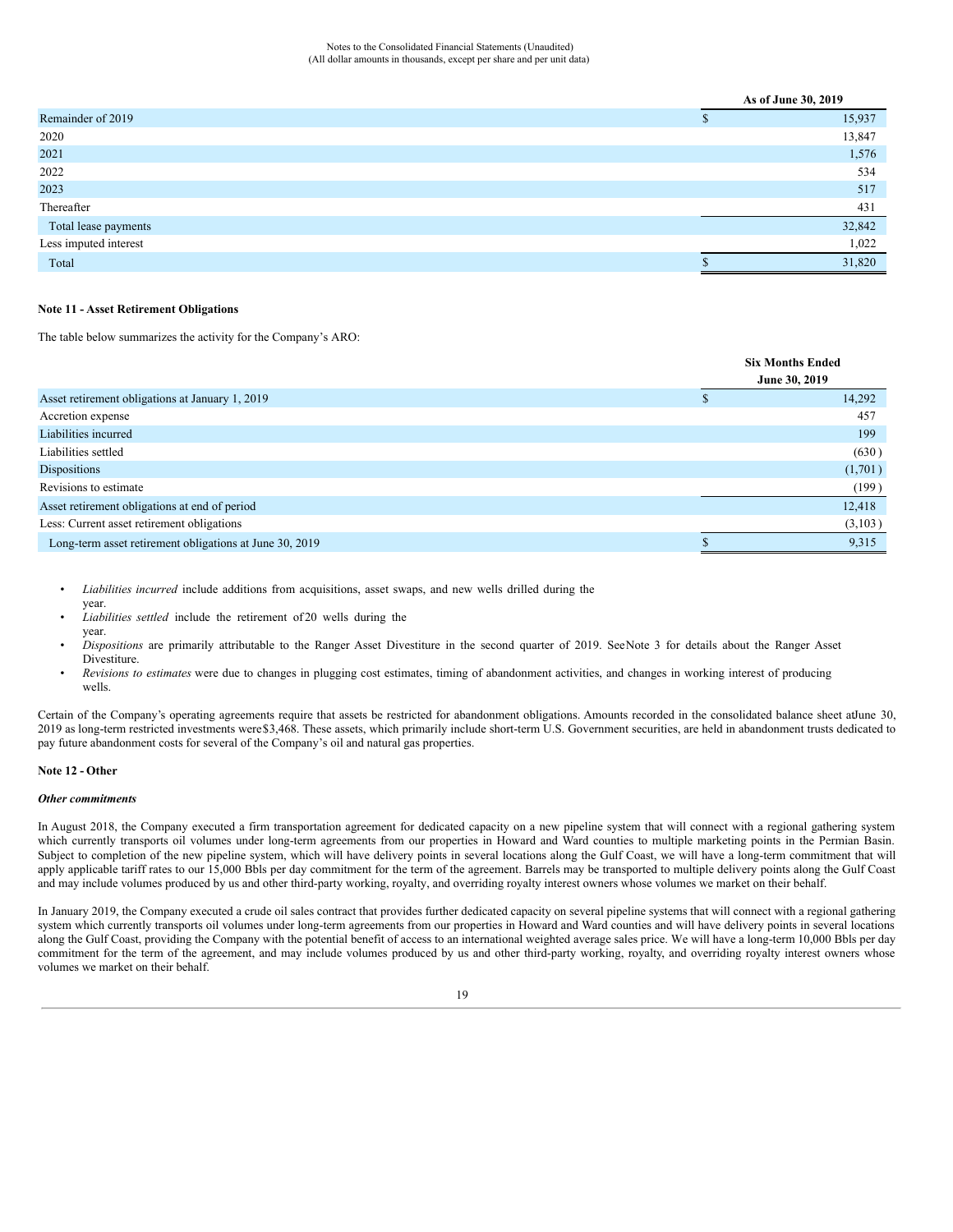#### Notes to the Consolidated Financial Statements (Unaudited) (All dollar amounts in thousands, except per share and per unit data)

|                       | As of June 30, 2019 |
|-----------------------|---------------------|
| Remainder of 2019     | 15,937              |
| 2020                  | 13,847              |
| 2021                  | 1,576               |
| 2022                  | 534                 |
| 2023                  | 517                 |
| Thereafter            | 431                 |
| Total lease payments  | 32,842              |
| Less imputed interest | 1,022               |
| Total                 | 31,820              |

## **Note 11 - Asset Retirement Obligations**

The table below summarizes the activity for the Company's ARO:

|                                                         | <b>Six Months Ended</b> |               |  |
|---------------------------------------------------------|-------------------------|---------------|--|
|                                                         |                         | June 30, 2019 |  |
| Asset retirement obligations at January 1, 2019         |                         | 14,292        |  |
| Accretion expense                                       |                         | 457           |  |
| Liabilities incurred                                    |                         | 199           |  |
| Liabilities settled                                     |                         | (630)         |  |
| <b>Dispositions</b>                                     |                         | (1,701)       |  |
| Revisions to estimate                                   |                         | (199)         |  |
| Asset retirement obligations at end of period           |                         | 12,418        |  |
| Less: Current asset retirement obligations              |                         | (3,103)       |  |
| Long-term asset retirement obligations at June 30, 2019 |                         | 9,315         |  |

• *Liabilities incurred* include additions from acquisitions, asset swaps, and new wells drilled during the year.

- *Liabilities settled* include the retirement of 20 wells during the year.
- *Dispositions* are primarily attributable to the Ranger Asset Divestiture in the second quarter of 2019. SeeNote 3 for details about the Ranger Asset Divestiture.
- *Revisions to estimates* were due to changes in plugging cost estimates, timing of abandonment activities, and changes in working interest of producing wells.

Certain of the Company's operating agreements require that assets be restricted for abandonment obligations. Amounts recorded in the consolidated balance sheet atJune 30, 2019 as long-term restricted investments were \$3,468. These assets, which primarily include short-term U.S. Government securities, are held in abandonment trusts dedicated to pay future abandonment costs for several of the Company's oil and natural gas properties.

## **Note 12 - Other**

#### *Other commitments*

In August 2018, the Company executed a firm transportation agreement for dedicated capacity on a new pipeline system that will connect with a regional gathering system which currently transports oil volumes under long-term agreements from our properties in Howard and Ward counties to multiple marketing points in the Permian Basin. Subject to completion of the new pipeline system, which will have delivery points in several locations along the Gulf Coast, we will have a long-term commitment that will apply applicable tariff rates to our 15,000 Bbls per day commitment for the term of the agreement. Barrels may be transported to multiple delivery points along the Gulf Coast and may include volumes produced by us and other third-party working, royalty, and overriding royalty interest owners whose volumes we market on their behalf.

In January 2019, the Company executed a crude oil sales contract that provides further dedicated capacity on several pipeline systems that will connect with a regional gathering system which currently transports oil volumes under long-term agreements from our properties in Howard and Ward counties and will have delivery points in several locations along the Gulf Coast, providing the Company with the potential benefit of access to an international weighted average sales price. We will have a long-term 10,000 Bbls per day commitment for the term of the agreement, and may include volumes produced by us and other third-party working, royalty, and overriding royalty interest owners whose volumes we market on their behalf.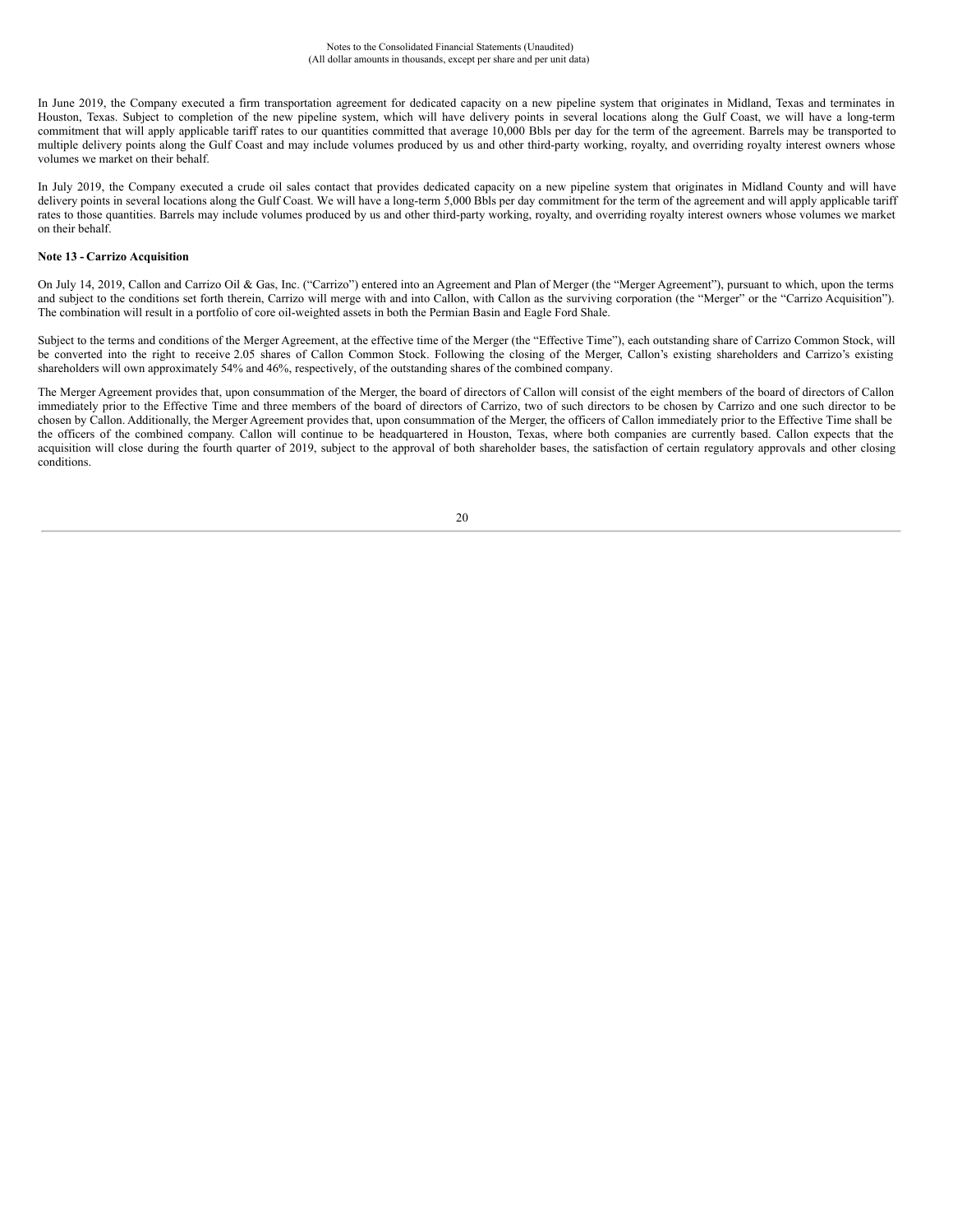In June 2019, the Company executed a firm transportation agreement for dedicated capacity on a new pipeline system that originates in Midland, Texas and terminates in Houston, Texas. Subject to completion of the new pipeline system, which will have delivery points in several locations along the Gulf Coast, we will have a long-term commitment that will apply applicable tariff rates to our quantities committed that average 10,000 Bbls per day for the term of the agreement. Barrels may be transported to multiple delivery points along the Gulf Coast and may include volumes produced by us and other third-party working, royalty, and overriding royalty interest owners whose volumes we market on their behalf.

In July 2019, the Company executed a crude oil sales contact that provides dedicated capacity on a new pipeline system that originates in Midland County and will have delivery points in several locations along the Gulf Coast. We will have a long-term 5,000 Bbls per day commitment for the term of the agreement and will apply applicable tariff rates to those quantities. Barrels may include volumes produced by us and other third-party working, royalty, and overriding royalty interest owners whose volumes we market on their behalf.

## **Note 13 - Carrizo Acquisition**

On July 14, 2019, Callon and Carrizo Oil & Gas, Inc. ("Carrizo") entered into an Agreement and Plan of Merger (the "Merger Agreement"), pursuant to which, upon the terms and subject to the conditions set forth therein, Carrizo will merge with and into Callon, with Callon as the surviving corporation (the "Merger" or the "Carrizo Acquisition"). The combination will result in a portfolio of core oil-weighted assets in both the Permian Basin and Eagle Ford Shale.

Subject to the terms and conditions of the Merger Agreement, at the effective time of the Merger (the "Effective Time"), each outstanding share of Carrizo Common Stock, will be converted into the right to receive 2.05 shares of Callon Common Stock. Following the closing of the Merger, Callon's existing shareholders and Carrizo's existing shareholders will own approximately 54% and 46%, respectively, of the outstanding shares of the combined company.

The Merger Agreement provides that, upon consummation of the Merger, the board of directors of Callon will consist of the eight members of the board of directors of Callon immediately prior to the Effective Time and three members of the board of directors of Carrizo, two of such directors to be chosen by Carrizo and one such director to be chosen by Callon. Additionally, the Merger Agreement provides that, upon consummation of the Merger, the officers of Callon immediately prior to the Effective Time shall be the officers of the combined company. Callon will continue to be headquartered in Houston, Texas, where both companies are currently based. Callon expects that the acquisition will close during the fourth quarter of 2019, subject to the approval of both shareholder bases, the satisfaction of certain regulatory approvals and other closing conditions.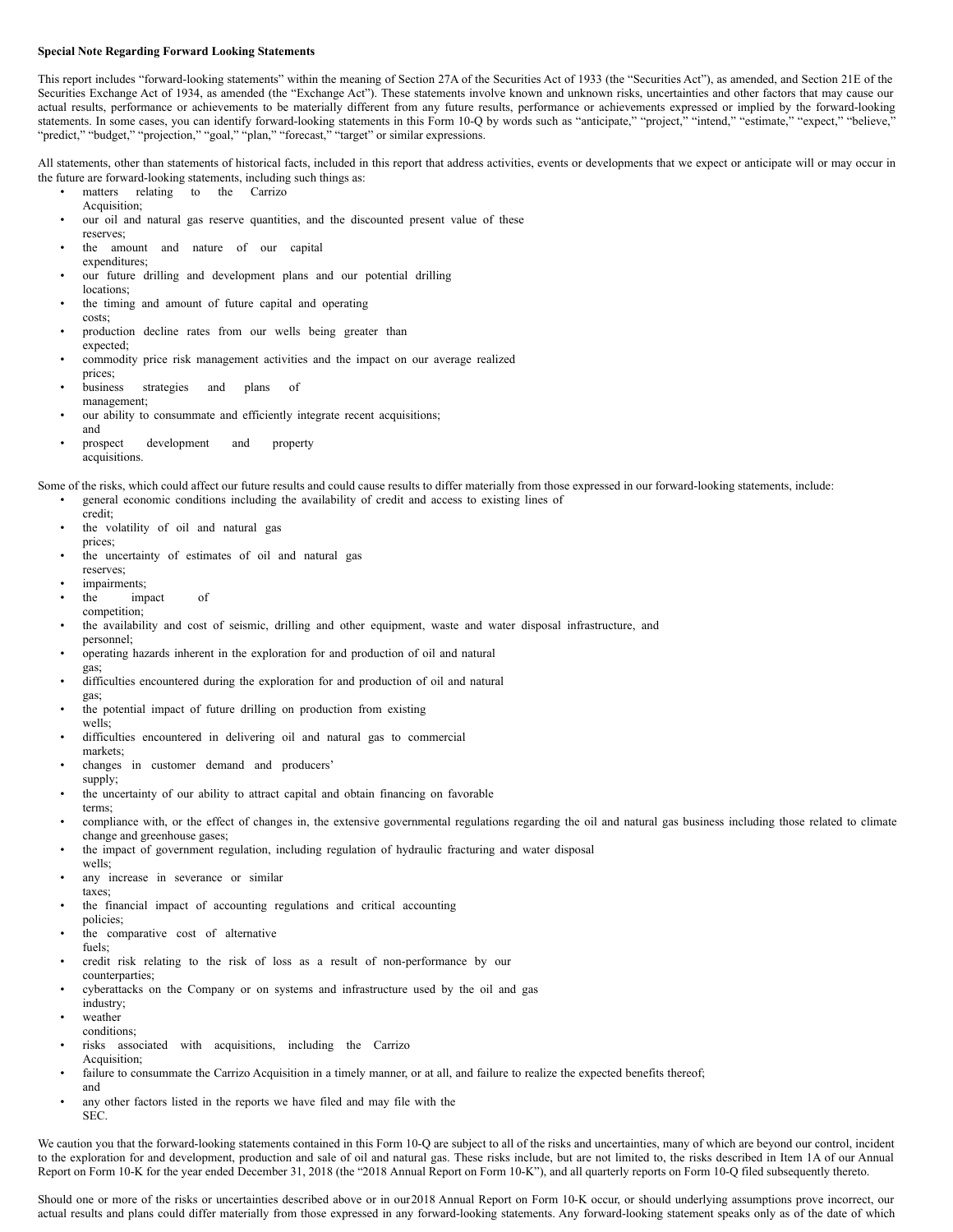#### **Special Note Regarding Forward Looking Statements**

This report includes "forward-looking statements" within the meaning of Section 27A of the Securities Act of 1933 (the "Securities Act"), as amended, and Section 21E of the Securities Exchange Act of 1934, as amended (the "Exchange Act"). These statements involve known and unknown risks, uncertainties and other factors that may cause our actual results, performance or achievements to be materially different from any future results, performance or achievements expressed or implied by the forward-looking statements. In some cases, you can identify forward-looking statements in this Form 10-Q by words such as "anticipate," "project," "intend," "estimate," "expect," "believe, "predict," "budget," "projection," "goal," "plan," "forecast," "target" or similar expressions.

All statements, other than statements of historical facts, included in this report that address activities, events or developments that we expect or anticipate will or may occur in the future are forward-looking statements, including such things as:

- matters relating to the Carrizo
- Acquisition;
- our oil and natural gas reserve quantities, and the discounted present value of these reserves;
- the amount and nature of our capital expenditures;
- our future drilling and development plans and our potential drilling locations;
- the timing and amount of future capital and operating costs;
- production decline rates from our wells being greater than expected;
- commodity price risk management activities and the impact on our average realized prices;
- business strategies and plans of management;
- our ability to consummate and efficiently integrate recent acquisitions; and
- prospect development and property acquisitions.

Some of the risks, which could affect our future results and could cause results to differ materially from those expressed in our forward-looking statements, include: • general economic conditions including the availability of credit and access to existing lines of

- credit;
- the volatility of oil and natural gas prices;
- the uncertainty of estimates of oil and natural gas
- reserves; impairments;
- the impact of
- competition;
- the availability and cost of seismic, drilling and other equipment, waste and water disposal infrastructure, and
- personnel; • operating hazards inherent in the exploration for and production of oil and natural
- gas; difficulties encountered during the exploration for and production of oil and natural gas;
- the potential impact of future drilling on production from existing wells;
- difficulties encountered in delivering oil and natural gas to commercial markets;
- changes in customer demand and producers' supply;
- the uncertainty of our ability to attract capital and obtain financing on favorable terms;
- compliance with, or the effect of changes in, the extensive governmental regulations regarding the oil and natural gas business including those related to climate change and greenhouse gases;
- the impact of government regulation, including regulation of hydraulic fracturing and water disposal wells;
- any increase in severance or similar
- taxes;
- the financial impact of accounting regulations and critical accounting policies;
- the comparative cost of alternative
- fuels;
- credit risk relating to the risk of loss as a result of non-performance by our counterparties;
- cyberattacks on the Company or on systems and infrastructure used by the oil and gas
- industry;
- weather conditions;
- risks associated with acquisitions, including the Carrizo Acquisition;
- failure to consummate the Carrizo Acquisition in a timely manner, or at all, and failure to realize the expected benefits thereof; and
- any other factors listed in the reports we have filed and may file with the SEC.

We caution you that the forward-looking statements contained in this Form 10-Q are subject to all of the risks and uncertainties, many of which are beyond our control, incident to the exploration for and development, production and sale of oil and natural gas. These risks include, but are not limited to, the risks described in Item 1A of our Annual Report on Form 10-K for the year ended December 31, 2018 (the "2018 Annual Report on Form 10-K"), and all quarterly reports on Form 10-Q filed subsequently thereto.

Should one or more of the risks or uncertainties described above or in our2018 Annual Report on Form 10-K occur, or should underlying assumptions prove incorrect, our actual results and plans could differ materially from those expressed in any forward-looking statements. Any forward-looking statement speaks only as of the date of which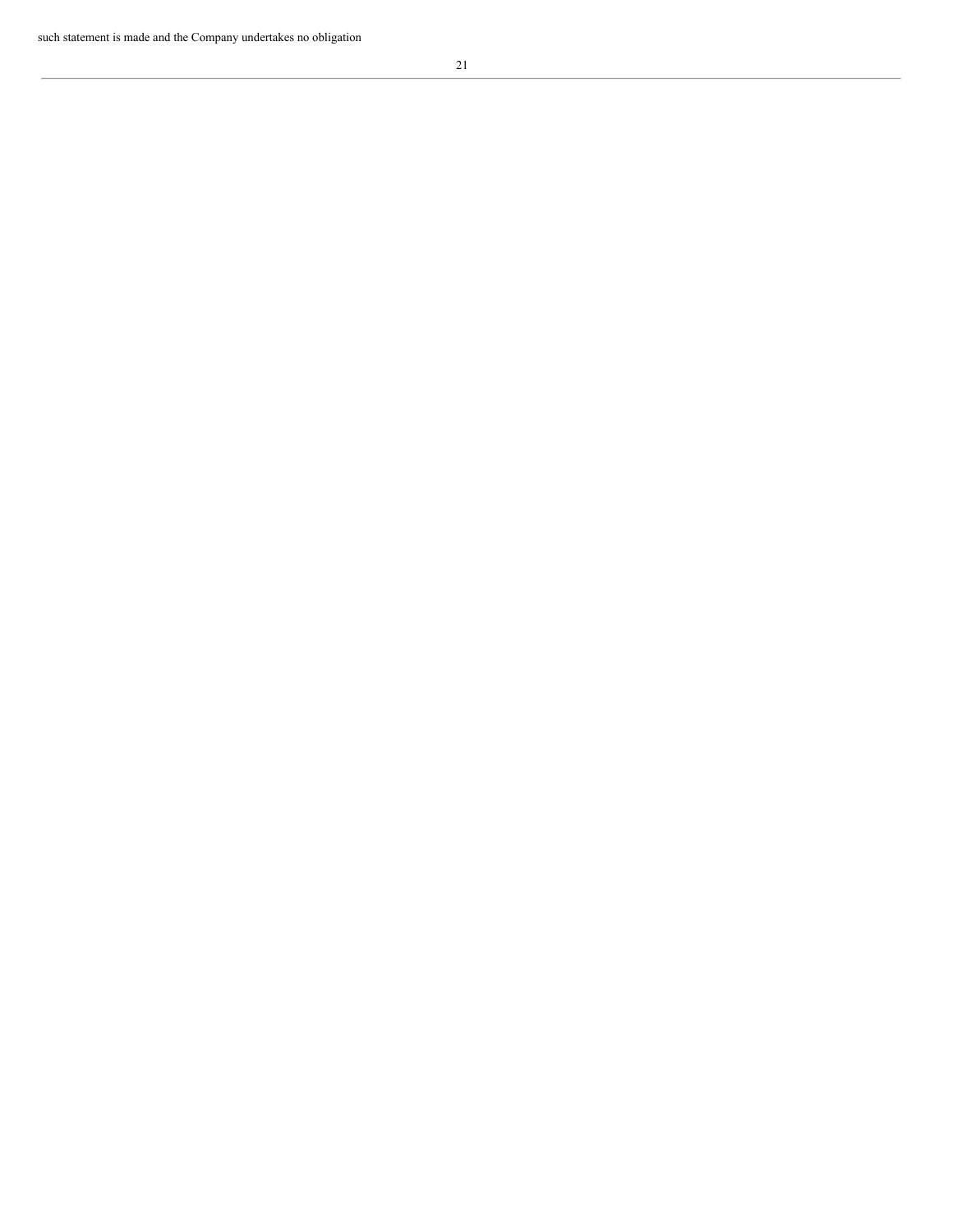such statement is made and the Company undertakes no obligation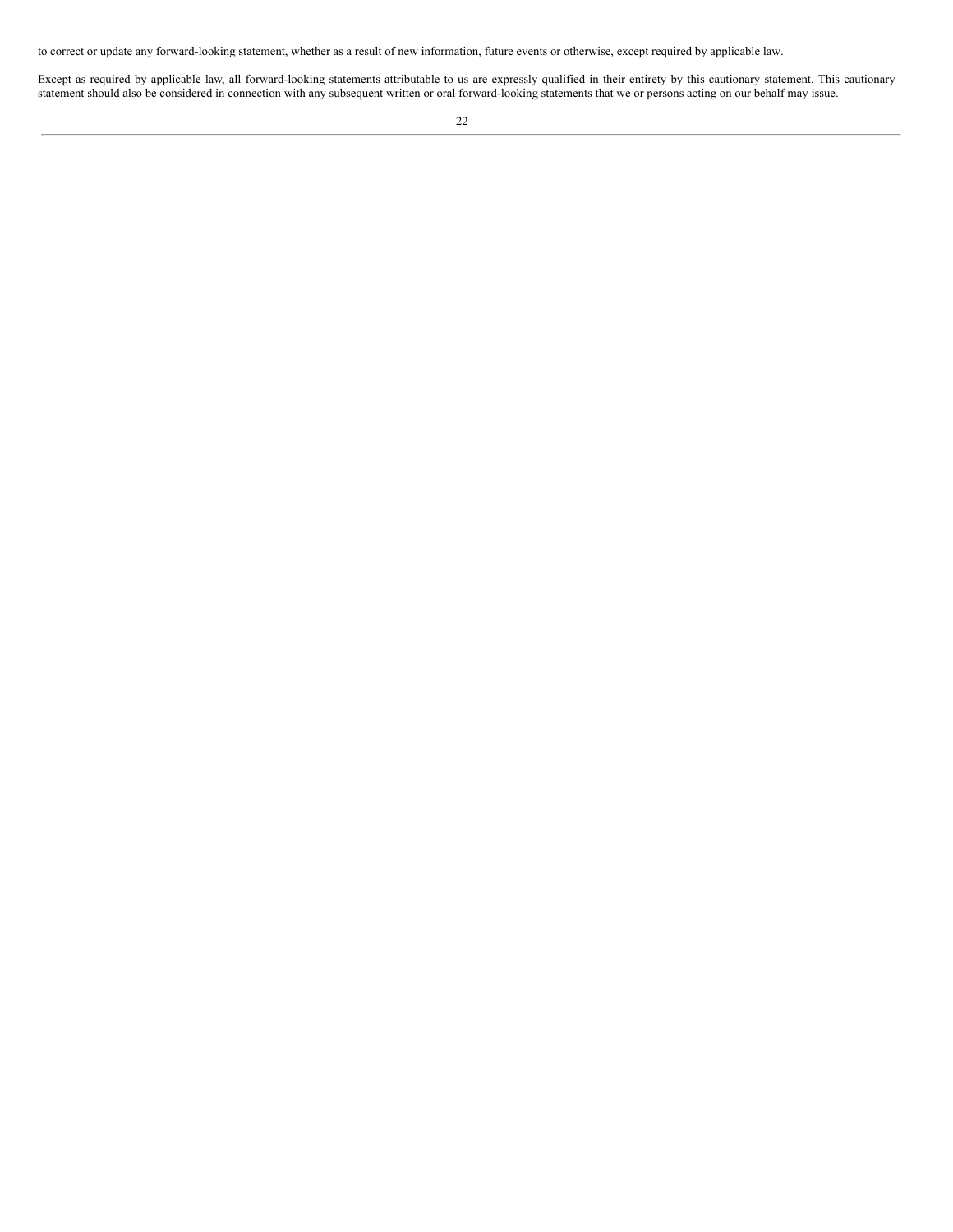to correct or update any forward-looking statement, whether as a result of new information, future events or otherwise, except required by applicable law.

Except as required by applicable law, all forward-looking statements attributable to us are expressly qualified in their entirety by this cautionary statement. This cautionary statement should also be considered in connection with any subsequent written or oral forward-looking statements that we or persons acting on our behalf may issue.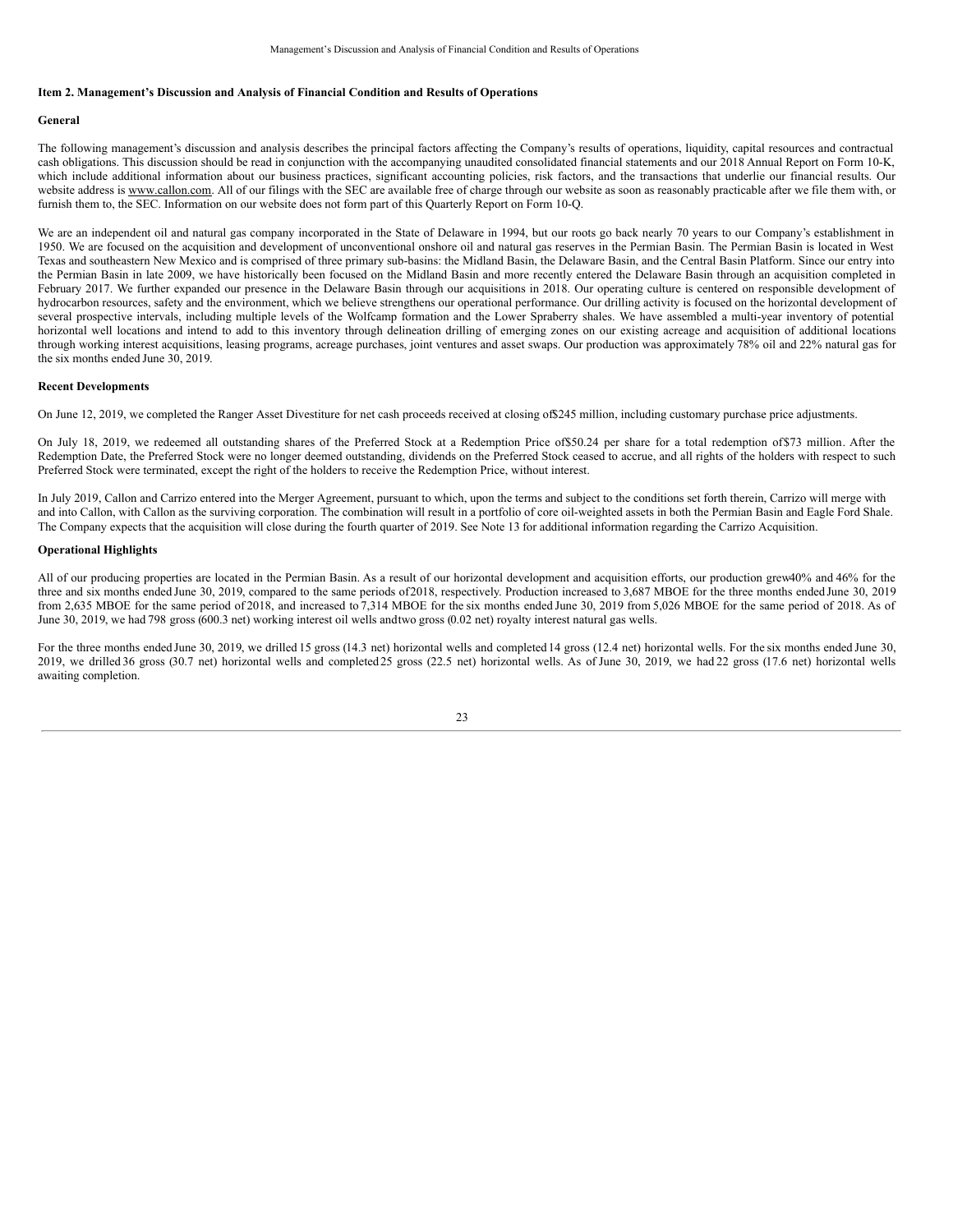#### **Item 2. Management's Discussion and Analysis of Financial Condition and Results of Operations**

#### **General**

The following management's discussion and analysis describes the principal factors affecting the Company's results of operations, liquidity, capital resources and contractual cash obligations. This discussion should be read in conjunction with the accompanying unaudited consolidated financial statements and our 2018 Annual Report on Form 10-K, which include additional information about our business practices, significant accounting policies, risk factors, and the transactions that underlie our financial results. Our website address is www.callon.com. All of our filings with the SEC are available free of charge through our website as soon as reasonably practicable after we file them with, or furnish them to, the SEC. Information on our website does not form part of this Quarterly Report on Form 10-Q.

We are an independent oil and natural gas company incorporated in the State of Delaware in 1994, but our roots go back nearly 70 years to our Company's establishment in 1950. We are focused on the acquisition and development of unconventional onshore oil and natural gas reserves in the Permian Basin. The Permian Basin is located in West Texas and southeastern New Mexico and is comprised of three primary sub-basins: the Midland Basin, the Delaware Basin, and the Central Basin Platform. Since our entry into the Permian Basin in late 2009, we have historically been focused on the Midland Basin and more recently entered the Delaware Basin through an acquisition completed in February 2017. We further expanded our presence in the Delaware Basin through our acquisitions in 2018. Our operating culture is centered on responsible development of hydrocarbon resources, safety and the environment, which we believe strengthens our operational performance. Our drilling activity is focused on the horizontal development of several prospective intervals, including multiple levels of the Wolfcamp formation and the Lower Spraberry shales. We have assembled a multi-year inventory of potential horizontal well locations and intend to add to this inventory through delineation drilling of emerging zones on our existing acreage and acquisition of additional locations through working interest acquisitions, leasing programs, acreage purchases, joint ventures and asset swaps. Our production was approximately 78% oil and 22% natural gas for the six months ended June 30, 2019.

#### **Recent Developments**

On June 12, 2019, we completed the Ranger Asset Divestiture for net cash proceeds received at closing of\$245 million, including customary purchase price adjustments.

On July 18, 2019, we redeemed all outstanding shares of the Preferred Stock at a Redemption Price of\$50.24 per share for a total redemption of\$73 million. After the Redemption Date, the Preferred Stock were no longer deemed outstanding, dividends on the Preferred Stock ceased to accrue, and all rights of the holders with respect to such Preferred Stock were terminated, except the right of the holders to receive the Redemption Price, without interest.

In July 2019, Callon and Carrizo entered into the Merger Agreement, pursuant to which, upon the terms and subject to the conditions set forth therein, Carrizo will merge with and into Callon, with Callon as the surviving corporation. The combination will result in a portfolio of core oil-weighted assets in both the Permian Basin and Eagle Ford Shale. The Company expects that the acquisition will close during the fourth quarter of 2019. See Note 13 for additional information regarding the Carrizo Acquisition.

## **Operational Highlights**

All of our producing properties are located in the Permian Basin. As a result of our horizontal development and acquisition efforts, our production grew40% and 46% for the three and six months ended June 30, 2019, compared to the same periods of2018, respectively. Production increased to 3,687 MBOE for the three months ended June 30, 2019 from 2,635 MBOE for the same period of 2018, and increased to 7,314 MBOE for the six months ended June 30, 2019 from 5,026 MBOE for the same period of 2018. As of June 30, 2019, we had 798 gross (600.3 net) working interest oil wells andtwo gross (0.02 net) royalty interest natural gas wells.

For the three months ended June 30, 2019, we drilled 15 gross (14.3 net) horizontal wells and completed 14 gross (12.4 net) horizontal wells. For the six months ended June 30, 2019, we drilled 36 gross (30.7 net) horizontal wells and completed 25 gross (22.5 net) horizontal wells. As of June 30, 2019, we had 22 gross (17.6 net) horizontal wells awaiting completion.

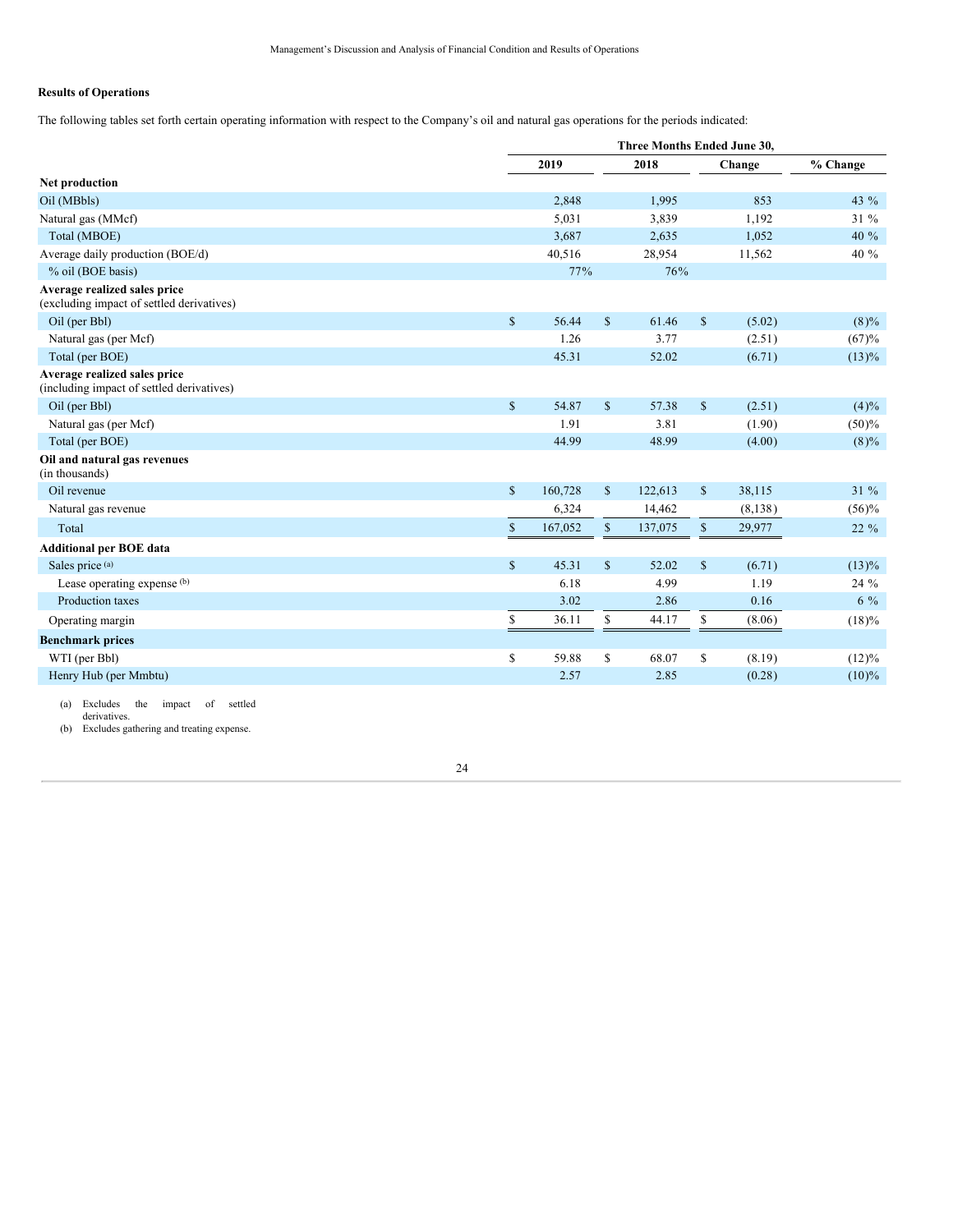## **Results of Operations**

The following tables set forth certain operating information with respect to the Company's oil and natural gas operations for the periods indicated:

|                                                                           |              | Three Months Ended June 30, |              |         |              |          |          |  |  |  |
|---------------------------------------------------------------------------|--------------|-----------------------------|--------------|---------|--------------|----------|----------|--|--|--|
|                                                                           |              | 2019                        |              | 2018    |              | Change   | % Change |  |  |  |
| Net production                                                            |              |                             |              |         |              |          |          |  |  |  |
| Oil (MBbls)                                                               |              | 2,848                       |              | 1,995   |              | 853      | 43 %     |  |  |  |
| Natural gas (MMcf)                                                        |              | 5,031                       |              | 3,839   |              | 1,192    | 31 %     |  |  |  |
| Total (MBOE)                                                              |              | 3,687                       |              | 2,635   |              | 1,052    | 40 %     |  |  |  |
| Average daily production (BOE/d)                                          |              | 40,516                      |              | 28,954  |              | 11,562   | 40 %     |  |  |  |
| % oil (BOE basis)                                                         |              | 77%                         |              | 76%     |              |          |          |  |  |  |
| Average realized sales price<br>(excluding impact of settled derivatives) |              |                             |              |         |              |          |          |  |  |  |
| Oil (per Bbl)                                                             | $\mathbb{S}$ | 56.44                       | $\mathbb{S}$ | 61.46   | $\mathbb{S}$ | (5.02)   | $(8)\%$  |  |  |  |
| Natural gas (per Mcf)                                                     |              | 1.26                        |              | 3.77    |              | (2.51)   | (67)%    |  |  |  |
| Total (per BOE)                                                           |              | 45.31                       |              | 52.02   |              | (6.71)   | $(13)\%$ |  |  |  |
| Average realized sales price<br>(including impact of settled derivatives) |              |                             |              |         |              |          |          |  |  |  |
| Oil (per Bbl)                                                             | $\mathbb{S}$ | 54.87                       | $\mathbb{S}$ | 57.38   | $\mathbb{S}$ | (2.51)   | $(4)\%$  |  |  |  |
| Natural gas (per Mcf)                                                     |              | 1.91                        |              | 3.81    |              | (1.90)   | $(50)\%$ |  |  |  |
| Total (per BOE)                                                           |              | 44.99                       |              | 48.99   |              | (4.00)   | $(8)\%$  |  |  |  |
| Oil and natural gas revenues<br>(in thousands)                            |              |                             |              |         |              |          |          |  |  |  |
| Oil revenue                                                               | $\mathbb{S}$ | 160,728                     | $\mathbb{S}$ | 122,613 | $\mathbb{S}$ | 38,115   | $31\%$   |  |  |  |
| Natural gas revenue                                                       |              | 6,324                       |              | 14,462  |              | (8, 138) | $(56)\%$ |  |  |  |
| Total                                                                     | $\mathbb{S}$ | 167,052                     | $\mathbb S$  | 137,075 | \$           | 29,977   | $22\%$   |  |  |  |
| <b>Additional per BOE data</b>                                            |              |                             |              |         |              |          |          |  |  |  |
| Sales price (a)                                                           | $\mathbb{S}$ | 45.31                       | $\mathbb{S}$ | 52.02   | $\mathbb{S}$ | (6.71)   | $(13)\%$ |  |  |  |
| Lease operating expense (b)                                               |              | 6.18                        |              | 4.99    |              | 1.19     | 24 %     |  |  |  |
| Production taxes                                                          |              | 3.02                        |              | 2.86    |              | 0.16     | $6\%$    |  |  |  |
| Operating margin                                                          | \$           | 36.11                       | \$           | 44.17   | \$           | (8.06)   | $(18)\%$ |  |  |  |
| <b>Benchmark prices</b>                                                   |              |                             |              |         |              |          |          |  |  |  |
| WTI (per Bbl)                                                             | \$           | 59.88                       | $\mathbb{S}$ | 68.07   | \$           | (8.19)   | $(12)\%$ |  |  |  |
| Henry Hub (per Mmbtu)                                                     |              | 2.57                        |              | 2.85    |              | (0.28)   | $(10)\%$ |  |  |  |
|                                                                           |              |                             |              |         |              |          |          |  |  |  |

(a) Excludes the impact of settled

derivatives.

(b) Excludes gathering and treating expense.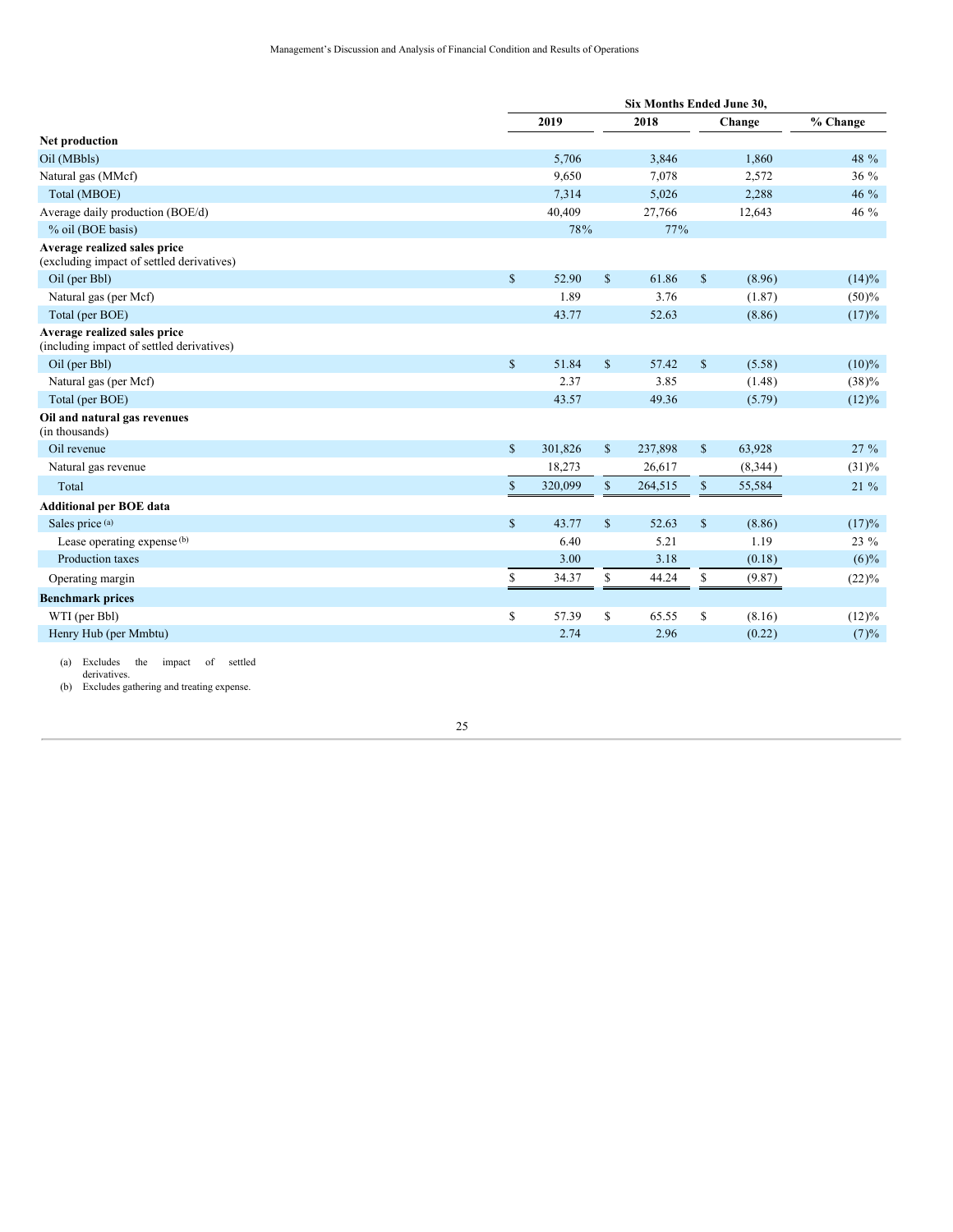|                                                                           | Six Months Ended June 30, |         |              |         |               |          |          |  |  |  |
|---------------------------------------------------------------------------|---------------------------|---------|--------------|---------|---------------|----------|----------|--|--|--|
|                                                                           |                           | 2019    |              | 2018    |               | Change   | % Change |  |  |  |
| Net production                                                            |                           |         |              |         |               |          |          |  |  |  |
| Oil (MBbls)                                                               |                           | 5,706   |              | 3,846   |               | 1,860    | 48 %     |  |  |  |
| Natural gas (MMcf)                                                        |                           | 9,650   |              | 7,078   |               | 2,572    | 36 %     |  |  |  |
| Total (MBOE)                                                              |                           | 7,314   |              | 5,026   |               | 2,288    | 46 %     |  |  |  |
| Average daily production (BOE/d)                                          |                           | 40,409  |              | 27,766  |               | 12,643   | 46 %     |  |  |  |
| % oil (BOE basis)                                                         |                           | 78%     |              | 77%     |               |          |          |  |  |  |
| Average realized sales price<br>(excluding impact of settled derivatives) |                           |         |              |         |               |          |          |  |  |  |
| Oil (per Bbl)                                                             | $\mathbb{S}$              | 52.90   | $\mathbb{S}$ | 61.86   | $\mathbf S$   | (8.96)   | $(14)\%$ |  |  |  |
| Natural gas (per Mcf)                                                     |                           | 1.89    |              | 3.76    |               | (1.87)   | (50)%    |  |  |  |
| Total (per BOE)                                                           |                           | 43.77   |              | 52.63   |               | (8.86)   | (17)%    |  |  |  |
| Average realized sales price<br>(including impact of settled derivatives) |                           |         |              |         |               |          |          |  |  |  |
| Oil (per Bbl)                                                             | \$                        | 51.84   | $\mathbb{S}$ | 57.42   | $\mathcal{S}$ | (5.58)   | $(10)\%$ |  |  |  |
| Natural gas (per Mcf)                                                     |                           | 2.37    |              | 3.85    |               | (1.48)   | $(38)\%$ |  |  |  |
| Total (per BOE)                                                           |                           | 43.57   |              | 49.36   |               | (5.79)   | $(12)\%$ |  |  |  |
| Oil and natural gas revenues<br>(in thousands)                            |                           |         |              |         |               |          |          |  |  |  |
| Oil revenue                                                               | $\mathbb{S}$              | 301,826 | $\mathbb{S}$ | 237,898 | $\mathcal{S}$ | 63,928   | $27\%$   |  |  |  |
| Natural gas revenue                                                       |                           | 18,273  |              | 26.617  |               | (8, 344) | $(31)\%$ |  |  |  |
| Total                                                                     | $\mathbb{S}$              | 320,099 | $\mathbb{S}$ | 264,515 | $\$$          | 55,584   | $21\%$   |  |  |  |
| <b>Additional per BOE data</b>                                            |                           |         |              |         |               |          |          |  |  |  |
| Sales price (a)                                                           | $\mathbb{S}$              | 43.77   | $\mathbb{S}$ | 52.63   | $\mathcal{S}$ | (8.86)   | (17)%    |  |  |  |
| Lease operating expense (b)                                               |                           | 6.40    |              | 5.21    |               | 1.19     | 23 %     |  |  |  |
| Production taxes                                                          |                           | 3.00    |              | 3.18    |               | (0.18)   | $(6)\%$  |  |  |  |
| Operating margin                                                          | \$                        | 34.37   | \$           | 44.24   | \$            | (9.87)   | $(22)\%$ |  |  |  |
| <b>Benchmark prices</b>                                                   |                           |         |              |         |               |          |          |  |  |  |
| WTI (per Bbl)                                                             | \$                        | 57.39   | S            | 65.55   | \$            | (8.16)   | $(12)\%$ |  |  |  |
| Henry Hub (per Mmbtu)                                                     |                           | 2.74    |              | 2.96    |               | (0.22)   | (7)%     |  |  |  |
|                                                                           |                           |         |              |         |               |          |          |  |  |  |

(a) Excludes the impact of settled derivatives.

(b) Excludes gathering and treating expense.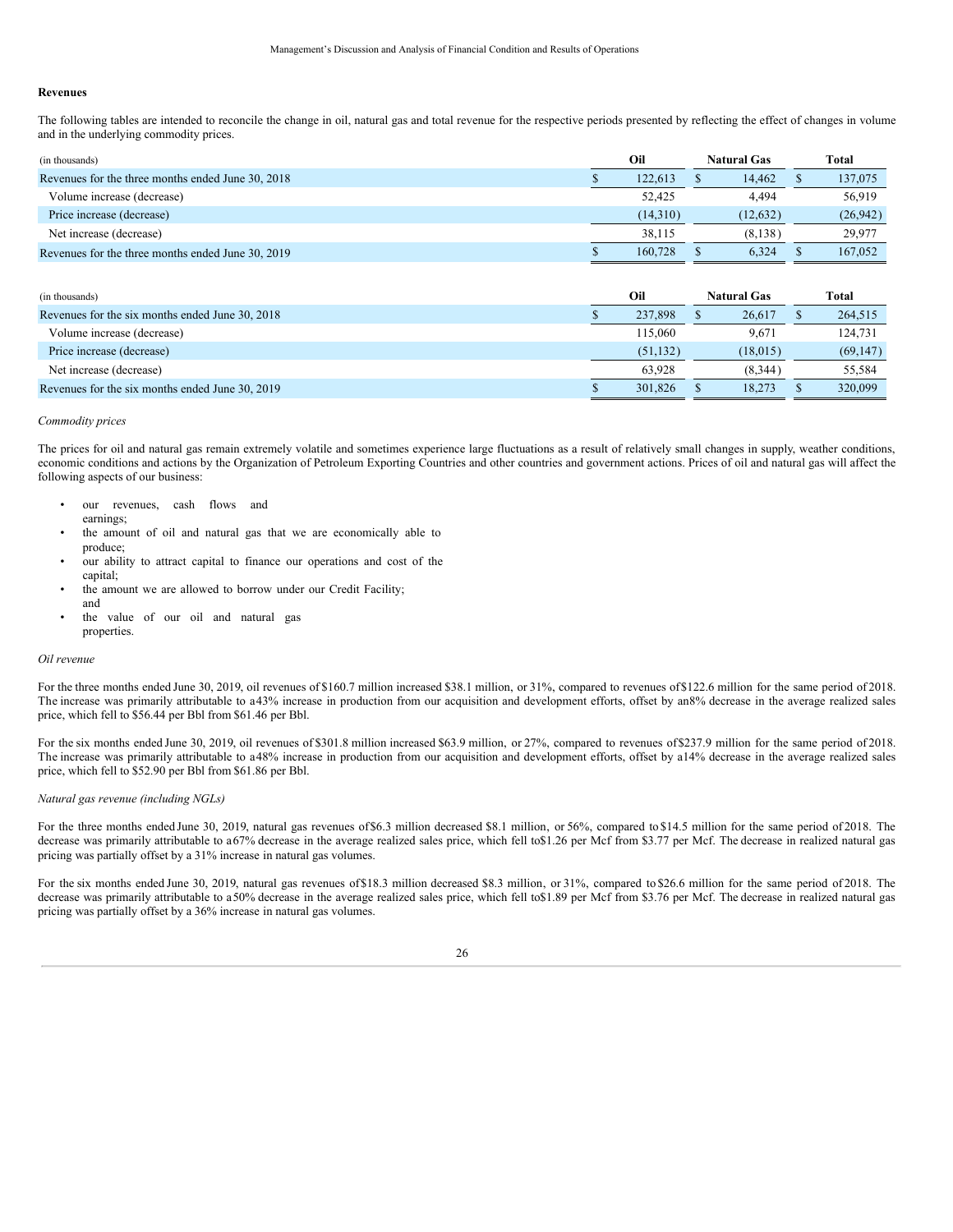#### **Revenues**

The following tables are intended to reconcile the change in oil, natural gas and total revenue for the respective periods presented by reflecting the effect of changes in volume and in the underlying commodity prices.

| (in thousands)                                    | Oil |          | <b>Natural Gas</b> | Total |           |  |
|---------------------------------------------------|-----|----------|--------------------|-------|-----------|--|
| Revenues for the three months ended June 30, 2018 |     | 122,613  | 14.462             |       | 137,075   |  |
| Volume increase (decrease)                        |     | 52,425   | 4.494              |       | 56,919    |  |
| Price increase (decrease)                         |     | (14.310) | (12.632)           |       | (26, 942) |  |
| Net increase (decrease)                           |     | 38.115   | (8, 138)           |       | 29,977    |  |
| Revenues for the three months ended June 30, 2019 |     | 160,728  | 6.324              |       | 167,052   |  |

| (in thousands)                                  | Oil       | <b>Natural Gas</b> | Total     |
|-------------------------------------------------|-----------|--------------------|-----------|
| Revenues for the six months ended June 30, 2018 | 237,898   | 26.617             | 264,515   |
| Volume increase (decrease)                      | 115,060   | 9.671              | 124,731   |
| Price increase (decrease)                       | (51, 132) | (18.015)           | (69, 147) |
| Net increase (decrease)                         | 63.928    | (8.344)            | 55,584    |
| Revenues for the six months ended June 30, 2019 | 301,826   | 18.273             | 320,099   |

## *Commodity prices*

The prices for oil and natural gas remain extremely volatile and sometimes experience large fluctuations as a result of relatively small changes in supply, weather conditions, economic conditions and actions by the Organization of Petroleum Exporting Countries and other countries and government actions. Prices of oil and natural gas will affect the following aspects of our business:

- our revenues, cash flows and
	- earnings;
- the amount of oil and natural gas that we are economically able to produce;
- our ability to attract capital to finance our operations and cost of the capital;
- the amount we are allowed to borrow under our Credit Facility; and
- the value of our oil and natural gas properties.

#### *Oil revenue*

For the three months ended June 30, 2019, oil revenues of \$160.7 million increased \$38.1 million, or 31%, compared to revenues of \$122.6 million for the same period of 2018. The increase was primarily attributable to a43% increase in production from our acquisition and development efforts, offset by an8% decrease in the average realized sales price, which fell to \$56.44 per Bbl from \$61.46 per Bbl.

For the six months ended June 30, 2019, oil revenues of \$301.8 million increased \$63.9 million, or 27%, compared to revenues of \$237.9 million for the same period of 2018. The increase was primarily attributable to a48% increase in production from our acquisition and development efforts, offset by a14% decrease in the average realized sales price, which fell to \$52.90 per Bbl from \$61.86 per Bbl.

#### *Natural gas revenue (including NGLs)*

For the three months ended June 30, 2019, natural gas revenues of \$6.3 million decreased \$8.1 million, or 56%, compared to \$14.5 million for the same period of 2018. The decrease was primarily attributable to a67% decrease in the average realized sales price, which fell to\$1.26 per Mcf from \$3.77 per Mcf. The decrease in realized natural gas pricing was partially offset by a 31% increase in natural gas volumes.

For the six months ended June 30, 2019, natural gas revenues of \$18.3 million decreased \$8.3 million, or 31%, compared to \$26.6 million for the same period of 2018. The decrease was primarily attributable to a50% decrease in the average realized sales price, which fell to\$1.89 per Mcf from \$3.76 per Mcf. The decrease in realized natural gas pricing was partially offset by a 36% increase in natural gas volumes.

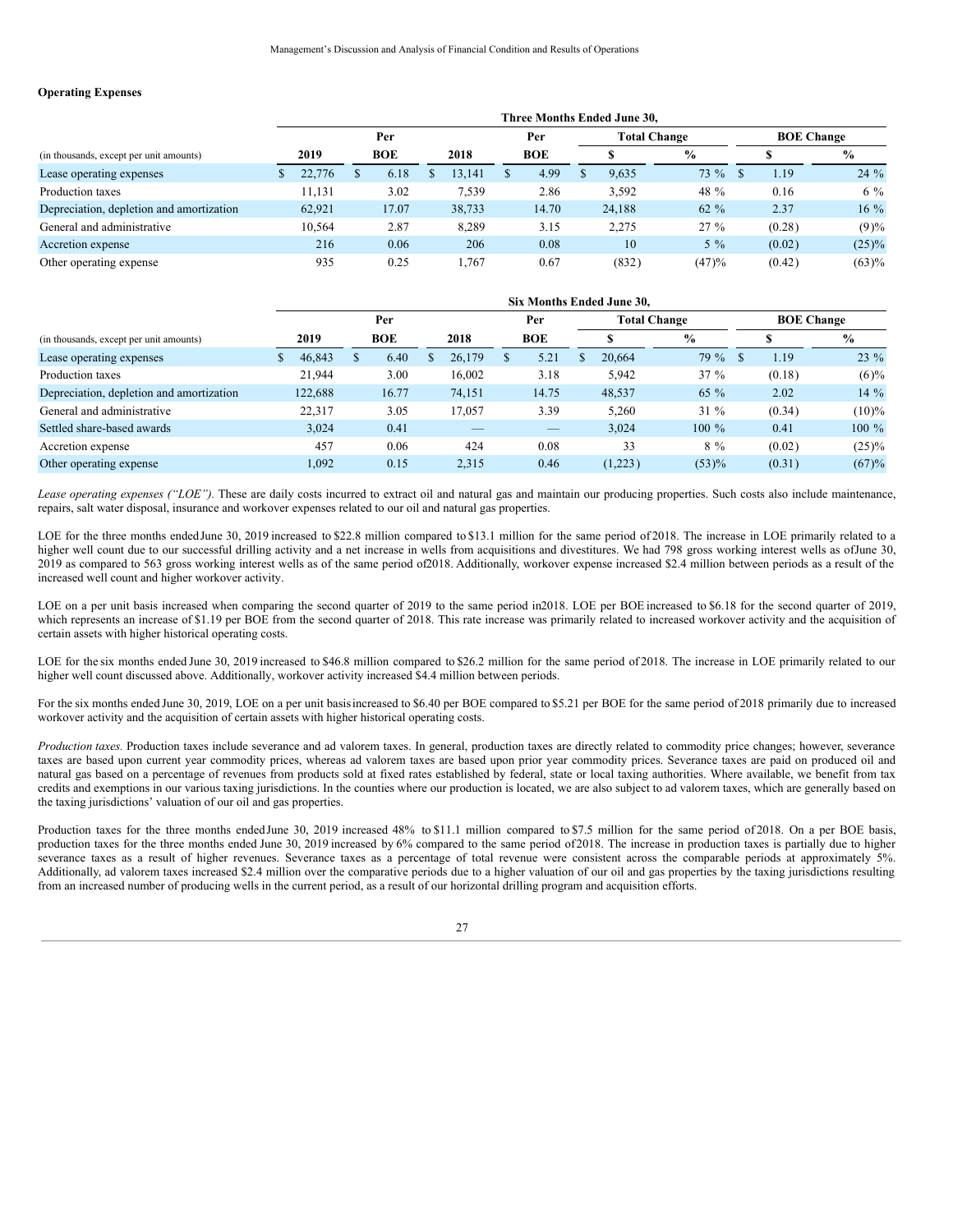## **Operating Expenses**

|                                          |        |       |        |       | Three Months Ended June 30. |         |                   |               |
|------------------------------------------|--------|-------|--------|-------|-----------------------------|---------|-------------------|---------------|
|                                          |        | Per   |        | Per   | <b>Total Change</b>         |         | <b>BOE Change</b> |               |
| (in thousands, except per unit amounts)  | 2019   | BOE   | 2018   | BOE   |                             | $\%$    |                   | $\frac{0}{0}$ |
| Lease operating expenses                 | 22,776 | 6.18  | 13.141 | 4.99  | 9,635                       | 73 %    | 1.19              | $24\%$        |
| Production taxes                         | 11.131 | 3.02  | 7,539  | 2.86  | 3,592                       | 48 %    | 0.16              | $6\%$         |
| Depreciation, depletion and amortization | 62.921 | 17.07 | 38.733 | 14.70 | 24,188                      | $62 \%$ | 2.37              | $16\%$        |
| General and administrative               | 10.564 | 2.87  | 8.289  | 3.15  | 2.275                       | $27 \%$ | (0.28)            | (9)%          |
| Accretion expense                        | 216    | 0.06  | 206    | 0.08  | 10                          | $5\%$   | (0.02)            | $(25)\%$      |
| Other operating expense                  | 935    | 0.25  | .767   | 0.67  | (832)                       | (47)%   | (0.42)            | (63)%         |

|                                          |         |            |        |            | Six Months Ended June 30, |                     |                   |               |
|------------------------------------------|---------|------------|--------|------------|---------------------------|---------------------|-------------------|---------------|
|                                          |         | Per        |        | Per        |                           | <b>Total Change</b> | <b>BOE Change</b> |               |
| (in thousands, except per unit amounts)  | 2019    | <b>BOE</b> | 2018   | <b>BOE</b> |                           | $\frac{6}{9}$       |                   | $\frac{0}{0}$ |
| Lease operating expenses                 | 46,843  | 6.40       | 26,179 | 5.21       | 20.664                    | 79 %                | 1.19              | $23 \%$       |
| Production taxes                         | 21,944  | 3.00       | 16.002 | 3.18       | 5,942                     | $37\%$              | (0.18)            | $(6)\%$       |
| Depreciation, depletion and amortization | 122,688 | 16.77      | 74,151 | 14.75      | 48,537                    | $65\%$              | 2.02              | $14\%$        |
| General and administrative               | 22,317  | 3.05       | 17.057 | 3.39       | 5,260                     | $31\%$              | (0.34)            | $(10)\%$      |
| Settled share-based awards               | 3,024   | 0.41       |        |            | 3,024                     | $100 \%$            | 0.41              | $100 \%$      |
| Accretion expense                        | 457     | 0.06       | 424    | 0.08       | 33                        | $8\%$               | (0.02)            | $(25)\%$      |
| Other operating expense                  | 1,092   | 0.15       | 2,315  | 0.46       | (1,223)                   | (53)%               | (0.31)            | (67)%         |

*Lease operating expenses ("LOE").* These are daily costs incurred to extract oil and natural gas and maintain our producing properties. Such costs also include maintenance, repairs, salt water disposal, insurance and workover expenses related to our oil and natural gas properties.

LOE for the three months endedJune 30, 2019 increased to \$22.8 million compared to \$13.1 million for the same period of 2018. The increase in LOE primarily related to a higher well count due to our successful drilling activity and a net increase in wells from acquisitions and divestitures. We had 798 gross working interest wells as of June 30, 2019 as compared to 563 gross working interest wells as of the same period of2018. Additionally, workover expense increased \$2.4 million between periods as a result of the increased well count and higher workover activity.

LOE on a per unit basis increased when comparing the second quarter of 2019 to the same period in2018. LOE per BOE increased to \$6.18 for the second quarter of 2019, which represents an increase of \$1.19 per BOE from the second quarter of 2018. This rate increase was primarily related to increased workover activity and the acquisition of certain assets with higher historical operating costs.

LOE for the six months ended June 30, 2019 increased to \$46.8 million compared to \$26.2 million for the same period of 2018. The increase in LOE primarily related to our higher well count discussed above. Additionally, workover activity increased \$4.4 million between periods.

For the six months ended June 30, 2019, LOE on a per unit basis increased to \$6.40 per BOE compared to \$5.21 per BOE for the same period of 2018 primarily due to increased workover activity and the acquisition of certain assets with higher historical operating costs.

*Production taxes.* Production taxes include severance and ad valorem taxes. In general, production taxes are directly related to commodity price changes; however, severance taxes are based upon current year commodity prices, whereas ad valorem taxes are based upon prior year commodity prices. Severance taxes are paid on produced oil and natural gas based on a percentage of revenues from products sold at fixed rates established by federal, state or local taxing authorities. Where available, we benefit from tax credits and exemptions in our various taxing jurisdictions. In the counties where our production is located, we are also subject to ad valorem taxes, which are generally based on the taxing jurisdictions' valuation of our oil and gas properties.

Production taxes for the three months ended June 30, 2019 increased 48% to \$11.1 million compared to \$7.5 million for the same period of 2018. On a per BOE basis, production taxes for the three months ended June 30, 2019 increased by 6% compared to the same period of2018. The increase in production taxes is partially due to higher severance taxes as a result of higher revenues. Severance taxes as a percentage of total revenue were consistent across the comparable periods at approximately 5%. Additionally, ad valorem taxes increased \$2.4 million over the comparative periods due to a higher valuation of our oil and gas properties by the taxing jurisdictions resulting from an increased number of producing wells in the current period, as a result of our horizontal drilling program and acquisition efforts.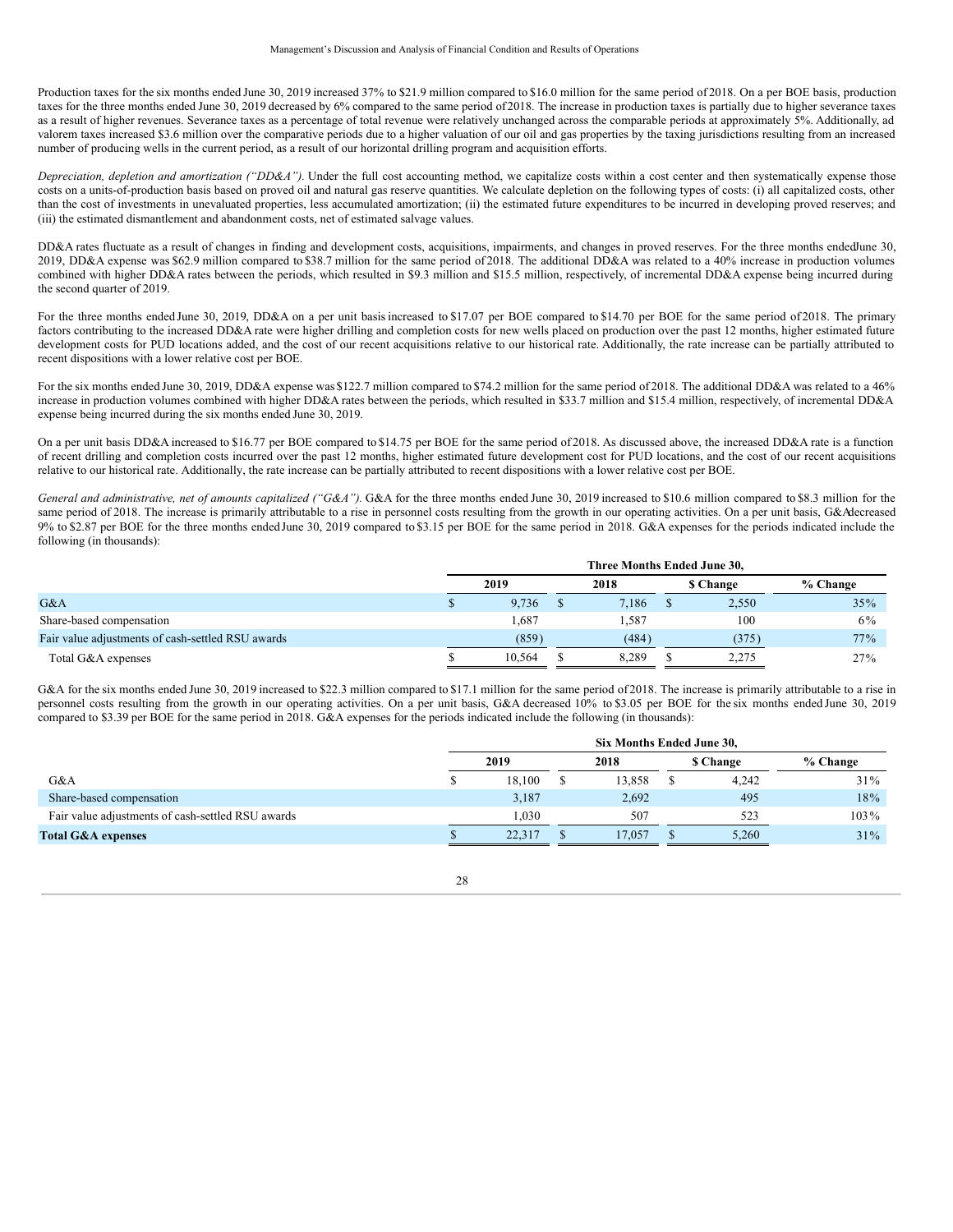Production taxes for the six months ended June 30, 2019 increased 37% to \$21.9 million compared to \$16.0 million for the same period of 2018. On a per BOE basis, production taxes for the three months ended June 30, 2019 decreased by 6% compared to the same period of2018. The increase in production taxes is partially due to higher severance taxes as a result of higher revenues. Severance taxes as a percentage of total revenue were relatively unchanged across the comparable periods at approximately 5%. Additionally, ad valorem taxes increased \$3.6 million over the comparative periods due to a higher valuation of our oil and gas properties by the taxing jurisdictions resulting from an increased number of producing wells in the current period, as a result of our horizontal drilling program and acquisition efforts.

*Depreciation, depletion and amortization ("DD&A").* Under the full cost accounting method, we capitalize costs within a cost center and then systematically expense those costs on a units-of-production basis based on proved oil and natural gas reserve quantities. We calculate depletion on the following types of costs: (i) all capitalized costs, other than the cost of investments in unevaluated properties, less accumulated amortization; (ii) the estimated future expenditures to be incurred in developing proved reserves; and (iii) the estimated dismantlement and abandonment costs, net of estimated salvage values.

DD&A rates fluctuate as a result of changes in finding and development costs, acquisitions, impairments, and changes in proved reserves. For the three months endedJune 30, 2019, DD&A expense was \$62.9 million compared to \$38.7 million for the same period of 2018. The additional DD&A was related to a 40% increase in production volumes combined with higher DD&A rates between the periods, which resulted in \$9.3 million and \$15.5 million, respectively, of incremental DD&A expense being incurred during the second quarter of 2019.

For the three months ended June 30, 2019, DD&A on a per unit basis increased to \$17.07 per BOE compared to \$14.70 per BOE for the same period of 2018. The primary factors contributing to the increased DD&A rate were higher drilling and completion costs for new wells placed on production over the past 12 months, higher estimated future development costs for PUD locations added, and the cost of our recent acquisitions relative to our historical rate. Additionally, the rate increase can be partially attributed to recent dispositions with a lower relative cost per BOE.

For the six months ended June 30, 2019, DD&A expense was \$122.7 million compared to \$74.2 million for the same period of 2018. The additional DD&A was related to a 46% increase in production volumes combined with higher DD&A rates between the periods, which resulted in \$33.7 million and \$15.4 million, respectively, of incremental DD&A expense being incurred during the six months ended June 30, 2019.

On a per unit basis DD&A increased to \$16.77 per BOE compared to \$14.75 per BOE for the same period of 2018. As discussed above, the increased DD&A rate is a function of recent drilling and completion costs incurred over the past 12 months, higher estimated future development cost for PUD locations, and the cost of our recent acquisitions relative to our historical rate. Additionally, the rate increase can be partially attributed to recent dispositions with a lower relative cost per BOE.

*General and administrative, net of amounts capitalized ("G&A").* G&A for the three months ended June 30, 2019 increased to \$10.6 million compared to \$8.3 million for the same period of 2018. The increase is primarily attributable to a rise in personnel costs resulting from the growth in our operating activities. On a per unit basis, G&Adecreased 9% to \$2.87 per BOE for the three months endedJune 30, 2019 compared to \$3.15 per BOE for the same period in 2018. G&A expenses for the periods indicated include the following (in thousands):

|                                                   | Three Months Ended June 30, |  |       |  |                 |          |  |  |  |  |
|---------------------------------------------------|-----------------------------|--|-------|--|-----------------|----------|--|--|--|--|
|                                                   | 2019                        |  | 2018  |  | <b>S</b> Change | % Change |  |  |  |  |
| G&A                                               | 9,736                       |  | 7,186 |  | 2,550           | 35%      |  |  |  |  |
| Share-based compensation                          | 1.687                       |  | 1.587 |  | 100             | $6\%$    |  |  |  |  |
| Fair value adjustments of cash-settled RSU awards | (859)                       |  | (484) |  | (375)           | 77%      |  |  |  |  |
| Total G&A expenses                                | 10.564                      |  | 8.289 |  | 2.275           | 27%      |  |  |  |  |

G&A for the six months ended June 30, 2019 increased to \$22.3 million compared to \$17.1 million for the same period of 2018. The increase is primarily attributable to a rise in personnel costs resulting from the growth in our operating activities. On a per unit basis, G&A decreased 10% to \$3.05 per BOE for the six months ended June 30, 2019 compared to \$3.39 per BOE for the same period in 2018. G&A expenses for the periods indicated include the following (in thousands):

|                                                   | Six Months Ended June 30, |  |        |  |                 |            |  |  |  |  |
|---------------------------------------------------|---------------------------|--|--------|--|-----------------|------------|--|--|--|--|
|                                                   | 2019                      |  | 2018   |  | <b>S</b> Change | $%$ Change |  |  |  |  |
| G&A                                               | 18,100                    |  | 13,858 |  | 4,242           | 31%        |  |  |  |  |
| Share-based compensation                          | 3,187                     |  | 2,692  |  | 495             | 18%        |  |  |  |  |
| Fair value adjustments of cash-settled RSU awards | 1.030                     |  | 507    |  | 523             | $103\%$    |  |  |  |  |
| <b>Total G&amp;A expenses</b>                     | 22.317                    |  | 17.057 |  | 5,260           | 31%        |  |  |  |  |

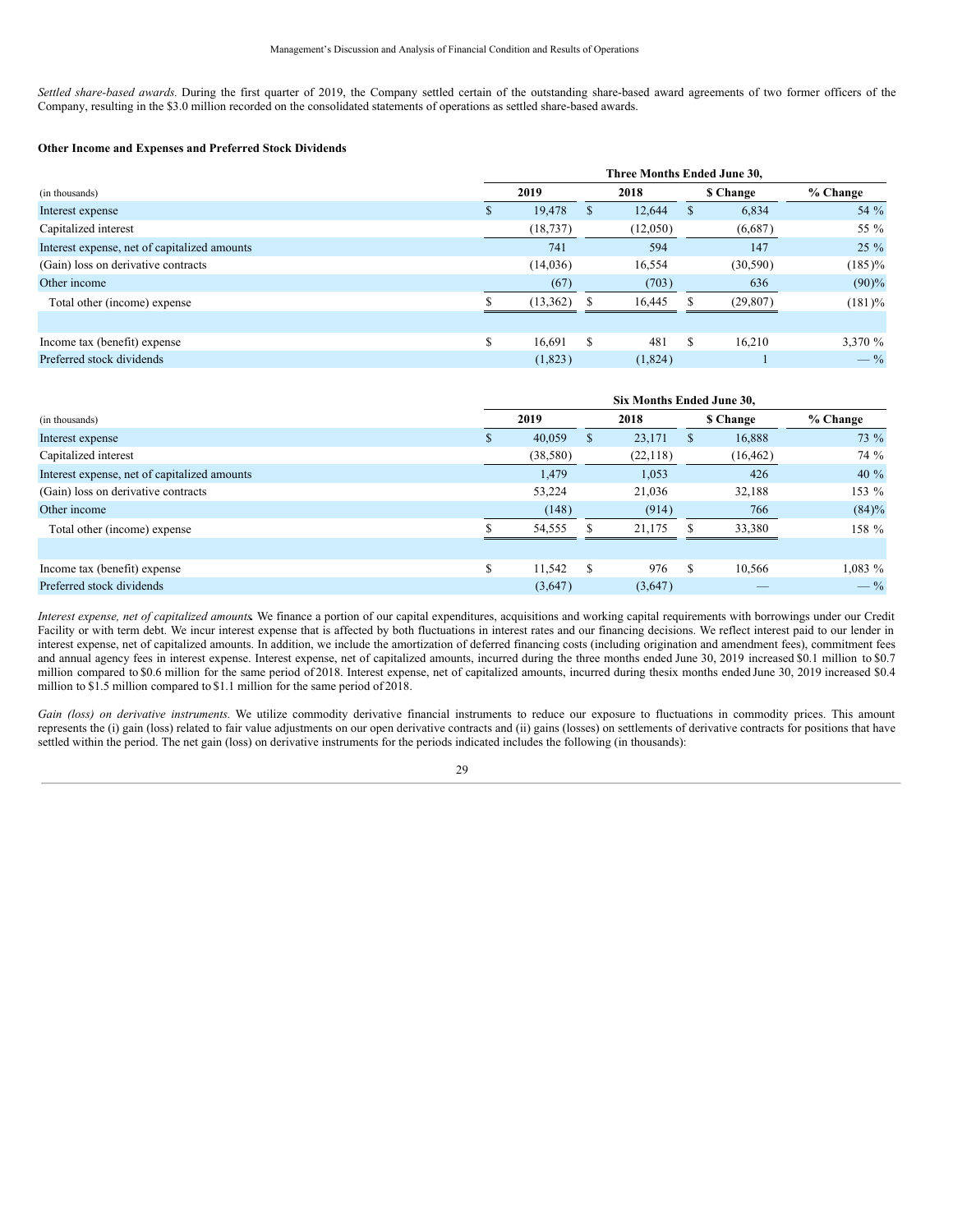*Settled share-based awards.* During the first quarter of 2019, the Company settled certain of the outstanding share-based award agreements of two former officers of the Company, resulting in the \$3.0 million recorded on the consolidated statements of operations as settled share-based awards.

### **Other Income and Expenses and Preferred Stock Dividends**

|                                              |   | Three Months Ended June 30, |   |          |          |           |                 |  |  |  |  |  |
|----------------------------------------------|---|-----------------------------|---|----------|----------|-----------|-----------------|--|--|--|--|--|
| (in thousands)                               |   | 2019                        |   | 2018     |          | \$ Change | $%$ Change      |  |  |  |  |  |
| Interest expense                             |   | 19,478                      |   | 12,644   | <b>S</b> | 6,834     | 54 %            |  |  |  |  |  |
| Capitalized interest                         |   | (18, 737)                   |   | (12,050) |          | (6,687)   | 55 %            |  |  |  |  |  |
| Interest expense, net of capitalized amounts |   | 741                         |   | 594      |          | 147       | $25\%$          |  |  |  |  |  |
| (Gain) loss on derivative contracts          |   | (14,036)                    |   | 16,554   |          | (30, 590) | $(185)\%$       |  |  |  |  |  |
| Other income                                 |   | (67)                        |   | (703)    |          | 636       | (90)%           |  |  |  |  |  |
| Total other (income) expense                 |   | (13,362)                    |   | 16,445   |          | (29, 807) | (181)%          |  |  |  |  |  |
|                                              |   |                             |   |          |          |           |                 |  |  |  |  |  |
| Income tax (benefit) expense                 | S | 16.691                      | S | 481      | S        | 16,210    | 3,370 %         |  |  |  |  |  |
| Preferred stock dividends                    |   | (1,823)                     |   | (1,824)  |          |           | $- \frac{9}{6}$ |  |  |  |  |  |

|                                              | <b>Six Months Ended June 30.</b> |           |   |          |               |           |                 |  |  |  |
|----------------------------------------------|----------------------------------|-----------|---|----------|---------------|-----------|-----------------|--|--|--|
| (in thousands)                               |                                  | 2019      |   | 2018     |               | \$ Change | % Change        |  |  |  |
| Interest expense                             |                                  | 40,059    | S | 23,171   | <sup>S</sup>  | 16,888    | 73 %            |  |  |  |
| Capitalized interest                         |                                  | (38, 580) |   | (22,118) |               | (16, 462) | 74 %            |  |  |  |
| Interest expense, net of capitalized amounts |                                  | 1,479     |   | 1,053    |               | 426       | 40 $%$          |  |  |  |
| (Gain) loss on derivative contracts          |                                  | 53,224    |   | 21,036   |               | 32,188    | $153\%$         |  |  |  |
| Other income                                 |                                  | (148)     |   | (914)    |               | 766       | $(84)\%$        |  |  |  |
| Total other (income) expense                 |                                  | 54,555    |   | 21.175   |               | 33,380    | 158 %           |  |  |  |
|                                              |                                  |           |   |          |               |           |                 |  |  |  |
| Income tax (benefit) expense                 | \$                               | 11,542    | S | 976      | <sup>\$</sup> | 10,566    | 1,083 %         |  |  |  |
| Preferred stock dividends                    |                                  | (3,647)   |   | (3,647)  |               |           | $- \frac{9}{6}$ |  |  |  |

*Interest expense, net of capitalized amounts.* We finance a portion of our capital expenditures, acquisitions and working capital requirements with borrowings under our Credit Facility or with term debt. We incur interest expense that is affected by both fluctuations in interest rates and our financing decisions. We reflect interest paid to our lender in interest expense, net of capitalized amounts. In addition, we include the amortization of deferred financing costs (including origination and amendment fees), commitment fees and annual agency fees in interest expense. Interest expense, net of capitalized amounts, incurred during the three months ended June 30, 2019 increased \$0.1 million to \$0.7 million compared to \$0.6 million for the same period of 2018. Interest expense, net of capitalized amounts, incurred during thesix months ended June 30, 2019 increased \$0.4 million to \$1.5 million compared to \$1.1 million for the same period of 2018.

*Gain (loss) on derivative instruments.* We utilize commodity derivative financial instruments to reduce our exposure to fluctuations in commodity prices. This amount represents the (i) gain (loss) related to fair value adjustments on our open derivative contracts and (ii) gains (losses) on settlements of derivative contracts for positions that have settled within the period. The net gain (loss) on derivative instruments for the periods indicated includes the following (in thousands):

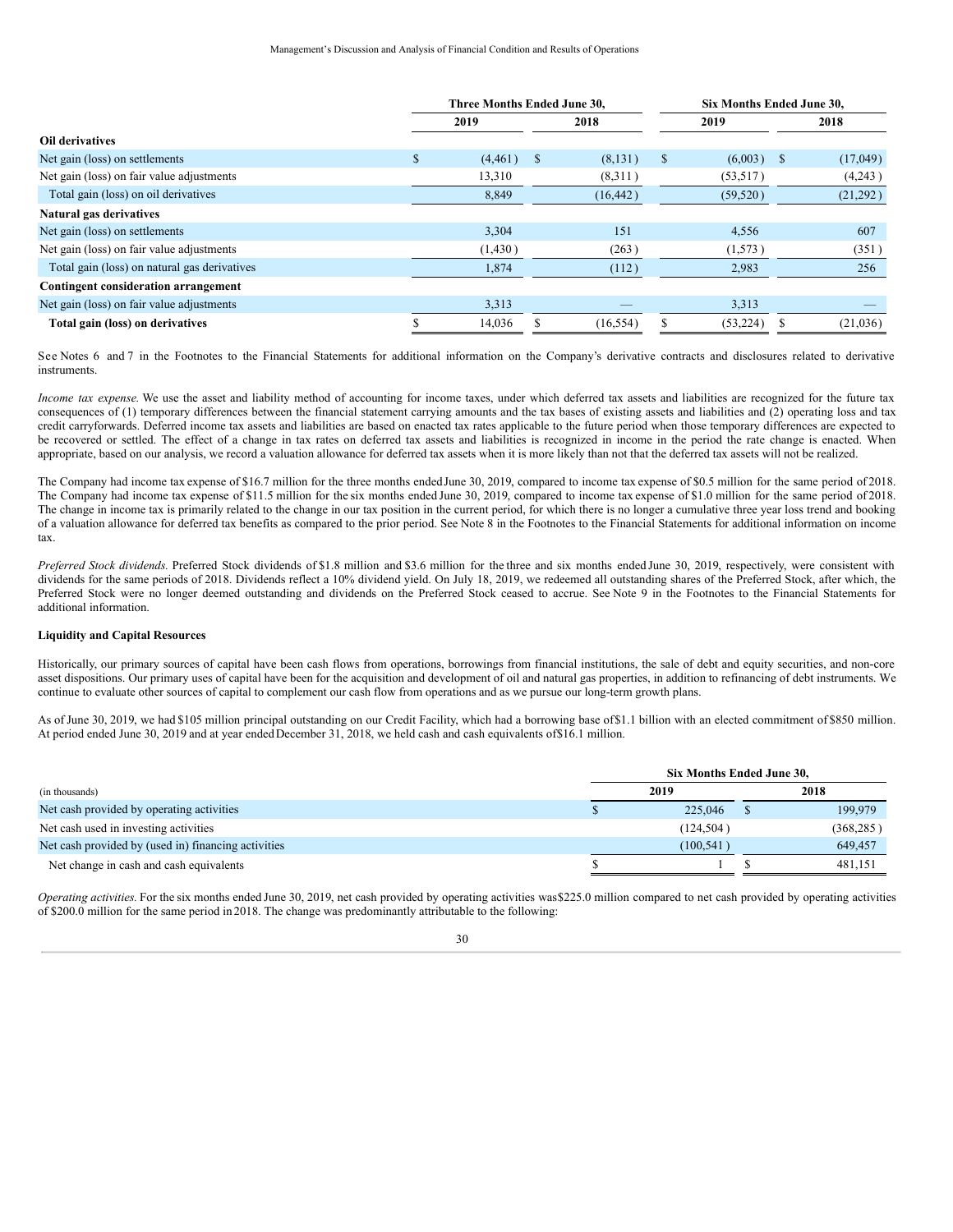|                                              |   | Three Months Ended June 30, |  |           | Six Months Ended June 30, |  |          |
|----------------------------------------------|---|-----------------------------|--|-----------|---------------------------|--|----------|
|                                              |   | 2019                        |  | 2018      | 2019                      |  | 2018     |
| Oil derivatives                              |   |                             |  |           |                           |  |          |
| Net gain (loss) on settlements               | S | $(4,461)$ \$                |  | (8, 131)  | \$<br>$(6,003)$ \$        |  | (17,049) |
| Net gain (loss) on fair value adjustments    |   | 13,310                      |  | (8,311)   | (53, 517)                 |  | (4,243)  |
| Total gain (loss) on oil derivatives         |   | 8,849                       |  | (16, 442) | (59, 520)                 |  | (21,292) |
| Natural gas derivatives                      |   |                             |  |           |                           |  |          |
| Net gain (loss) on settlements               |   | 3,304                       |  | 151       | 4,556                     |  | 607      |
| Net gain (loss) on fair value adjustments    |   | (1,430)                     |  | (263)     | (1,573)                   |  | (351)    |
| Total gain (loss) on natural gas derivatives |   | 1,874                       |  | (112)     | 2,983                     |  | 256      |
| Contingent consideration arrangement         |   |                             |  |           |                           |  |          |
| Net gain (loss) on fair value adjustments    |   | 3,313                       |  |           | 3,313                     |  |          |
| Total gain (loss) on derivatives             |   | 14,036                      |  | (16, 554) | (53, 224)                 |  | (21,036) |

See Notes 6 and 7 in the Footnotes to the Financial Statements for additional information on the Company's derivative contracts and disclosures related to derivative instruments.

*Income tax expense*. We use the asset and liability method of accounting for income taxes, under which deferred tax assets and liabilities are recognized for the future tax consequences of (1) temporary differences between the financial statement carrying amounts and the tax bases of existing assets and liabilities and (2) operating loss and tax credit carryforwards. Deferred income tax assets and liabilities are based on enacted tax rates applicable to the future period when those temporary differences are expected to be recovered or settled. The effect of a change in tax rates on deferred tax assets and liabilities is recognized in income in the period the rate change is enacted. When appropriate, based on our analysis, we record a valuation allowance for deferred tax assets when it is more likely than not that the deferred tax assets will not be realized.

The Company had income tax expense of \$16.7 million for the three months endedJune 30, 2019, compared to income tax expense of \$0.5 million for the same period of 2018. The Company had income tax expense of \$11.5 million for the six months ended June 30, 2019, compared to income tax expense of \$1.0 million for the same period of 2018. The change in income tax is primarily related to the change in our tax position in the current period, for which there is no longer a cumulative three year loss trend and booking of a valuation allowance for deferred tax benefits as compared to the prior period. See Note 8 in the Footnotes to the Financial Statements for additional information on income tax.

*Preferred Stock dividends.* Preferred Stock dividends of \$1.8 million and \$3.6 million for the three and six months ended June 30, 2019, respectively, were consistent with dividends for the same periods of 2018. Dividends reflect a 10% dividend yield. On July 18, 2019, we redeemed all outstanding shares of the Preferred Stock, after which, the Preferred Stock were no longer deemed outstanding and dividends on the Preferred Stock ceased to accrue. See Note 9 in the Footnotes to the Financial Statements for additional information.

## **Liquidity and Capital Resources**

Historically, our primary sources of capital have been cash flows from operations, borrowings from financial institutions, the sale of debt and equity securities, and non-core asset dispositions. Our primary uses of capital have been for the acquisition and development of oil and natural gas properties, in addition to refinancing of debt instruments. We continue to evaluate other sources of capital to complement our cash flow from operations and as we pursue our long-term growth plans.

As of June 30, 2019, we had \$105 million principal outstanding on our Credit Facility, which had a borrowing base of\$1.1 billion with an elected commitment of \$850 million. At period ended June 30, 2019 and at year endedDecember 31, 2018, we held cash and cash equivalents of\$16.1 million.

|                                                     | Six Months Ended June 30, |  |            |  |  |  |  |  |
|-----------------------------------------------------|---------------------------|--|------------|--|--|--|--|--|
| (in thousands)                                      | 2019                      |  | 2018       |  |  |  |  |  |
| Net cash provided by operating activities           | 225,046                   |  | 199,979    |  |  |  |  |  |
| Net cash used in investing activities               | (124, 504)                |  | (368, 285) |  |  |  |  |  |
| Net cash provided by (used in) financing activities | (100, 541)                |  | 649,457    |  |  |  |  |  |
| Net change in cash and cash equivalents             |                           |  | 481.151    |  |  |  |  |  |

*Operating activities.* For the six months ended June 30, 2019, net cash provided by operating activities was\$225.0 million compared to net cash provided by operating activities of \$200.0 million for the same period in 2018. The change was predominantly attributable to the following: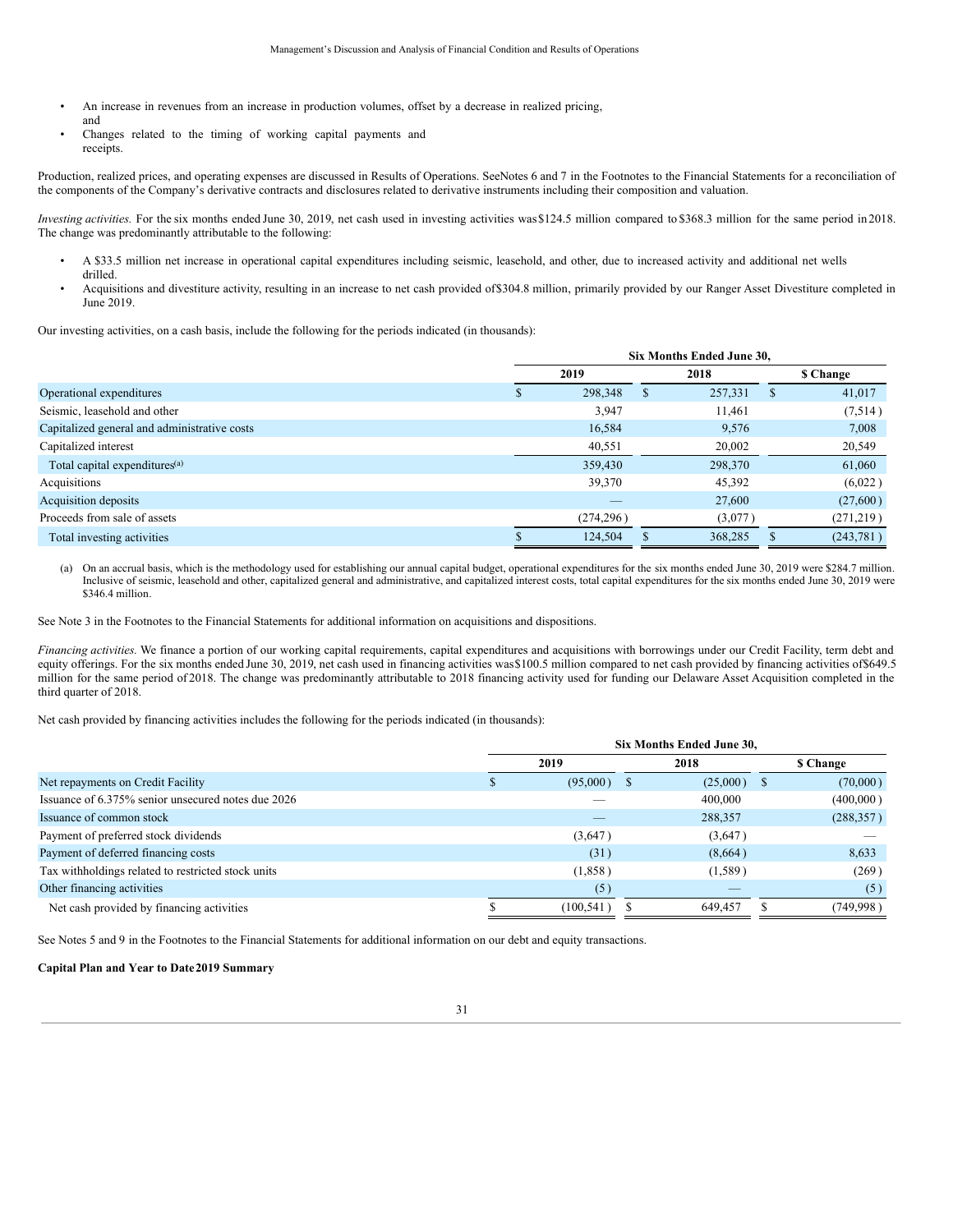- An increase in revenues from an increase in production volumes, offset by a decrease in realized pricing,
- Changes related to the timing of working capital payments and receipts.

and

Production, realized prices, and operating expenses are discussed in Results of Operations. SeeNotes 6 and 7 in the Footnotes to the Financial Statements for a reconciliation of the components of the Company's derivative contracts and disclosures related to derivative instruments including their composition and valuation.

*Investing activities*. For the six months ended June 30, 2019, net cash used in investing activities was \$124.5 million compared to \$368.3 million for the same period in 2018. The change was predominantly attributable to the following:

- A \$33.5 million net increase in operational capital expenditures including seismic, leasehold, and other, due to increased activity and additional net wells drilled.
- Acquisitions and divestiture activity, resulting in an increase to net cash provided of\$304.8 million, primarily provided by our Ranger Asset Divestiture completed in June 2019.

Our investing activities, on a cash basis, include the following for the periods indicated (in thousands):

|                                              | Six Months Ended June 30, |            |      |         |   |            |
|----------------------------------------------|---------------------------|------------|------|---------|---|------------|
|                                              | 2019                      |            | 2018 |         |   | \$ Change  |
| Operational expenditures                     |                           | 298,348    | S.   | 257,331 | S | 41,017     |
| Seismic, leasehold and other                 |                           | 3,947      |      | 11,461  |   | (7,514)    |
| Capitalized general and administrative costs |                           | 16,584     |      | 9,576   |   | 7,008      |
| Capitalized interest                         |                           | 40,551     |      | 20,002  |   | 20,549     |
| Total capital expenditures <sup>(a)</sup>    |                           | 359,430    |      | 298,370 |   | 61,060     |
| Acquisitions                                 |                           | 39,370     |      | 45,392  |   | (6,022)    |
| Acquisition deposits                         |                           |            |      | 27,600  |   | (27,600)   |
| Proceeds from sale of assets                 |                           | (274, 296) |      | (3,077) |   | (271, 219) |
| Total investing activities                   |                           | 124,504    |      | 368,285 |   | (243, 781) |

(a) On an accrual basis, which is the methodology used for establishing our annual capital budget, operational expenditures for the six months ended June 30, 2019 were \$284.7 million. Inclusive of seismic, leasehold and other, capitalized general and administrative, and capitalized interest costs, total capital expenditures for the six months ended June 30, 2019 were \$346.4 million.

See Note 3 in the Footnotes to the Financial Statements for additional information on acquisitions and dispositions.

*Financing activities.* We finance a portion of our working capital requirements, capital expenditures and acquisitions with borrowings under our Credit Facility, term debt and equity offerings. For the six months ended June 30, 2019, net cash used in financing activities was\$100.5 million compared to net cash provided by financing activities of \$649.5 million for the same period of 2018. The change was predominantly attributable to 2018 financing activity used for funding our Delaware Asset Acquisition completed in the third quarter of 2018.

Net cash provided by financing activities includes the following for the periods indicated (in thousands):

|                                                    | Six Months Ended June 30, |               |  |               |  |            |  |
|----------------------------------------------------|---------------------------|---------------|--|---------------|--|------------|--|
|                                                    |                           | 2019          |  | 2018          |  | \$ Change  |  |
| Net repayments on Credit Facility                  |                           | $(95,000)$ \$ |  | $(25,000)$ \$ |  | (70,000)   |  |
| Issuance of 6.375% senior unsecured notes due 2026 |                           |               |  | 400,000       |  | (400,000)  |  |
| Issuance of common stock                           |                           |               |  | 288,357       |  | (288, 357) |  |
| Payment of preferred stock dividends               |                           | (3,647)       |  | (3,647)       |  |            |  |
| Payment of deferred financing costs                |                           | (31)          |  | (8,664)       |  | 8,633      |  |
| Tax withholdings related to restricted stock units |                           | (1,858)       |  | (1,589)       |  | (269)      |  |
| Other financing activities                         |                           | (5)           |  | _             |  | (5)        |  |
| Net cash provided by financing activities          |                           | (100, 541)    |  | 649,457       |  | (749,998)  |  |

See Notes 5 and 9 in the Footnotes to the Financial Statements for additional information on our debt and equity transactions.

#### **Capital Plan and Year to Date2019 Summary**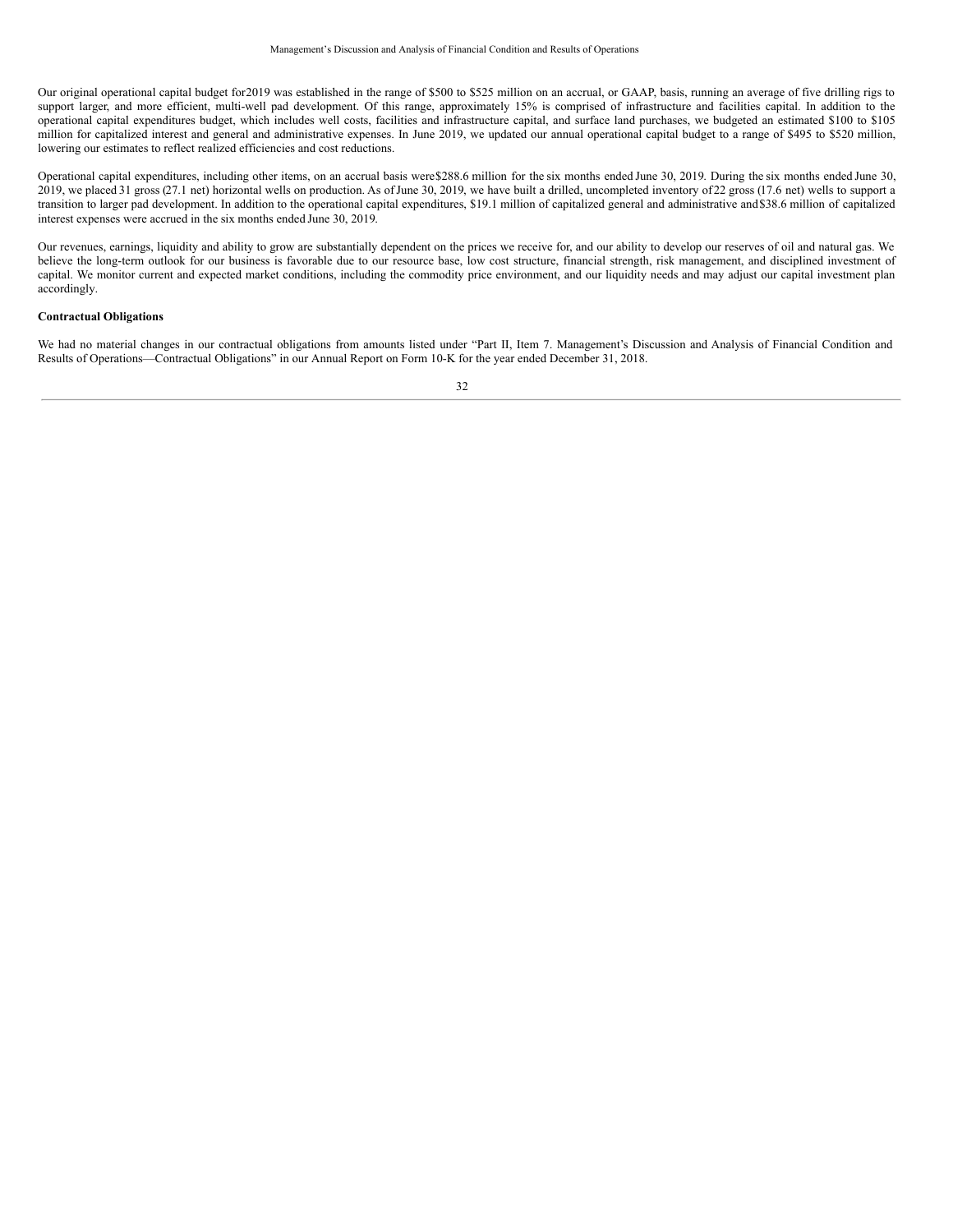Our original operational capital budget for2019 was established in the range of \$500 to \$525 million on an accrual, or GAAP, basis, running an average of five drilling rigs to support larger, and more efficient, multi-well pad development. Of this range, approximately 15% is comprised of infrastructure and facilities capital. In addition to the operational capital expenditures budget, which includes well costs, facilities and infrastructure capital, and surface land purchases, we budgeted an estimated \$100 to \$105 million for capitalized interest and general and administrative expenses. In June 2019, we updated our annual operational capital budget to a range of \$495 to \$520 million, lowering our estimates to reflect realized efficiencies and cost reductions.

Operational capital expenditures, including other items, on an accrual basis were\$288.6 million for the six months ended June 30, 2019. During the six months ended June 30, 2019, we placed 31 gross (27.1 net) horizontal wells on production. As ofJune 30, 2019, we have built a drilled, uncompleted inventory of22 gross (17.6 net) wells to support a transition to larger pad development. In addition to the operational capital expenditures, \$19.1 million of capitalized general and administrative and\$38.6 million of capitalized interest expenses were accrued in the six months ended June 30, 2019.

Our revenues, earnings, liquidity and ability to grow are substantially dependent on the prices we receive for, and our ability to develop our reserves of oil and natural gas. We believe the long-term outlook for our business is favorable due to our resource base, low cost structure, financial strength, risk management, and disciplined investment of capital. We monitor current and expected market conditions, including the commodity price environment, and our liquidity needs and may adjust our capital investment plan accordingly.

## **Contractual Obligations**

We had no material changes in our contractual obligations from amounts listed under "Part II, Item 7. Management's Discussion and Analysis of Financial Condition and Results of Operations—Contractual Obligations" in our Annual Report on Form 10-K for the year ended December 31, 2018.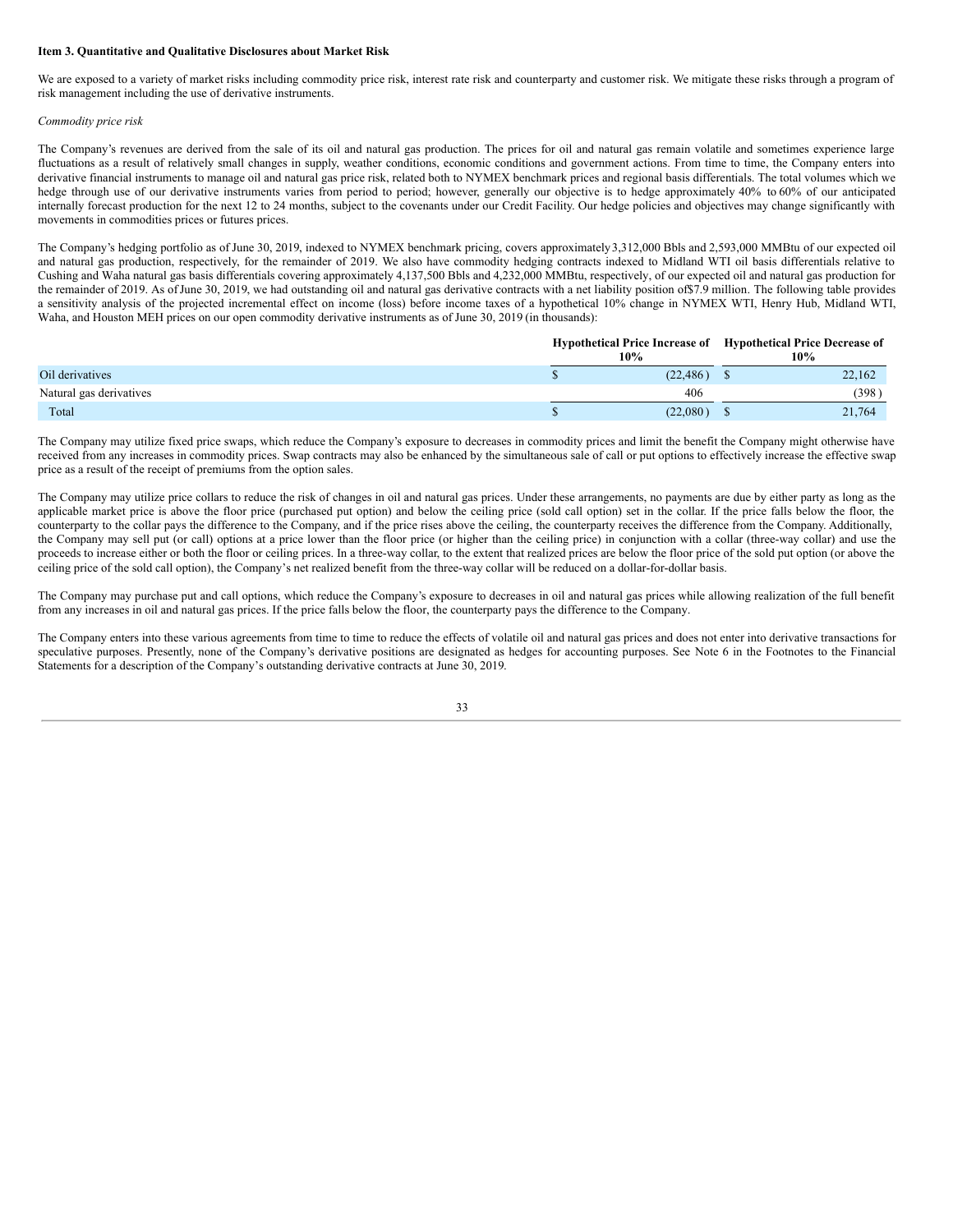#### **Item 3. Quantitative and Qualitative Disclosures about Market Risk**

We are exposed to a variety of market risks including commodity price risk, interest rate risk and counterparty and customer risk. We mitigate these risks through a program of risk management including the use of derivative instruments.

#### *Commodity price risk*

The Company's revenues are derived from the sale of its oil and natural gas production. The prices for oil and natural gas remain volatile and sometimes experience large fluctuations as a result of relatively small changes in supply, weather conditions, economic conditions and government actions. From time to time, the Company enters into derivative financial instruments to manage oil and natural gas price risk, related both to NYMEX benchmark prices and regional basis differentials. The total volumes which we hedge through use of our derivative instruments varies from period to period; however, generally our objective is to hedge approximately 40% to 60% of our anticipated internally forecast production for the next 12 to 24 months, subject to the covenants under our Credit Facility. Our hedge policies and objectives may change significantly with movements in commodities prices or futures prices.

The Company's hedging portfolio as of June 30, 2019, indexed to NYMEX benchmark pricing, covers approximately3,312,000 Bbls and 2,593,000 MMBtu of our expected oil and natural gas production, respectively, for the remainder of 2019. We also have commodity hedging contracts indexed to Midland WTI oil basis differentials relative to Cushing and Waha natural gas basis differentials covering approximately 4,137,500 Bbls and 4,232,000 MMBtu, respectively, of our expected oil and natural gas production for the remainder of 2019. As ofJune 30, 2019, we had outstanding oil and natural gas derivative contracts with a net liability position of\$7.9 million. The following table provides a sensitivity analysis of the projected incremental effect on income (loss) before income taxes of a hypothetical 10% change in NYMEX WTI, Henry Hub, Midland WTI, Waha, and Houston MEH prices on our open commodity derivative instruments as of June 30, 2019 (in thousands):

|                         |  | 10%       | Hypothetical Price Increase of Hypothetical Price Decrease of<br>10% |  |  |
|-------------------------|--|-----------|----------------------------------------------------------------------|--|--|
| Oil derivatives         |  | (22, 486) | 22,162                                                               |  |  |
| Natural gas derivatives |  | 406       | (398)                                                                |  |  |
| Total                   |  | (22,080)  | 21.764                                                               |  |  |

The Company may utilize fixed price swaps, which reduce the Company's exposure to decreases in commodity prices and limit the benefit the Company might otherwise have received from any increases in commodity prices. Swap contracts may also be enhanced by the simultaneous sale of call or put options to effectively increase the effective swap price as a result of the receipt of premiums from the option sales.

The Company may utilize price collars to reduce the risk of changes in oil and natural gas prices. Under these arrangements, no payments are due by either party as long as the applicable market price is above the floor price (purchased put option) and below the ceiling price (sold call option) set in the collar. If the price falls below the floor, the counterparty to the collar pays the difference to the Company, and if the price rises above the ceiling, the counterparty receives the difference from the Company. Additionally, the Company may sell put (or call) options at a price lower than the floor price (or higher than the ceiling price) in conjunction with a collar (three-way collar) and use the proceeds to increase either or both the floor or ceiling prices. In a three-way collar, to the extent that realized prices are below the floor price of the sold put option (or above the ceiling price of the sold call option), the Company's net realized benefit from the three-way collar will be reduced on a dollar-for-dollar basis.

The Company may purchase put and call options, which reduce the Company's exposure to decreases in oil and natural gas prices while allowing realization of the full benefit from any increases in oil and natural gas prices. If the price falls below the floor, the counterparty pays the difference to the Company.

The Company enters into these various agreements from time to time to reduce the effects of volatile oil and natural gas prices and does not enter into derivative transactions for speculative purposes. Presently, none of the Company's derivative positions are designated as hedges for accounting purposes. See Note 6 in the Footnotes to the Financial Statements for a description of the Company's outstanding derivative contracts at June 30, 2019.

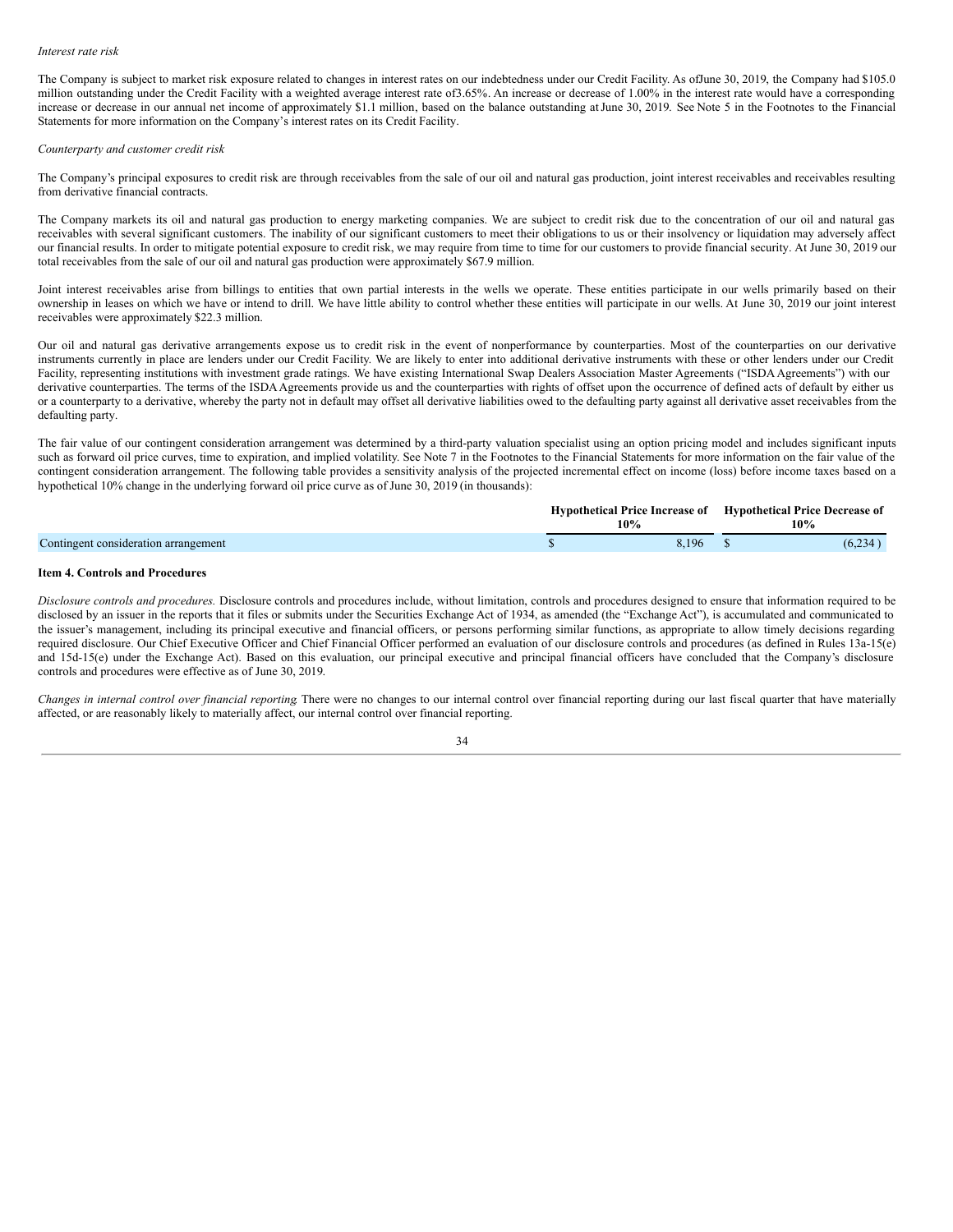#### *Interest rate risk*

The Company is subject to market risk exposure related to changes in interest rates on our indebtedness under our Credit Facility. As ofJune 30, 2019, the Company had \$105.0 million outstanding under the Credit Facility with a weighted average interest rate of3.65%. An increase or decrease of 1.00% in the interest rate would have a corresponding increase or decrease in our annual net income of approximately \$1.1 million, based on the balance outstanding atJune 30, 2019. See Note 5 in the Footnotes to the Financial Statements for more information on the Company's interest rates on its Credit Facility.

#### *Counterparty and customer credit risk*

The Company's principal exposures to credit risk are through receivables from the sale of our oil and natural gas production, joint interest receivables and receivables resulting from derivative financial contracts.

The Company markets its oil and natural gas production to energy marketing companies. We are subject to credit risk due to the concentration of our oil and natural gas receivables with several significant customers. The inability of our significant customers to meet their obligations to us or their insolvency or liquidation may adversely affect our financial results. In order to mitigate potential exposure to credit risk, we may require from time to time for our customers to provide financial security. At June 30, 2019 our total receivables from the sale of our oil and natural gas production were approximately \$67.9 million.

Joint interest receivables arise from billings to entities that own partial interests in the wells we operate. These entities participate in our wells primarily based on their ownership in leases on which we have or intend to drill. We have little ability to control whether these entities will participate in our wells. At June 30, 2019 our joint interest receivables were approximately \$22.3 million.

Our oil and natural gas derivative arrangements expose us to credit risk in the event of nonperformance by counterparties. Most of the counterparties on our derivative instruments currently in place are lenders under our Credit Facility. We are likely to enter into additional derivative instruments with these or other lenders under our Credit Facility, representing institutions with investment grade ratings. We have existing International Swap Dealers Association Master Agreements ("ISDA Agreements") with our derivative counterparties. The terms of the ISDA Agreements provide us and the counterparties with rights of offset upon the occurrence of defined acts of default by either us or a counterparty to a derivative, whereby the party not in default may offset all derivative liabilities owed to the defaulting party against all derivative asset receivables from the defaulting party.

The fair value of our contingent consideration arrangement was determined by a third-party valuation specialist using an option pricing model and includes significant inputs such as forward oil price curves, time to expiration, and implied volatility. See Note 7 in the Footnotes to the Financial Statements for more information on the fair value of the contingent consideration arrangement. The following table provides a sensitivity analysis of the projected incremental effect on income (loss) before income taxes based on a hypothetical 10% change in the underlying forward oil price curve as of June 30, 2019 (in thousands):

|                                      | 10% |       | Hypothetical Price Increase of Hypothetical Price Decrease of<br>$10\%$ |         |  |
|--------------------------------------|-----|-------|-------------------------------------------------------------------------|---------|--|
| Contingent consideration arrangement |     | 8.196 |                                                                         | (6,234) |  |

#### **Item 4. Controls and Procedures**

*Disclosure controls and procedures.* Disclosure controls and procedures include, without limitation, controls and procedures designed to ensure that information required to be disclosed by an issuer in the reports that it files or submits under the Securities Exchange Act of 1934, as amended (the "Exchange Act"), is accumulated and communicated to the issuer's management, including its principal executive and financial officers, or persons performing similar functions, as appropriate to allow timely decisions regarding required disclosure. Our Chief Executive Officer and Chief Financial Officer performed an evaluation of our disclosure controls and procedures (as defined in Rules 13a-15(e) and 15d-15(e) under the Exchange Act). Based on this evaluation, our principal executive and principal financial officers have concluded that the Company's disclosure controls and procedures were effective as of June 30, 2019.

Changes in internal control over financial reporting. There were no changes to our internal control over financial reporting during our last fiscal quarter that have materially affected, or are reasonably likely to materially affect, our internal control over financial reporting.

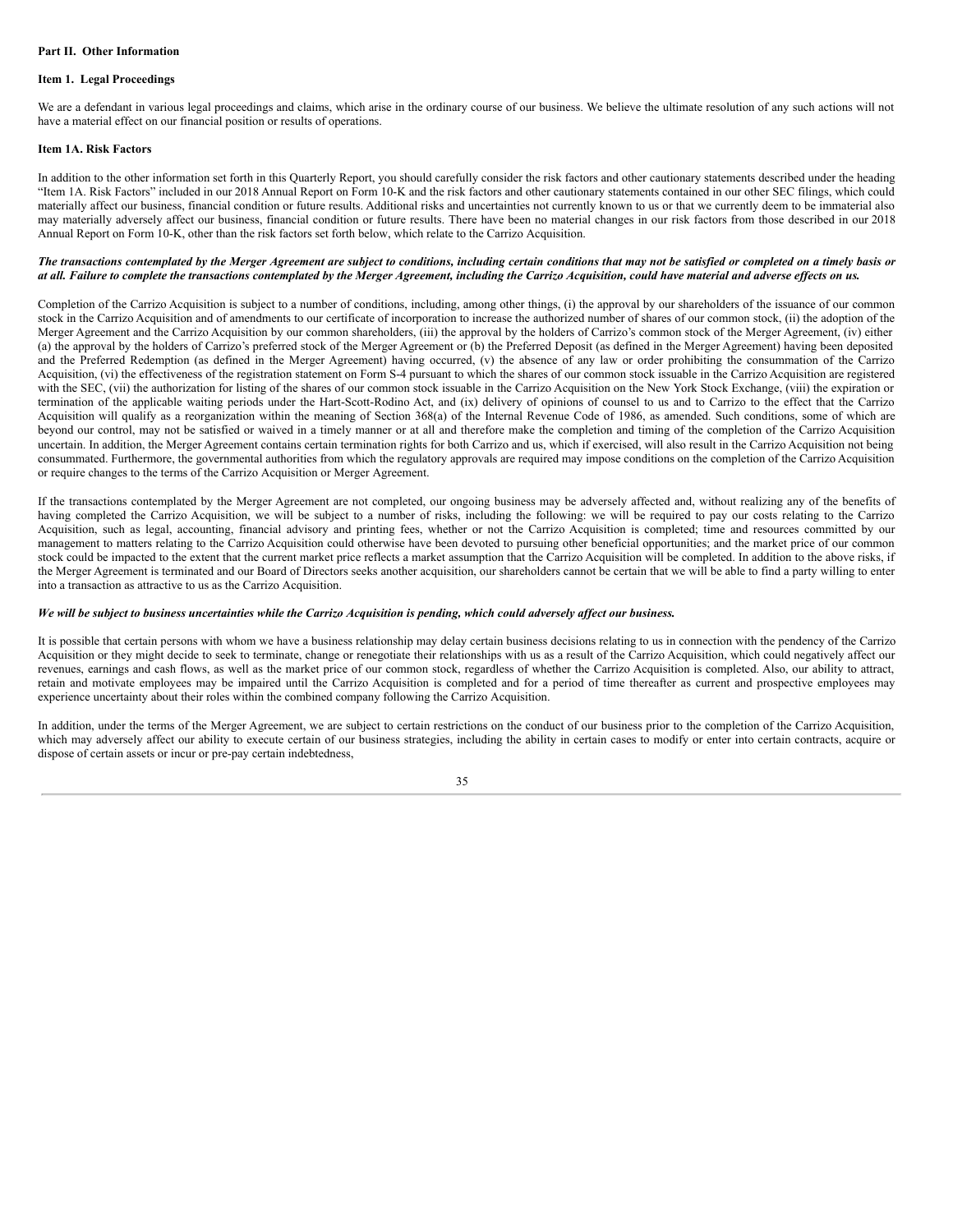#### **Part II. Other Information**

#### **Item 1. Legal Proceedings**

We are a defendant in various legal proceedings and claims, which arise in the ordinary course of our business. We believe the ultimate resolution of any such actions will not have a material effect on our financial position or results of operations.

#### **Item 1A. Risk Factors**

In addition to the other information set forth in this Quarterly Report, you should carefully consider the risk factors and other cautionary statements described under the heading "Item 1A. Risk Factors" included in our 2018 Annual Report on Form 10-K and the risk factors and other cautionary statements contained in our other SEC filings, which could materially affect our business, financial condition or future results. Additional risks and uncertainties not currently known to us or that we currently deem to be immaterial also may materially adversely affect our business, financial condition or future results. There have been no material changes in our risk factors from those described in our 2018 Annual Report on Form 10-K, other than the risk factors set forth below, which relate to the Carrizo Acquisition.

#### The transactions contemplated by the Merger Agreement are subject to conditions, including certain conditions that may not be satisfied or completed on a timely basis or at all. Failure to complete the transactions contemplated by the Merger Agreement, including the Carrizo Acquisition, could have material and adverse effects on us.

Completion of the Carrizo Acquisition is subject to a number of conditions, including, among other things, (i) the approval by our shareholders of the issuance of our common stock in the Carrizo Acquisition and of amendments to our certificate of incorporation to increase the authorized number of shares of our common stock, (ii) the adoption of the Merger Agreement and the Carrizo Acquisition by our common shareholders, (iii) the approval by the holders of Carrizo's common stock of the Merger Agreement, (iv) either (a) the approval by the holders of Carrizo's preferred stock of the Merger Agreement or (b) the Preferred Deposit (as defined in the Merger Agreement) having been deposited and the Preferred Redemption (as defined in the Merger Agreement) having occurred, (v) the absence of any law or order prohibiting the consummation of the Carrizo Acquisition, (vi) the effectiveness of the registration statement on Form S-4 pursuant to which the shares of our common stock issuable in the Carrizo Acquisition are registered with the SEC, (vii) the authorization for listing of the shares of our common stock issuable in the Carrizo Acquisition on the New York Stock Exchange, (viii) the expiration or termination of the applicable waiting periods under the Hart-Scott-Rodino Act, and (ix) delivery of opinions of counsel to us and to Carrizo to the effect that the Carrizo Acquisition will qualify as a reorganization within the meaning of Section 368(a) of the Internal Revenue Code of 1986, as amended. Such conditions, some of which are beyond our control, may not be satisfied or waived in a timely manner or at all and therefore make the completion and timing of the completion of the Carrizo Acquisition uncertain. In addition, the Merger Agreement contains certain termination rights for both Carrizo and us, which if exercised, will also result in the Carrizo Acquisition not being consummated. Furthermore, the governmental authorities from which the regulatory approvals are required may impose conditions on the completion of the Carrizo Acquisition or require changes to the terms of the Carrizo Acquisition or Merger Agreement.

If the transactions contemplated by the Merger Agreement are not completed, our ongoing business may be adversely affected and, without realizing any of the benefits of having completed the Carrizo Acquisition, we will be subject to a number of risks, including the following: we will be required to pay our costs relating to the Carrizo Acquisition, such as legal, accounting, financial advisory and printing fees, whether or not the Carrizo Acquisition is completed; time and resources committed by our management to matters relating to the Carrizo Acquisition could otherwise have been devoted to pursuing other beneficial opportunities; and the market price of our common stock could be impacted to the extent that the current market price reflects a market assumption that the Carrizo Acquisition will be completed. In addition to the above risks, if the Merger Agreement is terminated and our Board of Directors seeks another acquisition, our shareholders cannot be certain that we will be able to find a party willing to enter into a transaction as attractive to us as the Carrizo Acquisition.

## We will be subject to business uncertainties while the Carrizo Acquisition is pending, which could adversely affect our business.

It is possible that certain persons with whom we have a business relationship may delay certain business decisions relating to us in connection with the pendency of the Carrizo Acquisition or they might decide to seek to terminate, change or renegotiate their relationships with us as a result of the Carrizo Acquisition, which could negatively affect our revenues, earnings and cash flows, as well as the market price of our common stock, regardless of whether the Carrizo Acquisition is completed. Also, our ability to attract, retain and motivate employees may be impaired until the Carrizo Acquisition is completed and for a period of time thereafter as current and prospective employees may experience uncertainty about their roles within the combined company following the Carrizo Acquisition.

In addition, under the terms of the Merger Agreement, we are subject to certain restrictions on the conduct of our business prior to the completion of the Carrizo Acquisition, which may adversely affect our ability to execute certain of our business strategies, including the ability in certain cases to modify or enter into certain contracts, acquire or dispose of certain assets or incur or pre-pay certain indebtedness,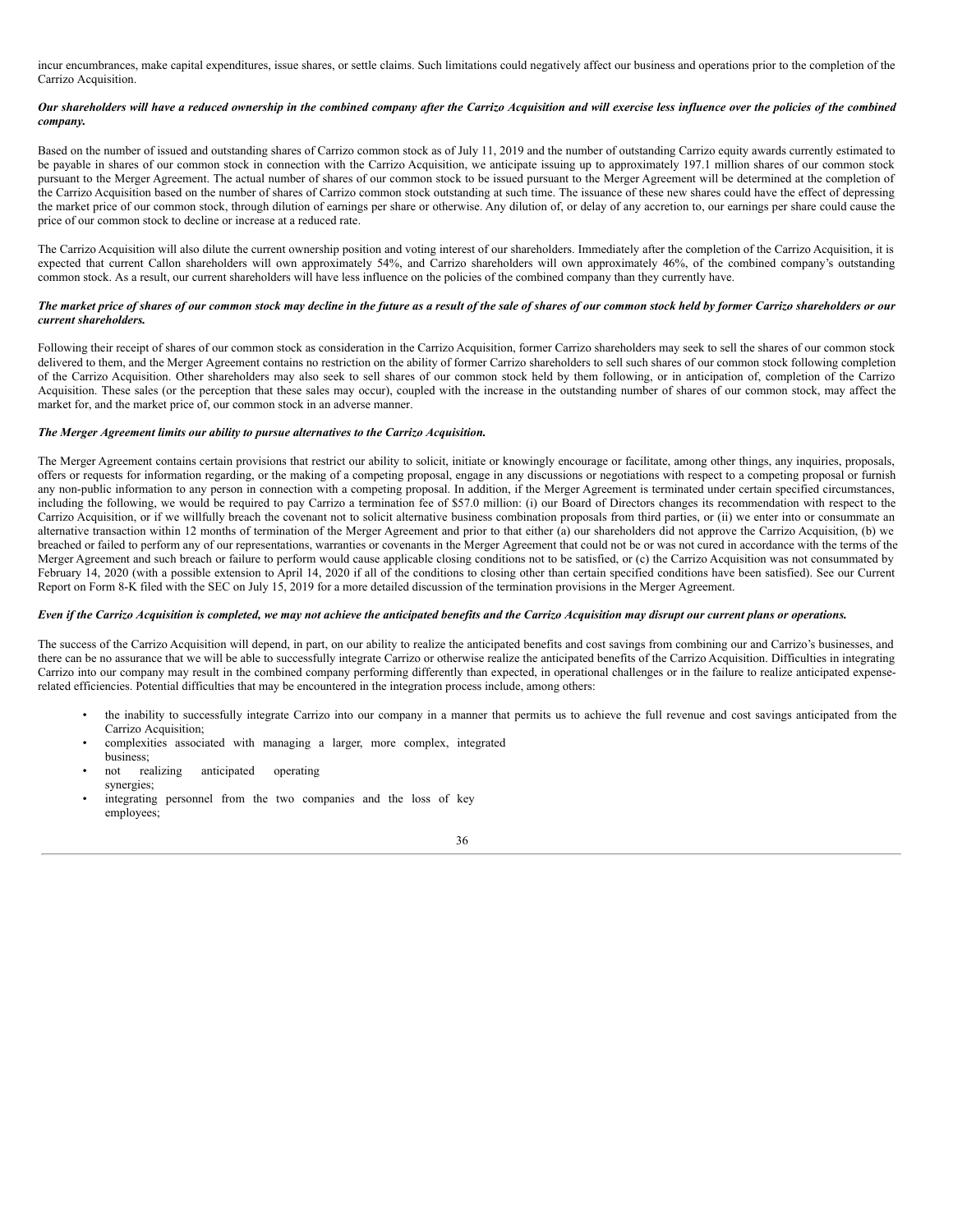incur encumbrances, make capital expenditures, issue shares, or settle claims. Such limitations could negatively affect our business and operations prior to the completion of the Carrizo Acquisition.

#### Our shareholders will have a reduced ownership in the combined company after the Carrizo Acquisition and will exercise less influence over the policies of the combined *company.*

Based on the number of issued and outstanding shares of Carrizo common stock as of July 11, 2019 and the number of outstanding Carrizo equity awards currently estimated to be payable in shares of our common stock in connection with the Carrizo Acquisition, we anticipate issuing up to approximately 197.1 million shares of our common stock pursuant to the Merger Agreement. The actual number of shares of our common stock to be issued pursuant to the Merger Agreement will be determined at the completion of the Carrizo Acquisition based on the number of shares of Carrizo common stock outstanding at such time. The issuance of these new shares could have the effect of depressing the market price of our common stock, through dilution of earnings per share or otherwise. Any dilution of, or delay of any accretion to, our earnings per share could cause the price of our common stock to decline or increase at a reduced rate.

The Carrizo Acquisition will also dilute the current ownership position and voting interest of our shareholders. Immediately after the completion of the Carrizo Acquisition, it is expected that current Callon shareholders will own approximately 54%, and Carrizo shareholders will own approximately 46%, of the combined company's outstanding common stock. As a result, our current shareholders will have less influence on the policies of the combined company than they currently have.

### The market price of shares of our common stock may decline in the future as a result of the sale of shares of our common stock held by former Carrizo shareholders or our *current shareholders.*

Following their receipt of shares of our common stock as consideration in the Carrizo Acquisition, former Carrizo shareholders may seek to sell the shares of our common stock delivered to them, and the Merger Agreement contains no restriction on the ability of former Carrizo shareholders to sell such shares of our common stock following completion of the Carrizo Acquisition. Other shareholders may also seek to sell shares of our common stock held by them following, or in anticipation of, completion of the Carrizo Acquisition. These sales (or the perception that these sales may occur), coupled with the increase in the outstanding number of shares of our common stock, may affect the market for, and the market price of, our common stock in an adverse manner.

## *The Merger Agreement limits our ability to pursue alternatives to the Carrizo Acquisition.*

The Merger Agreement contains certain provisions that restrict our ability to solicit, initiate or knowingly encourage or facilitate, among other things, any inquiries, proposals, offers or requests for information regarding, or the making of a competing proposal, engage in any discussions or negotiations with respect to a competing proposal or furnish any non-public information to any person in connection with a competing proposal. In addition, if the Merger Agreement is terminated under certain specified circumstances, including the following, we would be required to pay Carrizo a termination fee of \$57.0 million: (i) our Board of Directors changes its recommendation with respect to the Carrizo Acquisition, or if we willfully breach the covenant not to solicit alternative business combination proposals from third parties, or (ii) we enter into or consummate an alternative transaction within 12 months of termination of the Merger Agreement and prior to that either (a) our shareholders did not approve the Carrizo Acquisition, (b) we breached or failed to perform any of our representations, warranties or covenants in the Merger Agreement that could not be or was not cured in accordance with the terms of the Merger Agreement and such breach or failure to perform would cause applicable closing conditions not to be satisfied, or (c) the Carrizo Acquisition was not consummated by February 14, 2020 (with a possible extension to April 14, 2020 if all of the conditions to closing other than certain specified conditions have been satisfied). See our Current Report on Form 8-K filed with the SEC on July 15, 2019 for a more detailed discussion of the termination provisions in the Merger Agreement.

## Even if the Carrizo Acquisition is completed, we may not achieve the anticipated benefits and the Carrizo Acquisition may disrupt our current plans or operations.

The success of the Carrizo Acquisition will depend, in part, on our ability to realize the anticipated benefits and cost savings from combining our and Carrizo's businesses, and there can be no assurance that we will be able to successfully integrate Carrizo or otherwise realize the anticipated benefits of the Carrizo Acquisition. Difficulties in integrating Carrizo into our company may result in the combined company performing differently than expected, in operational challenges or in the failure to realize anticipated expenserelated efficiencies. Potential difficulties that may be encountered in the integration process include, among others:

- the inability to successfully integrate Carrizo into our company in a manner that permits us to achieve the full revenue and cost savings anticipated from the Carrizo Acquisition;
- complexities associated with managing a larger, more complex, integrated business;
- not realizing anticipated operating synergies;
- integrating personnel from the two companies and the loss of key employees;

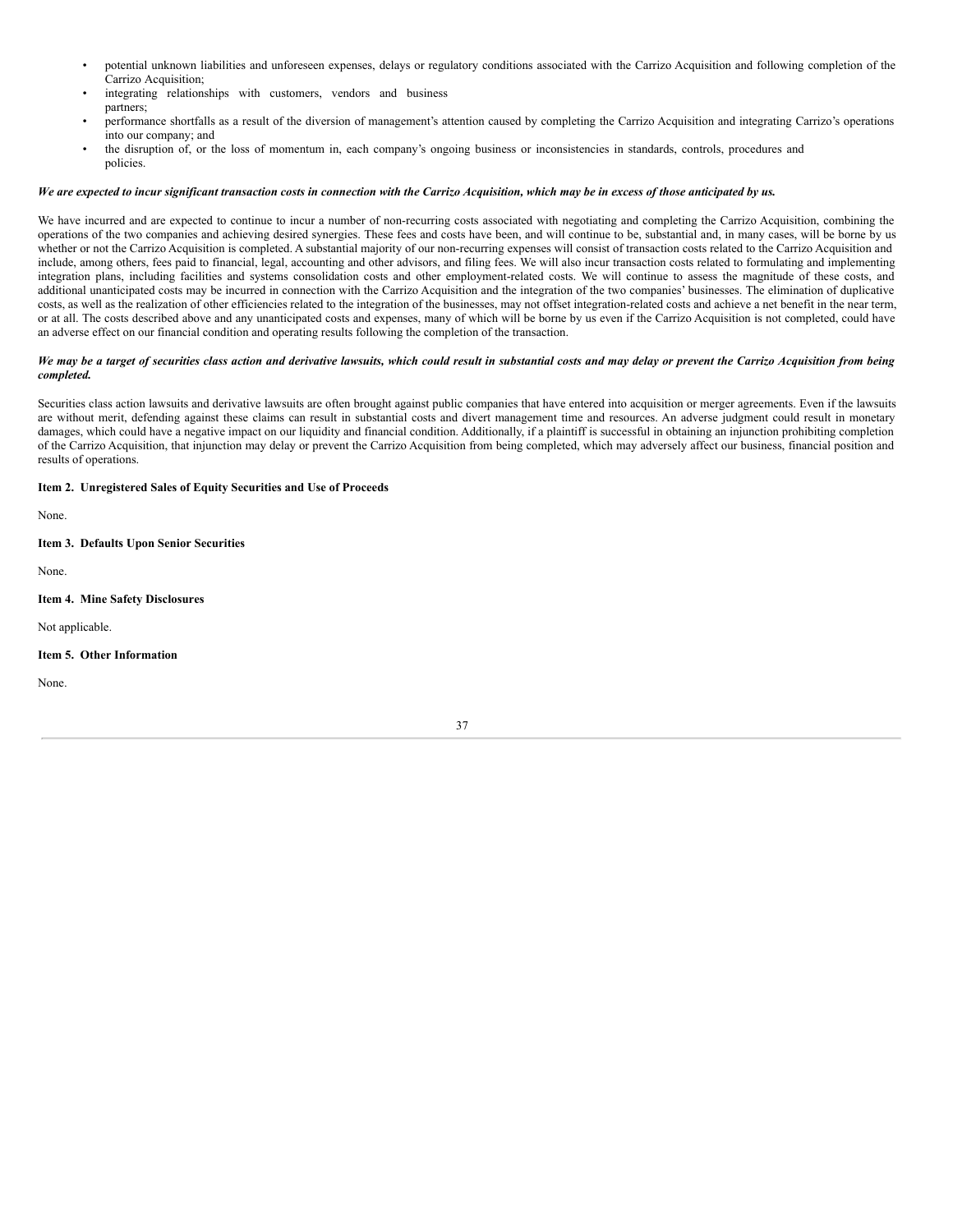- potential unknown liabilities and unforeseen expenses, delays or regulatory conditions associated with the Carrizo Acquisition and following completion of the Carrizo Acquisition;
- integrating relationships with customers, vendors and business partners;
- performance shortfalls as a result of the diversion of management's attention caused by completing the Carrizo Acquisition and integrating Carrizo's operations into our company; and
- the disruption of, or the loss of momentum in, each company's ongoing business or inconsistencies in standards, controls, procedures and policies.

#### We are expected to incur significant transaction costs in connection with the Carrizo Acquisition, which may be in excess of those anticipated by us.

We have incurred and are expected to continue to incur a number of non-recurring costs associated with negotiating and completing the Carrizo Acquisition, combining the operations of the two companies and achieving desired synergies. These fees and costs have been, and will continue to be, substantial and, in many cases, will be borne by us whether or not the Carrizo Acquisition is completed. A substantial majority of our non-recurring expenses will consist of transaction costs related to the Carrizo Acquisition and include, among others, fees paid to financial, legal, accounting and other advisors, and filing fees. We will also incur transaction costs related to formulating and implementing integration plans, including facilities and systems consolidation costs and other employment-related costs. We will continue to assess the magnitude of these costs, and additional unanticipated costs may be incurred in connection with the Carrizo Acquisition and the integration of the two companies' businesses. The elimination of duplicative costs, as well as the realization of other efficiencies related to the integration of the businesses, may not offset integration-related costs and achieve a net benefit in the near term, or at all. The costs described above and any unanticipated costs and expenses, many of which will be borne by us even if the Carrizo Acquisition is not completed, could have an adverse effect on our financial condition and operating results following the completion of the transaction.

## We may be a target of securities class action and derivative lawsuits, which could result in substantial costs and may delay or prevent the Carrizo Acquisition from being *completed.*

Securities class action lawsuits and derivative lawsuits are often brought against public companies that have entered into acquisition or merger agreements. Even if the lawsuits are without merit, defending against these claims can result in substantial costs and divert management time and resources. An adverse judgment could result in monetary damages, which could have a negative impact on our liquidity and financial condition. Additionally, if a plaintiff is successful in obtaining an injunction prohibiting completion of the Carrizo Acquisition, that injunction may delay or prevent the Carrizo Acquisition from being completed, which may adversely affect our business, financial position and results of operations.

#### **Item 2. Unregistered Sales of Equity Securities and Use of Proceeds**

None.

**Item 3. Defaults Upon Senior Securities**

None.

## **Item 4. Mine Safety Disclosures**

Not applicable.

### **Item 5. Other Information**

None.

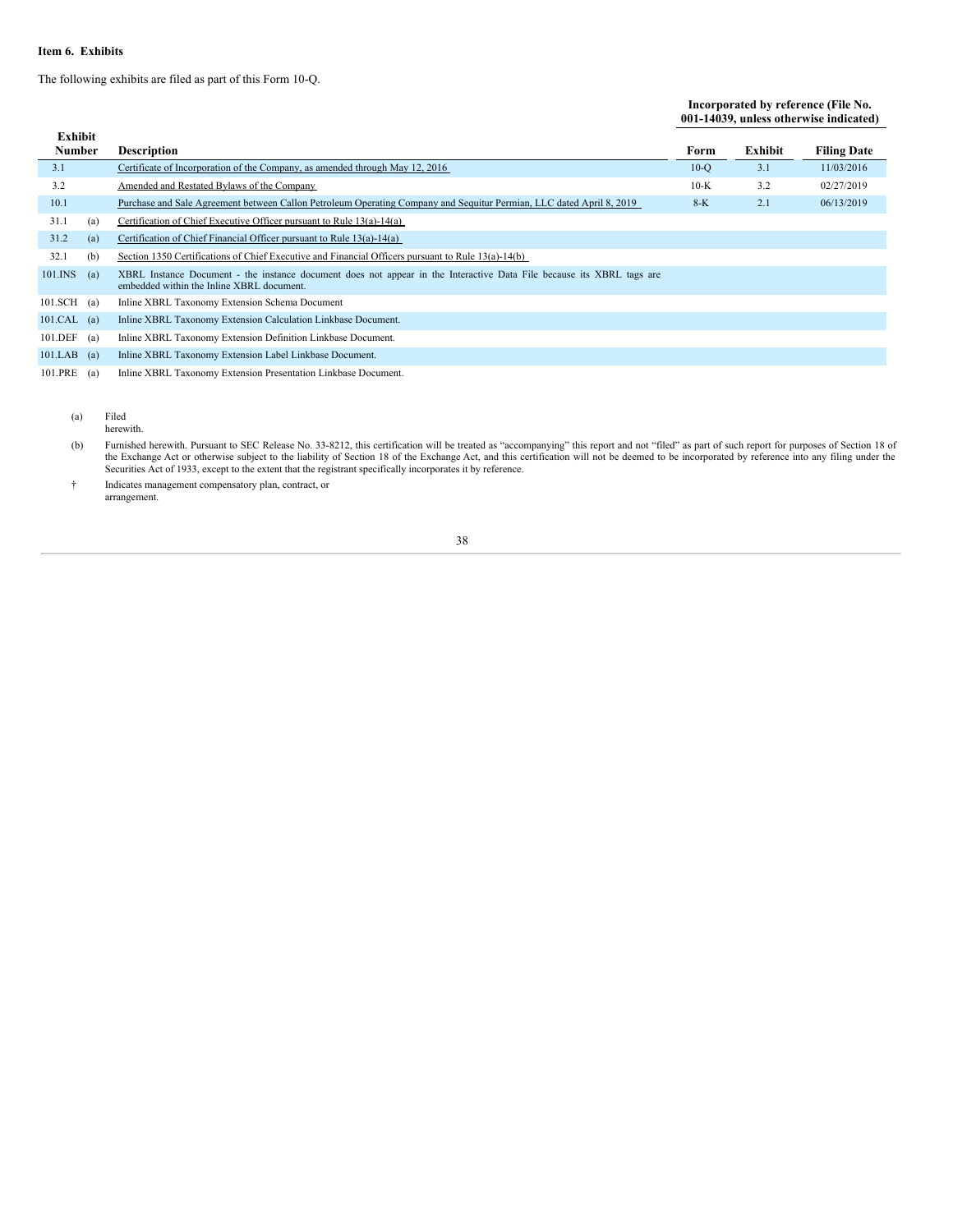## **Item 6. Exhibits**

The following exhibits are filed as part of this Form 10-Q.

#### **Incorporated by reference (File No. 001-14039, unless otherwise indicated)**

| Exhibit<br>Number |     | <b>Description</b>                                                                                                                                                 | Form   | Exhibit | <b>Filing Date</b> |
|-------------------|-----|--------------------------------------------------------------------------------------------------------------------------------------------------------------------|--------|---------|--------------------|
| 3.1               |     | Certificate of Incorporation of the Company, as amended through May 12, 2016                                                                                       | $10-o$ | 3.1     | 11/03/2016         |
| 3.2               |     | Amended and Restated Bylaws of the Company                                                                                                                         | $10-K$ | 3.2     | 02/27/2019         |
| 10.1              |     | Purchase and Sale Agreement between Callon Petroleum Operating Company and Sequitur Permian, LLC dated April 8, 2019                                               | $8-K$  | 2.1     | 06/13/2019         |
| 31.1              | (a) | Certification of Chief Executive Officer pursuant to Rule 13(a)-14(a)                                                                                              |        |         |                    |
| 31.2              | (a) | Certification of Chief Financial Officer pursuant to Rule 13(a)-14(a)                                                                                              |        |         |                    |
| 32.1              | (b) | Section 1350 Certifications of Chief Executive and Financial Officers pursuant to Rule 13(a)-14(b)                                                                 |        |         |                    |
| 101.INS           | (a) | XBRL Instance Document - the instance document does not appear in the Interactive Data File because its XBRL tags are<br>embedded within the Inline XBRL document. |        |         |                    |
| $101.SCH$ (a)     |     | Inline XBRL Taxonomy Extension Schema Document                                                                                                                     |        |         |                    |
| $101.CAL$ (a)     |     | Inline XBRL Taxonomy Extension Calculation Linkbase Document.                                                                                                      |        |         |                    |
| $101.DEF$ (a)     |     | Inline XBRL Taxonomy Extension Definition Linkbase Document.                                                                                                       |        |         |                    |
| $101.LAB$ (a)     |     | Inline XBRL Taxonomy Extension Label Linkbase Document.                                                                                                            |        |         |                    |
| $101.PRE$ (a)     |     | Inline XBRL Taxonomy Extension Presentation Linkbase Document.                                                                                                     |        |         |                    |

(a) Filed herewith.

(b) Furnished herewith. Pursuant to SEC Release No. 33-8212, this certification will be treated as "accompanying" this report and not "filed" as part of such report for purposes of Section 18 of the Exchange Act or otherwi

† Indicates management compensatory plan, contract, or arrangement.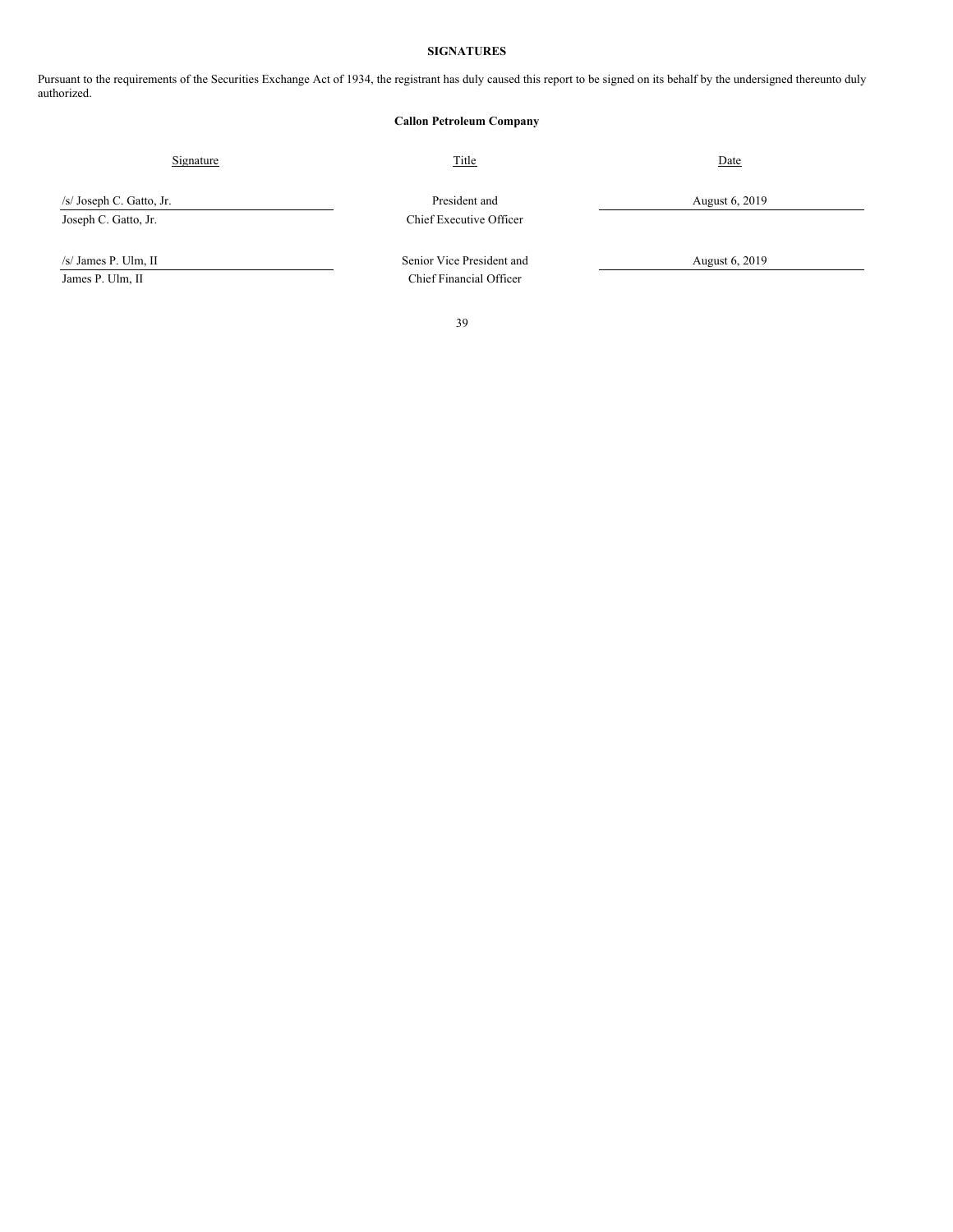## **SIGNATURES**

Pursuant to the requirements of the Securities Exchange Act of 1934, the registrant has duly caused this report to be signed on its behalf by the undersigned thereunto duly authorized.

## **Callon Petroleum Company**

## Signature Date Date of Title Contract and Title Date Date Date Date Date

/s/ Joseph C. Gatto, Jr. President and August 6, 2019 Joseph C. Gatto, Jr. Chief Executive Officer

/s/ James P. Ulm, II Senior Vice President and August 6, 2019 James P. Ulm, II Chief Financial Officer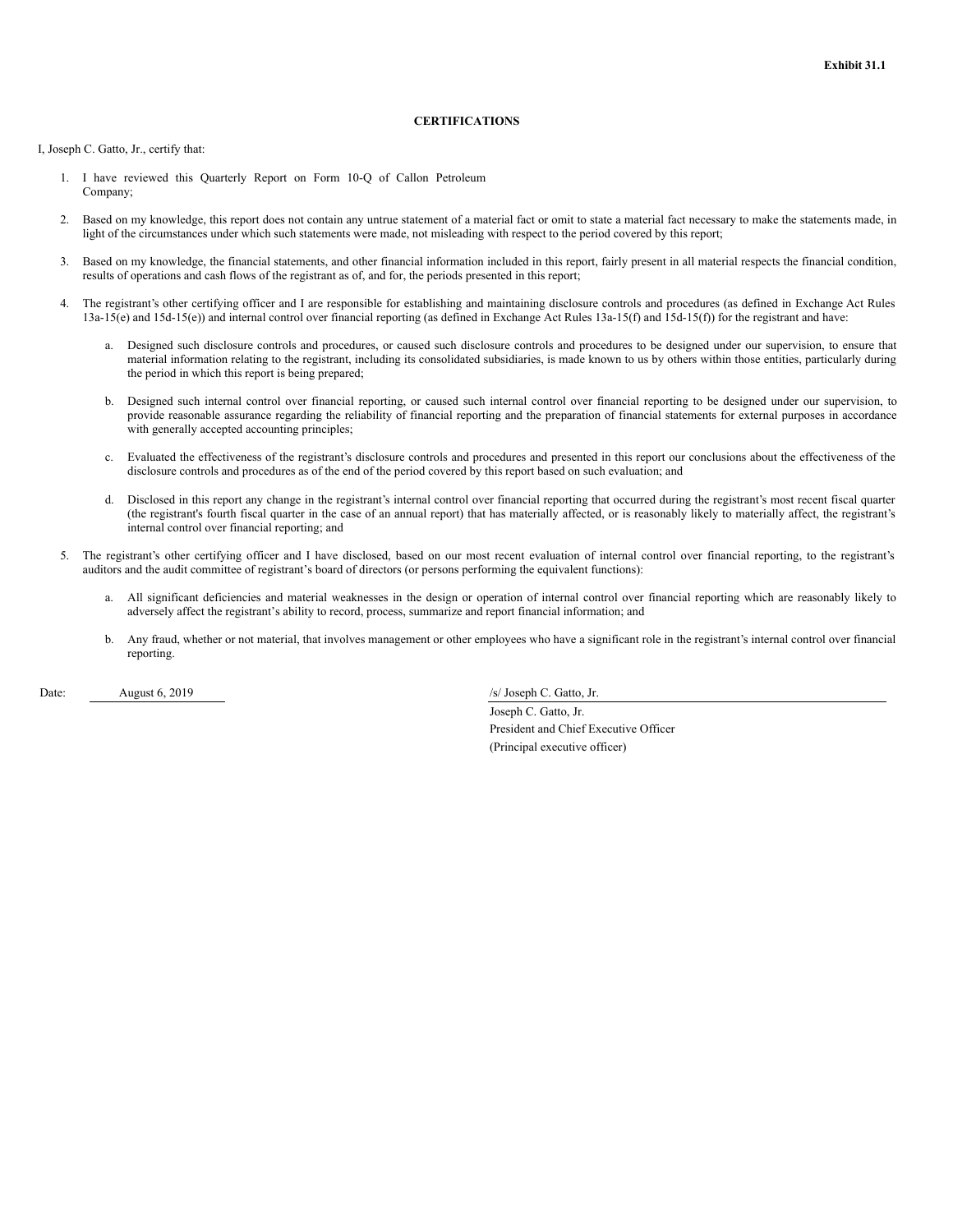## **CERTIFICATIONS**

<span id="page-40-0"></span>I, Joseph C. Gatto, Jr., certify that:

- 1. I have reviewed this Quarterly Report on Form 10-Q of Callon Petroleum Company;
- 2. Based on my knowledge, this report does not contain any untrue statement of a material fact or omit to state a material fact necessary to make the statements made, in light of the circumstances under which such statements were made, not misleading with respect to the period covered by this report;
- 3. Based on my knowledge, the financial statements, and other financial information included in this report, fairly present in all material respects the financial condition, results of operations and cash flows of the registrant as of, and for, the periods presented in this report;
- 4. The registrant's other certifying officer and I are responsible for establishing and maintaining disclosure controls and procedures (as defined in Exchange Act Rules 13a-15(e) and 15d-15(e)) and internal control over financial reporting (as defined in Exchange Act Rules 13a-15(f) and 15d-15(f)) for the registrant and have:
	- a. Designed such disclosure controls and procedures, or caused such disclosure controls and procedures to be designed under our supervision, to ensure that material information relating to the registrant, including its consolidated subsidiaries, is made known to us by others within those entities, particularly during the period in which this report is being prepared;
	- b. Designed such internal control over financial reporting, or caused such internal control over financial reporting to be designed under our supervision, to provide reasonable assurance regarding the reliability of financial reporting and the preparation of financial statements for external purposes in accordance with generally accepted accounting principles;
	- c. Evaluated the effectiveness of the registrant's disclosure controls and procedures and presented in this report our conclusions about the effectiveness of the disclosure controls and procedures as of the end of the period covered by this report based on such evaluation; and
	- d. Disclosed in this report any change in the registrant's internal control over financial reporting that occurred during the registrant's most recent fiscal quarter (the registrant's fourth fiscal quarter in the case of an annual report) that has materially affected, or is reasonably likely to materially affect, the registrant's internal control over financial reporting; and
- 5. The registrant's other certifying officer and I have disclosed, based on our most recent evaluation of internal control over financial reporting, to the registrant's auditors and the audit committee of registrant's board of directors (or persons performing the equivalent functions):
	- a. All significant deficiencies and material weaknesses in the design or operation of internal control over financial reporting which are reasonably likely to adversely affect the registrant's ability to record, process, summarize and report financial information; and
	- b. Any fraud, whether or not material, that involves management or other employees who have a significant role in the registrant's internal control over financial reporting.

Date: August 6, 2019 /s/ Joseph C. Gatto, Jr.

Joseph C. Gatto, Jr. President and Chief Executive Officer (Principal executive officer)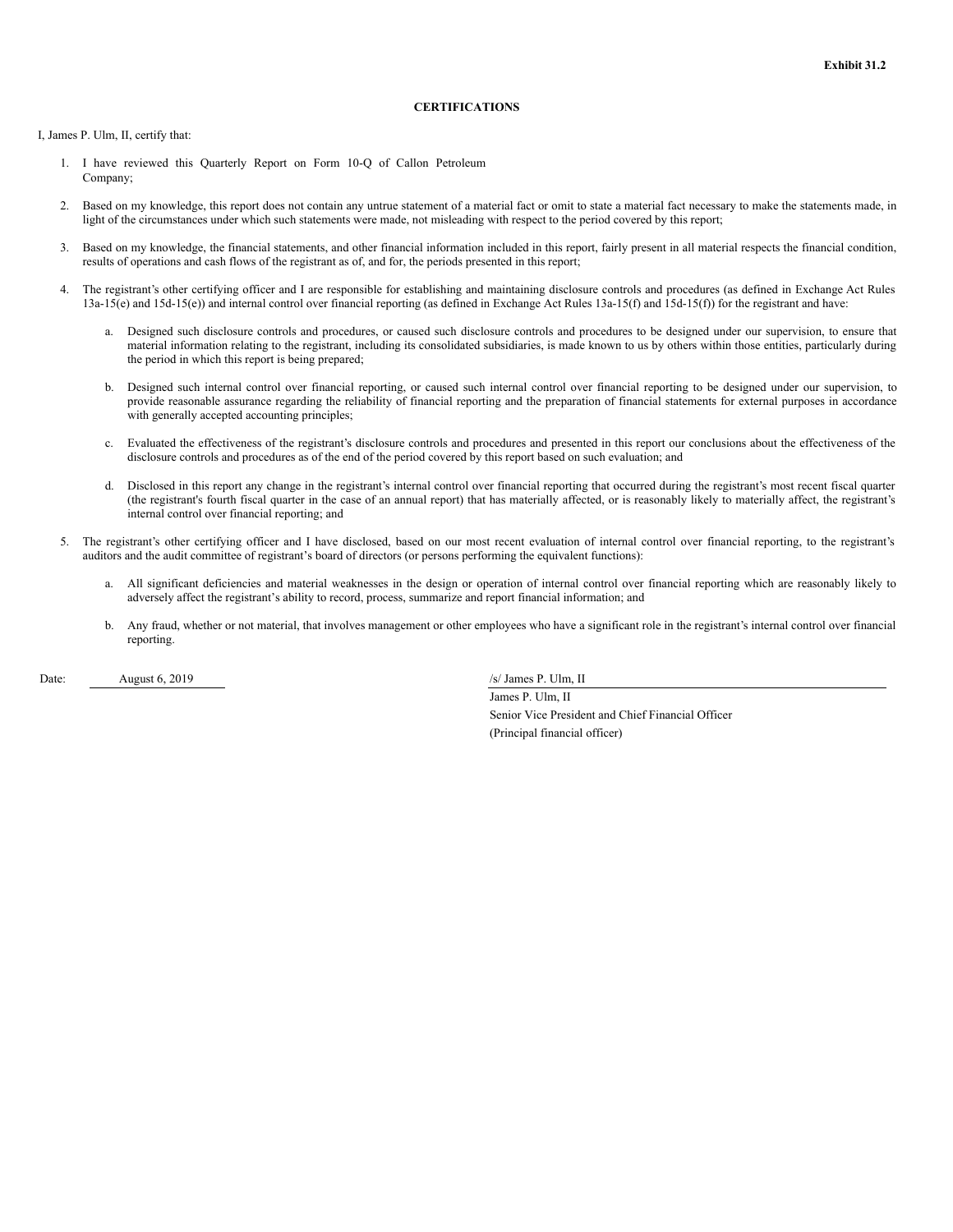#### **CERTIFICATIONS**

<span id="page-41-0"></span>I, James P. Ulm, II, certify that:

- 1. I have reviewed this Quarterly Report on Form 10-Q of Callon Petroleum Company;
- 2. Based on my knowledge, this report does not contain any untrue statement of a material fact or omit to state a material fact necessary to make the statements made, in light of the circumstances under which such statements were made, not misleading with respect to the period covered by this report;
- 3. Based on my knowledge, the financial statements, and other financial information included in this report, fairly present in all material respects the financial condition, results of operations and cash flows of the registrant as of, and for, the periods presented in this report;
- 4. The registrant's other certifying officer and I are responsible for establishing and maintaining disclosure controls and procedures (as defined in Exchange Act Rules 13a-15(e) and 15d-15(e)) and internal control over financial reporting (as defined in Exchange Act Rules 13a-15(f) and 15d-15(f)) for the registrant and have:
	- a. Designed such disclosure controls and procedures, or caused such disclosure controls and procedures to be designed under our supervision, to ensure that material information relating to the registrant, including its consolidated subsidiaries, is made known to us by others within those entities, particularly during the period in which this report is being prepared;
	- b. Designed such internal control over financial reporting, or caused such internal control over financial reporting to be designed under our supervision, to provide reasonable assurance regarding the reliability of financial reporting and the preparation of financial statements for external purposes in accordance with generally accepted accounting principles;
	- c. Evaluated the effectiveness of the registrant's disclosure controls and procedures and presented in this report our conclusions about the effectiveness of the disclosure controls and procedures as of the end of the period covered by this report based on such evaluation; and
	- d. Disclosed in this report any change in the registrant's internal control over financial reporting that occurred during the registrant's most recent fiscal quarter (the registrant's fourth fiscal quarter in the case of an annual report) that has materially affected, or is reasonably likely to materially affect, the registrant's internal control over financial reporting; and
- 5. The registrant's other certifying officer and I have disclosed, based on our most recent evaluation of internal control over financial reporting, to the registrant's auditors and the audit committee of registrant's board of directors (or persons performing the equivalent functions):
	- a. All significant deficiencies and material weaknesses in the design or operation of internal control over financial reporting which are reasonably likely to adversely affect the registrant's ability to record, process, summarize and report financial information; and
	- b. Any fraud, whether or not material, that involves management or other employees who have a significant role in the registrant's internal control over financial reporting.

Date: August 6, 2019 */s/ James P. Ulm, II* 

James P. Ulm, II Senior Vice President and Chief Financial Officer (Principal financial officer)